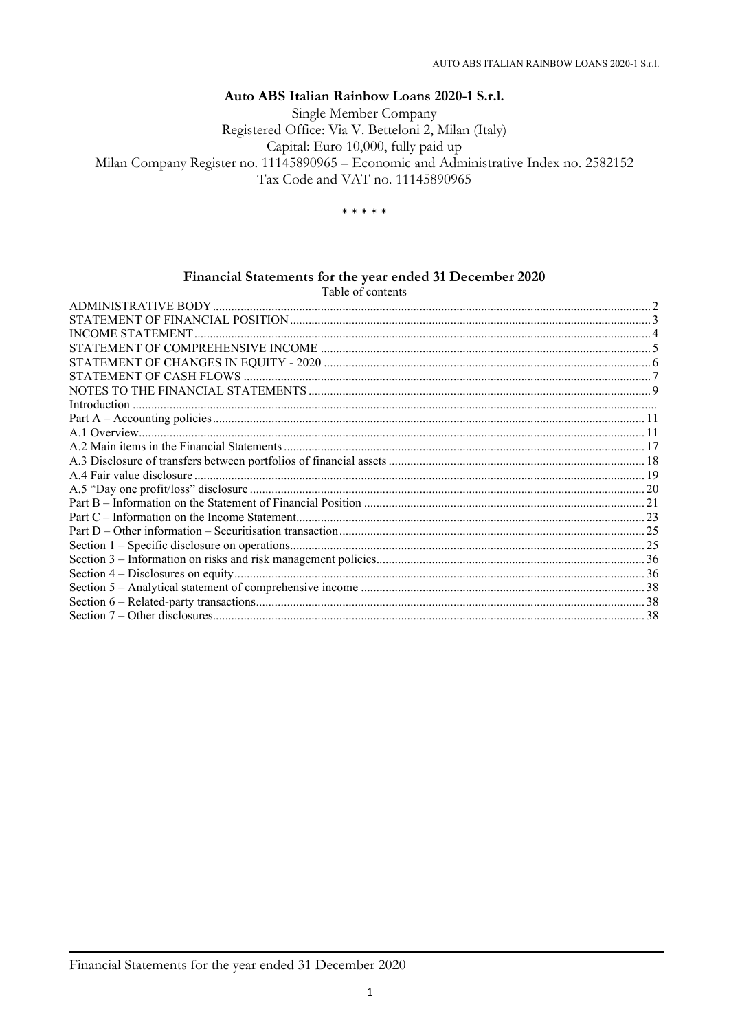#### Auto ABS Italian Rainbow Loans 2020-1 S.r.l.

Single Member Company Registered Office: Via V. Betteloni 2, Milan (Italy) Capital: Euro 10,000, fully paid up Milan Company Register no. 11145890965 - Economic and Administrative Index no. 2582152 Tax Code and VAT no. 11145890965

\* \* \* \* \*

# Financial Statements for the year ended 31 December 2020<br>Table of contents

| Table of contents |  |
|-------------------|--|
|                   |  |
|                   |  |
|                   |  |
|                   |  |
|                   |  |
|                   |  |
|                   |  |
|                   |  |
|                   |  |
|                   |  |
|                   |  |
|                   |  |
|                   |  |
|                   |  |
|                   |  |
|                   |  |
|                   |  |
|                   |  |
|                   |  |
|                   |  |
|                   |  |
|                   |  |
|                   |  |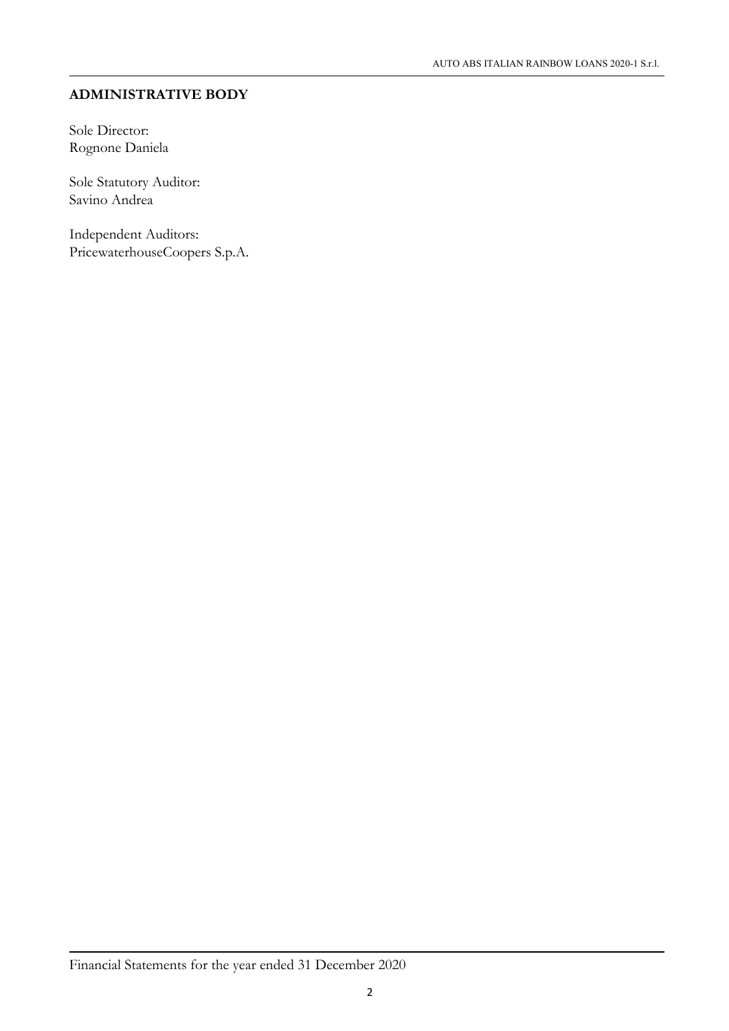## ADMINISTRATIVE BODY

Sole Director: Rognone Daniela

Sole Statutory Auditor: Savino Andrea

Independent Auditors: PricewaterhouseCoopers S.p.A.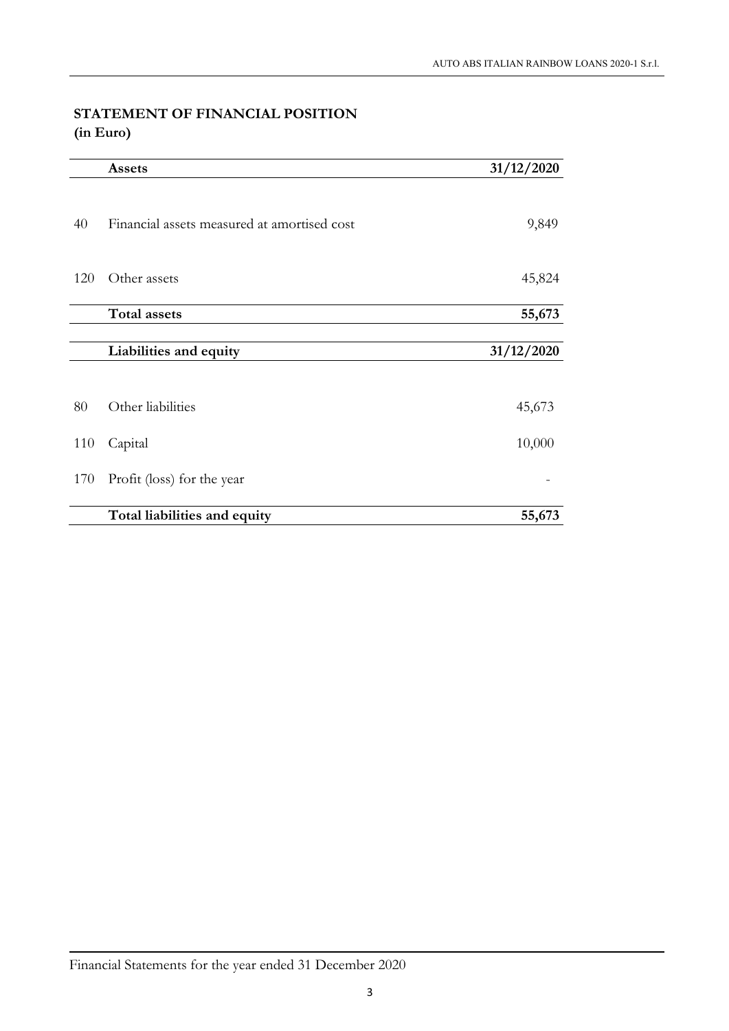## STATEMENT OF FINANCIAL POSITION (in Euro)

|     | <b>Assets</b>                               | 31/12/2020 |
|-----|---------------------------------------------|------------|
| 40  | Financial assets measured at amortised cost | 9,849      |
| 120 | Other assets                                | 45,824     |
|     | <b>Total assets</b>                         | 55,673     |
|     |                                             |            |
|     | Liabilities and equity                      | 31/12/2020 |
|     |                                             |            |
| 80  | Other liabilities                           | 45,673     |
| 110 | Capital                                     | 10,000     |
| 170 | Profit (loss) for the year                  |            |
|     | Total liabilities and equity                | 55,673     |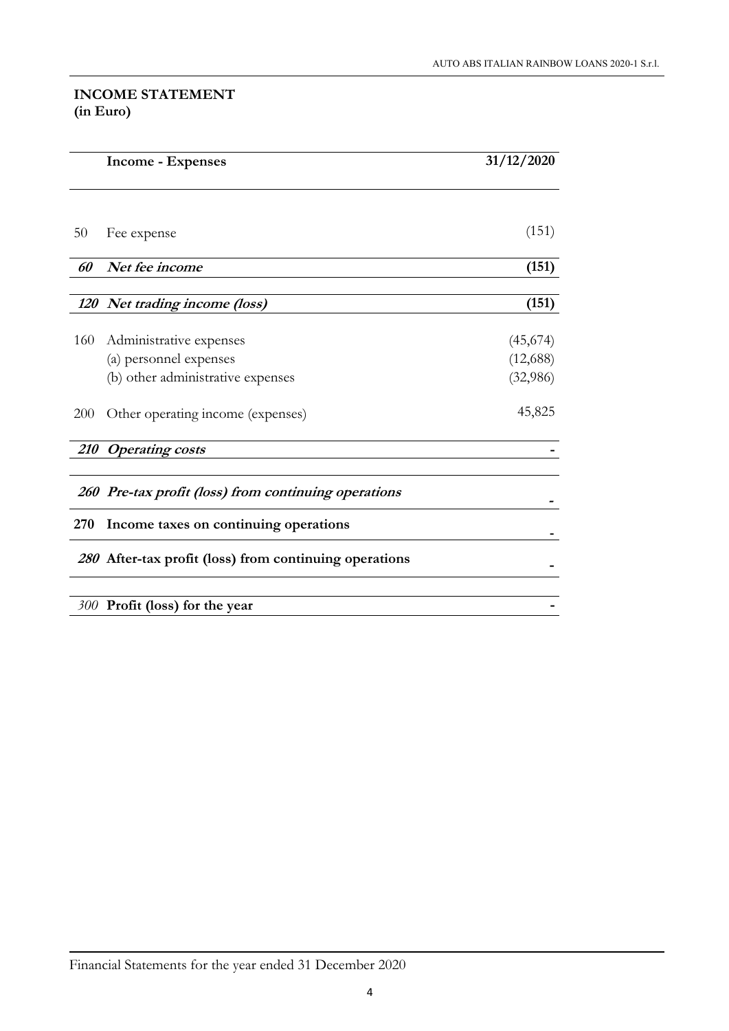## INCOME STATEMENT (in Euro)

|            | <b>Income - Expenses</b>                               | 31/12/2020           |
|------------|--------------------------------------------------------|----------------------|
|            |                                                        |                      |
| 50         | Fee expense                                            | (151)                |
| 60         | Net fee income                                         | (151)                |
|            | 120 Net trading income (loss)                          | (151)                |
| 160        | Administrative expenses<br>(a) personnel expenses      | (45,674)<br>(12,688) |
|            | (b) other administrative expenses                      | (32,986)             |
| <b>200</b> | Other operating income (expenses)                      | 45,825               |
|            | 210 Operating costs                                    |                      |
|            | 260 Pre-tax profit (loss) from continuing operations   |                      |
| 270        | Income taxes on continuing operations                  |                      |
|            | 280 After-tax profit (loss) from continuing operations |                      |
|            | 300 Profit (loss) for the year                         |                      |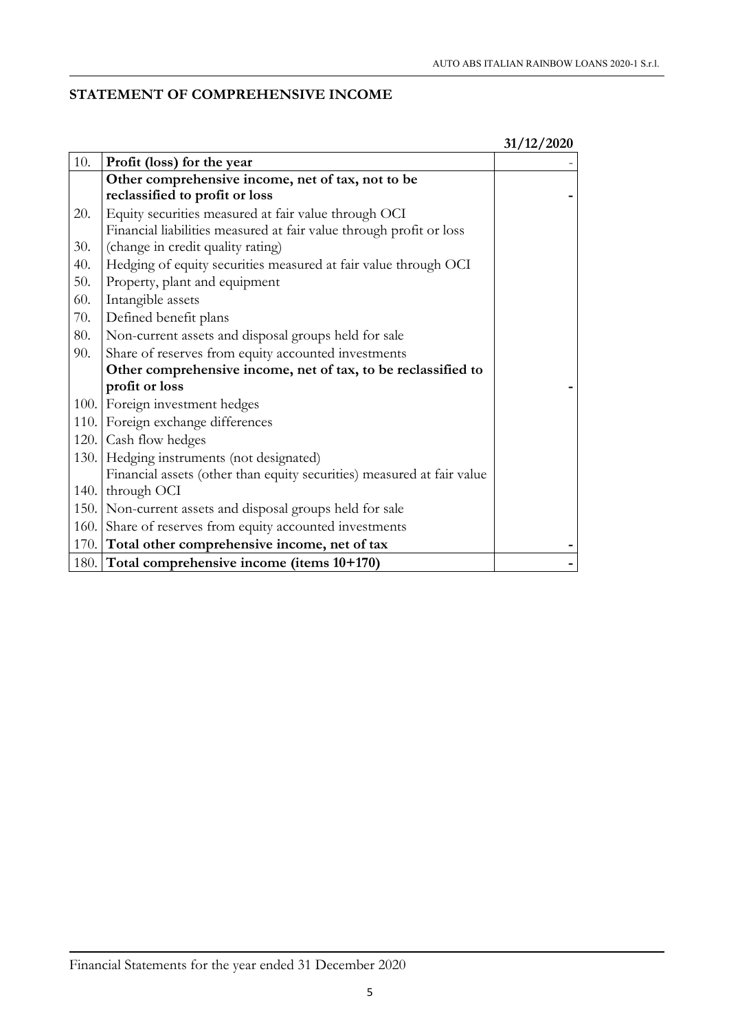## STATEMENT OF COMPREHENSIVE INCOME

|     |                                                                        | 31/12/2020 |
|-----|------------------------------------------------------------------------|------------|
| 10. | Profit (loss) for the year                                             |            |
|     | Other comprehensive income, net of tax, not to be                      |            |
|     | reclassified to profit or loss                                         |            |
| 20. | Equity securities measured at fair value through OCI                   |            |
|     | Financial liabilities measured at fair value through profit or loss    |            |
| 30. | (change in credit quality rating)                                      |            |
| 40. | Hedging of equity securities measured at fair value through OCI        |            |
| 50. | Property, plant and equipment                                          |            |
| 60. | Intangible assets                                                      |            |
| 70. | Defined benefit plans                                                  |            |
| 80. | Non-current assets and disposal groups held for sale                   |            |
| 90. | Share of reserves from equity accounted investments                    |            |
|     | Other comprehensive income, net of tax, to be reclassified to          |            |
|     | profit or loss                                                         |            |
|     | 100. Foreign investment hedges                                         |            |
|     | 110. Foreign exchange differences                                      |            |
|     | 120. Cash flow hedges                                                  |            |
|     | 130. Hedging instruments (not designated)                              |            |
|     | Financial assets (other than equity securities) measured at fair value |            |
|     | 140. through OCI                                                       |            |
|     | 150. Non-current assets and disposal groups held for sale              |            |
|     | 160. Share of reserves from equity accounted investments               |            |
|     | 170. Total other comprehensive income, net of tax                      |            |
|     | 180. Total comprehensive income (items 10+170)                         |            |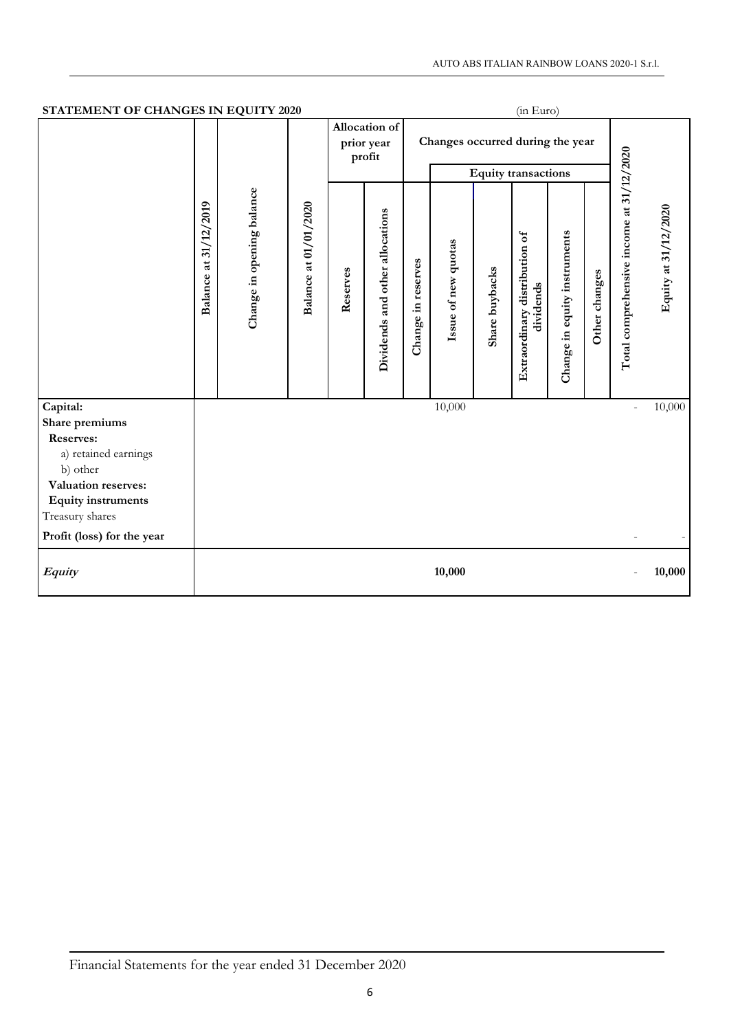| STATEMENT OF CHANGES IN EQUITY 2020<br>(in Euro) |                             |                           |                       |                                       |          |                                  |                    |                     |                            |                                            |                              |                          |                                          |                      |
|--------------------------------------------------|-----------------------------|---------------------------|-----------------------|---------------------------------------|----------|----------------------------------|--------------------|---------------------|----------------------------|--------------------------------------------|------------------------------|--------------------------|------------------------------------------|----------------------|
|                                                  |                             |                           |                       | Allocation of<br>prior year<br>profit |          | Changes occurred during the year |                    |                     |                            |                                            |                              |                          |                                          |                      |
|                                                  |                             |                           |                       |                                       |          |                                  |                    |                     | <b>Equity transactions</b> |                                            |                              |                          |                                          |                      |
|                                                  | 31/12/2019<br>at<br>Balance | Change in opening balance | Balance at 01/01/2020 |                                       | Reserves | Dividends and other allocations  | Change in reserves | Issue of new quotas | Share buybacks             | Extraordinary distribution of<br>dividends | Change in equity instruments | Other changes            | Total comprehensive income at 31/12/2020 | Equity at 31/12/2020 |
| Capital:                                         |                             |                           |                       |                                       |          |                                  | 10,000             |                     |                            |                                            |                              | $\overline{\phantom{a}}$ | 10,000                                   |                      |
| Share premiums                                   |                             |                           |                       |                                       |          |                                  |                    |                     |                            |                                            |                              |                          |                                          |                      |
| <b>Reserves:</b><br>a) retained earnings         |                             |                           |                       |                                       |          |                                  |                    |                     |                            |                                            |                              |                          |                                          |                      |
| b) other                                         |                             |                           |                       |                                       |          |                                  |                    |                     |                            |                                            |                              |                          |                                          |                      |
| Valuation reserves:<br><b>Equity</b> instruments |                             |                           |                       |                                       |          |                                  |                    |                     |                            |                                            |                              |                          |                                          |                      |
| Treasury shares                                  |                             |                           |                       |                                       |          |                                  |                    |                     |                            |                                            |                              |                          |                                          |                      |
| Profit (loss) for the year                       |                             |                           |                       |                                       |          |                                  |                    |                     |                            |                                            |                              |                          |                                          |                      |
| Equity                                           |                             |                           |                       |                                       |          |                                  | 10,000             |                     |                            |                                            |                              |                          | 10,000                                   |                      |

## Financial Statements for the year ended 31 December 2020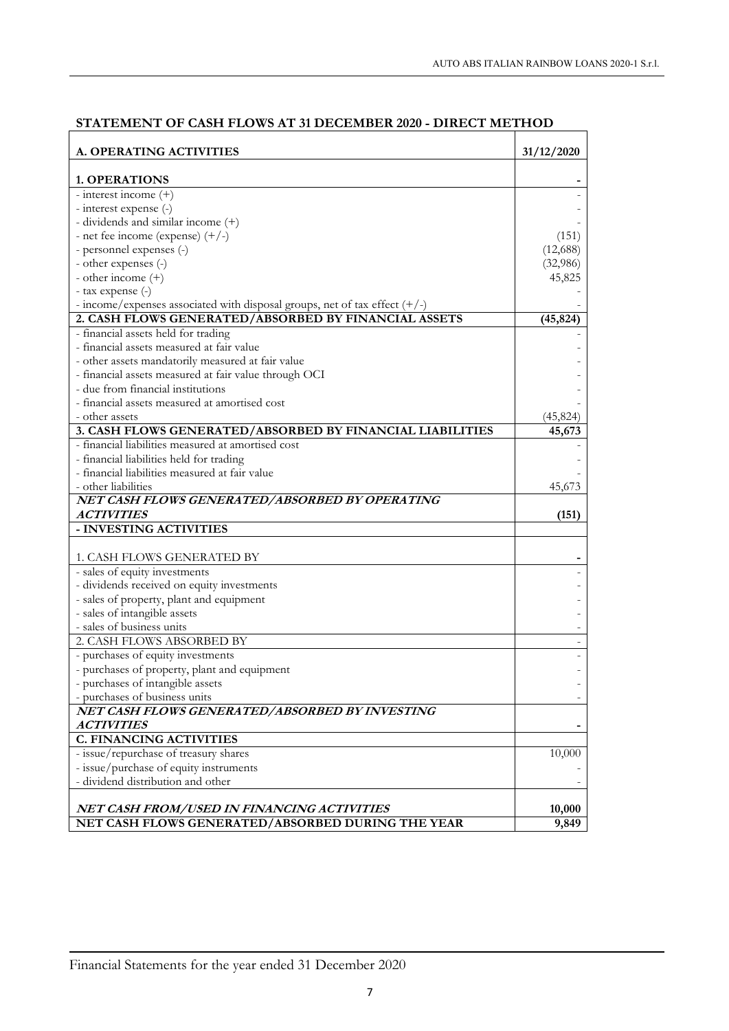| A. OPERATING ACTIVITIES                                                      | 31/12/2020 |
|------------------------------------------------------------------------------|------------|
| <b>1. OPERATIONS</b>                                                         |            |
| - interest income (+)                                                        |            |
| - interest expense (-)                                                       |            |
| - dividends and similar income (+)                                           |            |
| - net fee income (expense) $(+/-)$                                           | (151)      |
| - personnel expenses (-)                                                     | (12,688)   |
| - other expenses (-)                                                         | (32,986)   |
| - other income $(+)$                                                         | 45,825     |
| - tax expense (-)                                                            |            |
| - income/expenses associated with disposal groups, net of tax effect $(+/-)$ |            |
| 2. CASH FLOWS GENERATED/ABSORBED BY FINANCIAL ASSETS                         | (45, 824)  |
| - financial assets held for trading                                          |            |
| - financial assets measured at fair value                                    |            |
| - other assets mandatorily measured at fair value                            |            |
| - financial assets measured at fair value through OCI                        |            |
| - due from financial institutions                                            |            |
| - financial assets measured at amortised cost                                |            |
| - other assets                                                               | (45, 824)  |
| 3. CASH FLOWS GENERATED/ABSORBED BY FINANCIAL LIABILITIES                    | 45,673     |
| - financial liabilities measured at amortised cost                           |            |
| - financial liabilities held for trading                                     |            |
| - financial liabilities measured at fair value                               |            |
| - other liabilities                                                          | 45,673     |
| NET CASH FLOWS GENERATED/ABSORBED BY OPERATING                               |            |
| <i>ACTIVITIES</i>                                                            | (151)      |
| - INVESTING ACTIVITIES                                                       |            |
| 1. CASH FLOWS GENERATED BY                                                   |            |
| - sales of equity investments                                                |            |
| - dividends received on equity investments                                   |            |
| - sales of property, plant and equipment                                     |            |
| - sales of intangible assets                                                 |            |
| - sales of business units                                                    |            |
| 2. CASH FLOWS ABSORBED BY                                                    |            |
| - purchases of equity investments                                            |            |
| - purchases of property, plant and equipment                                 |            |
| - purchases of intangible assets                                             |            |
| - purchases of business units                                                |            |
| NET CASH FLOWS GENERATED/ABSORBED BY INVESTING                               |            |
| <b>ACTIVITIES</b>                                                            |            |
| <b>C. FINANCING ACTIVITIES</b>                                               |            |
| - issue/repurchase of treasury shares                                        | 10,000     |
| - issue/purchase of equity instruments                                       |            |
| - dividend distribution and other                                            |            |
|                                                                              |            |
| NET CASH FROM/USED IN FINANCING ACTIVITIES                                   | 10,000     |
| NET CASH FLOWS GENERATED/ABSORBED DURING THE YEAR                            | 9,849      |
|                                                                              |            |

#### STATEMENT OF CASH FLOWS AT 31 DECEMBER 2020 - DIRECT METHOD

Financial Statements for the year ended 31 December 2020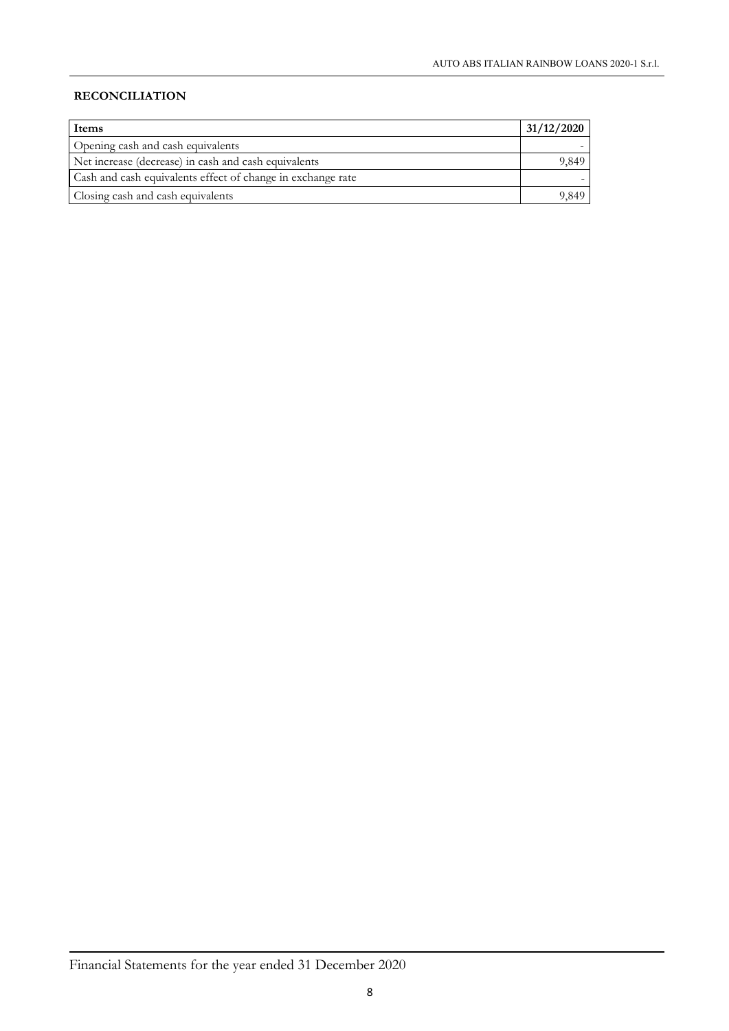## RECONCILIATION

| <b>Items</b>                                                | 31/12/2020 |
|-------------------------------------------------------------|------------|
| Opening cash and cash equivalents                           |            |
| Net increase (decrease) in cash and cash equivalents        | 9.849-     |
| Cash and cash equivalents effect of change in exchange rate |            |
| Closing cash and cash equivalents                           | 9 849.     |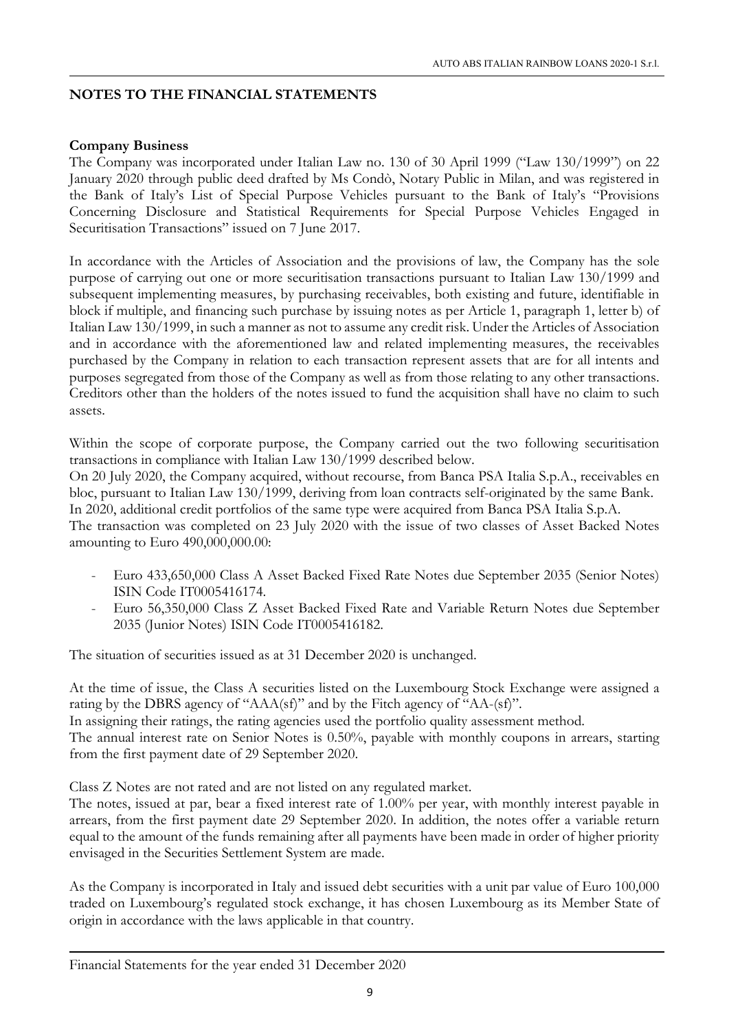## NOTES TO THE FINANCIAL STATEMENTS

## Company Business

The Company was incorporated under Italian Law no. 130 of 30 April 1999 ("Law 130/1999") on 22 January 2020 through public deed drafted by Ms Condò, Notary Public in Milan, and was registered in the Bank of Italy's List of Special Purpose Vehicles pursuant to the Bank of Italy's "Provisions Concerning Disclosure and Statistical Requirements for Special Purpose Vehicles Engaged in Securitisation Transactions" issued on 7 June 2017.

In accordance with the Articles of Association and the provisions of law, the Company has the sole purpose of carrying out one or more securitisation transactions pursuant to Italian Law 130/1999 and subsequent implementing measures, by purchasing receivables, both existing and future, identifiable in block if multiple, and financing such purchase by issuing notes as per Article 1, paragraph 1, letter b) of Italian Law 130/1999, in such a manner as not to assume any credit risk. Under the Articles of Association and in accordance with the aforementioned law and related implementing measures, the receivables purchased by the Company in relation to each transaction represent assets that are for all intents and purposes segregated from those of the Company as well as from those relating to any other transactions. Creditors other than the holders of the notes issued to fund the acquisition shall have no claim to such assets.

Within the scope of corporate purpose, the Company carried out the two following securitisation transactions in compliance with Italian Law 130/1999 described below. On 20 July 2020, the Company acquired, without recourse, from Banca PSA Italia S.p.A., receivables en bloc, pursuant to Italian Law 130/1999, deriving from loan contracts self-originated by the same Bank. In 2020, additional credit portfolios of the same type were acquired from Banca PSA Italia S.p.A. The transaction was completed on 23 July 2020 with the issue of two classes of Asset Backed Notes amounting to Euro 490,000,000.00:

- Euro 433,650,000 Class A Asset Backed Fixed Rate Notes due September 2035 (Senior Notes) ISIN Code IT0005416174.
- Euro 56,350,000 Class Z Asset Backed Fixed Rate and Variable Return Notes due September 2035 (Junior Notes) ISIN Code IT0005416182.

The situation of securities issued as at 31 December 2020 is unchanged.

At the time of issue, the Class A securities listed on the Luxembourg Stock Exchange were assigned a rating by the DBRS agency of "AAA(sf)" and by the Fitch agency of "AA-(sf)".

In assigning their ratings, the rating agencies used the portfolio quality assessment method.

The annual interest rate on Senior Notes is 0.50%, payable with monthly coupons in arrears, starting from the first payment date of 29 September 2020.

Class Z Notes are not rated and are not listed on any regulated market.

The notes, issued at par, bear a fixed interest rate of 1.00% per year, with monthly interest payable in arrears, from the first payment date 29 September 2020. In addition, the notes offer a variable return equal to the amount of the funds remaining after all payments have been made in order of higher priority envisaged in the Securities Settlement System are made.

As the Company is incorporated in Italy and issued debt securities with a unit par value of Euro 100,000 traded on Luxembourg's regulated stock exchange, it has chosen Luxembourg as its Member State of origin in accordance with the laws applicable in that country.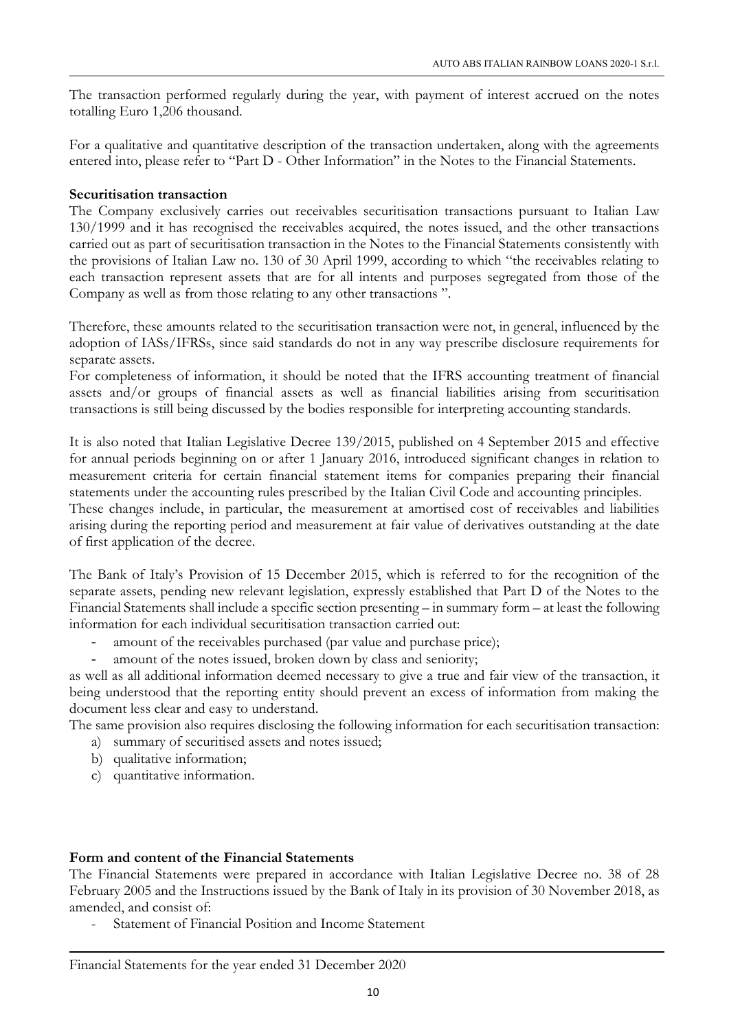The transaction performed regularly during the year, with payment of interest accrued on the notes totalling Euro 1,206 thousand.

For a qualitative and quantitative description of the transaction undertaken, along with the agreements entered into, please refer to "Part D - Other Information" in the Notes to the Financial Statements.

#### Securitisation transaction

The Company exclusively carries out receivables securitisation transactions pursuant to Italian Law 130/1999 and it has recognised the receivables acquired, the notes issued, and the other transactions carried out as part of securitisation transaction in the Notes to the Financial Statements consistently with the provisions of Italian Law no. 130 of 30 April 1999, according to which "the receivables relating to each transaction represent assets that are for all intents and purposes segregated from those of the Company as well as from those relating to any other transactions ".

Therefore, these amounts related to the securitisation transaction were not, in general, influenced by the adoption of IASs/IFRSs, since said standards do not in any way prescribe disclosure requirements for separate assets.

For completeness of information, it should be noted that the IFRS accounting treatment of financial assets and/or groups of financial assets as well as financial liabilities arising from securitisation transactions is still being discussed by the bodies responsible for interpreting accounting standards.

It is also noted that Italian Legislative Decree 139/2015, published on 4 September 2015 and effective for annual periods beginning on or after 1 January 2016, introduced significant changes in relation to measurement criteria for certain financial statement items for companies preparing their financial statements under the accounting rules prescribed by the Italian Civil Code and accounting principles.

These changes include, in particular, the measurement at amortised cost of receivables and liabilities arising during the reporting period and measurement at fair value of derivatives outstanding at the date of first application of the decree.

The Bank of Italy's Provision of 15 December 2015, which is referred to for the recognition of the separate assets, pending new relevant legislation, expressly established that Part D of the Notes to the Financial Statements shall include a specific section presenting – in summary form – at least the following information for each individual securitisation transaction carried out:

- amount of the receivables purchased (par value and purchase price);
- amount of the notes issued, broken down by class and seniority;

as well as all additional information deemed necessary to give a true and fair view of the transaction, it being understood that the reporting entity should prevent an excess of information from making the document less clear and easy to understand.

The same provision also requires disclosing the following information for each securitisation transaction:

- a) summary of securitised assets and notes issued;
- b) qualitative information;
- c) quantitative information.

#### Form and content of the Financial Statements

The Financial Statements were prepared in accordance with Italian Legislative Decree no. 38 of 28 February 2005 and the Instructions issued by the Bank of Italy in its provision of 30 November 2018, as amended, and consist of:

- Statement of Financial Position and Income Statement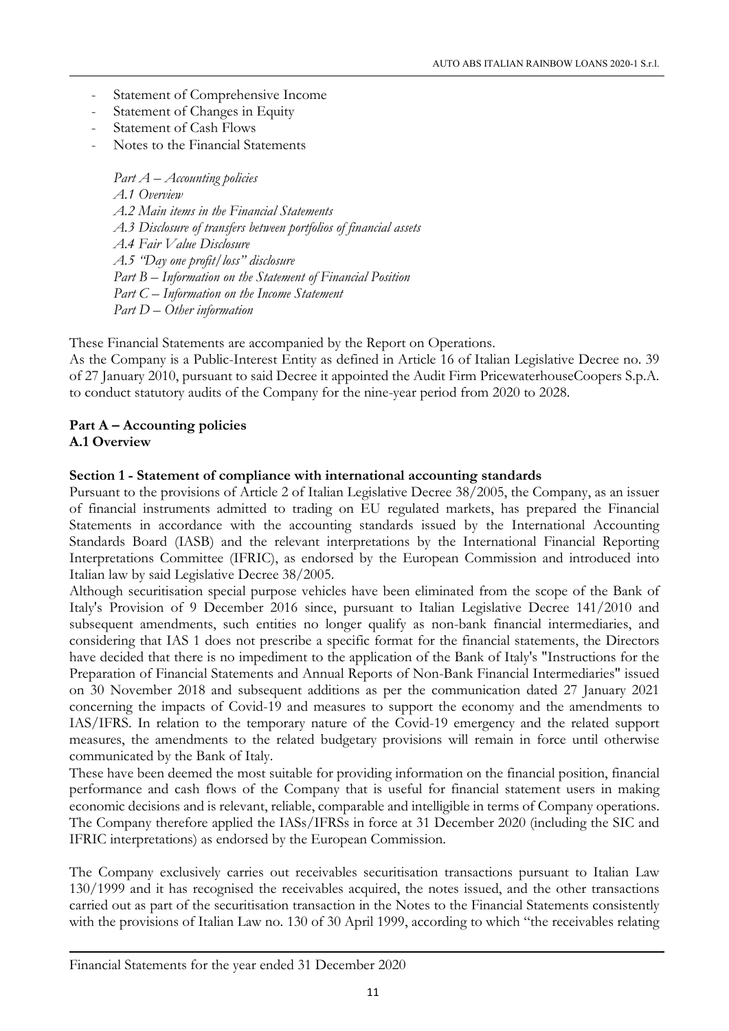- Statement of Comprehensive Income
- Statement of Changes in Equity
- Statement of Cash Flows
- Notes to the Financial Statements

*Part A – Accounting policies A.1 Overview A.2 Main items in the Financial Statements A.3 Disclosure of transfers between portfolios of financial assets A.4 Fair Value Disclosure A.5 "Day one profit/loss" disclosure Part B – Information on the Statement of Financial Position Part C – Information on the Income Statement Part D – Other information*

These Financial Statements are accompanied by the Report on Operations.

As the Company is a Public-Interest Entity as defined in Article 16 of Italian Legislative Decree no. 39 of 27 January 2010, pursuant to said Decree it appointed the Audit Firm PricewaterhouseCoopers S.p.A. to conduct statutory audits of the Company for the nine-year period from 2020 to 2028.

## Part A – Accounting policies A.1 Overview

## Section 1 - Statement of compliance with international accounting standards

Pursuant to the provisions of Article 2 of Italian Legislative Decree 38/2005, the Company, as an issuer of financial instruments admitted to trading on EU regulated markets, has prepared the Financial Statements in accordance with the accounting standards issued by the International Accounting Standards Board (IASB) and the relevant interpretations by the International Financial Reporting Interpretations Committee (IFRIC), as endorsed by the European Commission and introduced into Italian law by said Legislative Decree 38/2005.

Although securitisation special purpose vehicles have been eliminated from the scope of the Bank of Italy's Provision of 9 December 2016 since, pursuant to Italian Legislative Decree 141/2010 and subsequent amendments, such entities no longer qualify as non-bank financial intermediaries, and considering that IAS 1 does not prescribe a specific format for the financial statements, the Directors have decided that there is no impediment to the application of the Bank of Italy's "Instructions for the Preparation of Financial Statements and Annual Reports of Non-Bank Financial Intermediaries" issued on 30 November 2018 and subsequent additions as per the communication dated 27 January 2021 concerning the impacts of Covid-19 and measures to support the economy and the amendments to IAS/IFRS. In relation to the temporary nature of the Covid-19 emergency and the related support measures, the amendments to the related budgetary provisions will remain in force until otherwise communicated by the Bank of Italy.

These have been deemed the most suitable for providing information on the financial position, financial performance and cash flows of the Company that is useful for financial statement users in making economic decisions and is relevant, reliable, comparable and intelligible in terms of Company operations. The Company therefore applied the IASs/IFRSs in force at 31 December 2020 (including the SIC and IFRIC interpretations) as endorsed by the European Commission.

The Company exclusively carries out receivables securitisation transactions pursuant to Italian Law 130/1999 and it has recognised the receivables acquired, the notes issued, and the other transactions carried out as part of the securitisation transaction in the Notes to the Financial Statements consistently with the provisions of Italian Law no. 130 of 30 April 1999, according to which "the receivables relating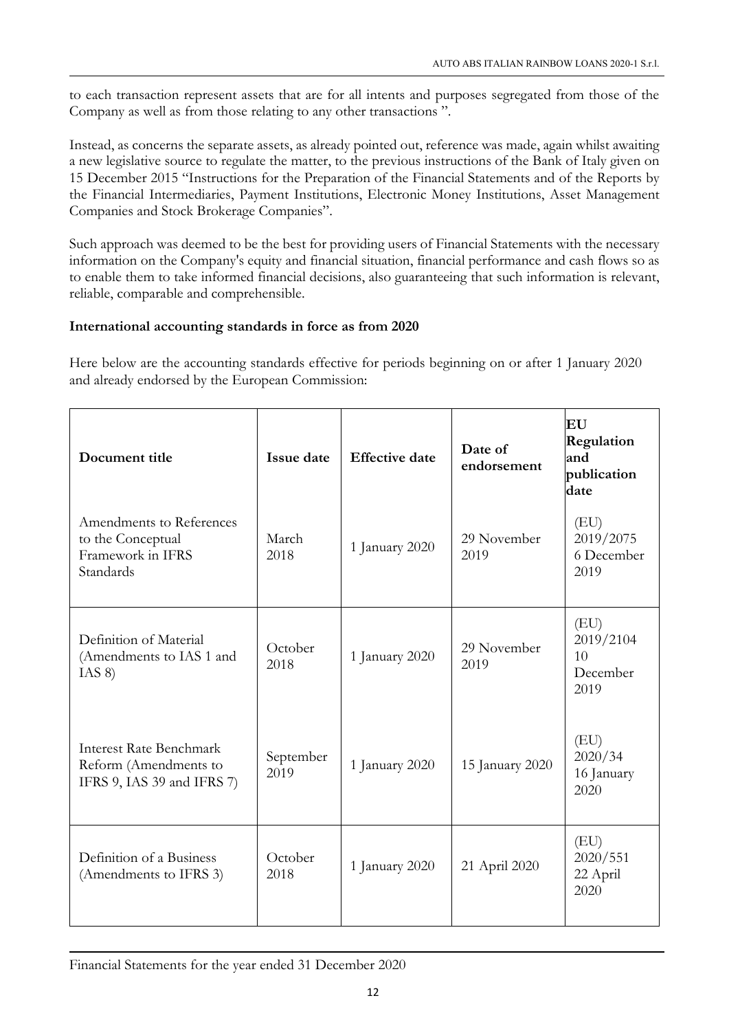to each transaction represent assets that are for all intents and purposes segregated from those of the Company as well as from those relating to any other transactions ".

Instead, as concerns the separate assets, as already pointed out, reference was made, again whilst awaiting a new legislative source to regulate the matter, to the previous instructions of the Bank of Italy given on 15 December 2015 "Instructions for the Preparation of the Financial Statements and of the Reports by the Financial Intermediaries, Payment Institutions, Electronic Money Institutions, Asset Management Companies and Stock Brokerage Companies".

Such approach was deemed to be the best for providing users of Financial Statements with the necessary information on the Company's equity and financial situation, financial performance and cash flows so as to enable them to take informed financial decisions, also guaranteeing that such information is relevant, reliable, comparable and comprehensible.

## International accounting standards in force as from 2020

Here below are the accounting standards effective for periods beginning on or after 1 January 2020 and already endorsed by the European Commission:

| Document title                                                                        | Issue date        | <b>Effective</b> date | Date of<br>endorsement | EU<br>Regulation<br>and<br>publication<br>date |
|---------------------------------------------------------------------------------------|-------------------|-----------------------|------------------------|------------------------------------------------|
| Amendments to References<br>to the Conceptual<br>Framework in IFRS<br>Standards       | March<br>2018     | 1 January 2020        | 29 November<br>2019    | (EU)<br>2019/2075<br>6 December<br>2019        |
| Definition of Material<br>(Amendments to IAS 1 and<br>IAS 8)                          | October<br>2018   | 1 January 2020        | 29 November<br>2019    | (EU)<br>2019/2104<br>10<br>December<br>2019    |
| <b>Interest Rate Benchmark</b><br>Reform (Amendments to<br>IFRS 9, IAS 39 and IFRS 7) | September<br>2019 | 1 January 2020        | 15 January 2020        | (EU)<br>2020/34<br>16 January<br>2020          |
| Definition of a Business<br>(Amendments to IFRS 3)                                    | October<br>2018   | 1 January 2020        | 21 April 2020          | (EU)<br>2020/551<br>22 April<br>2020           |

Financial Statements for the year ended 31 December 2020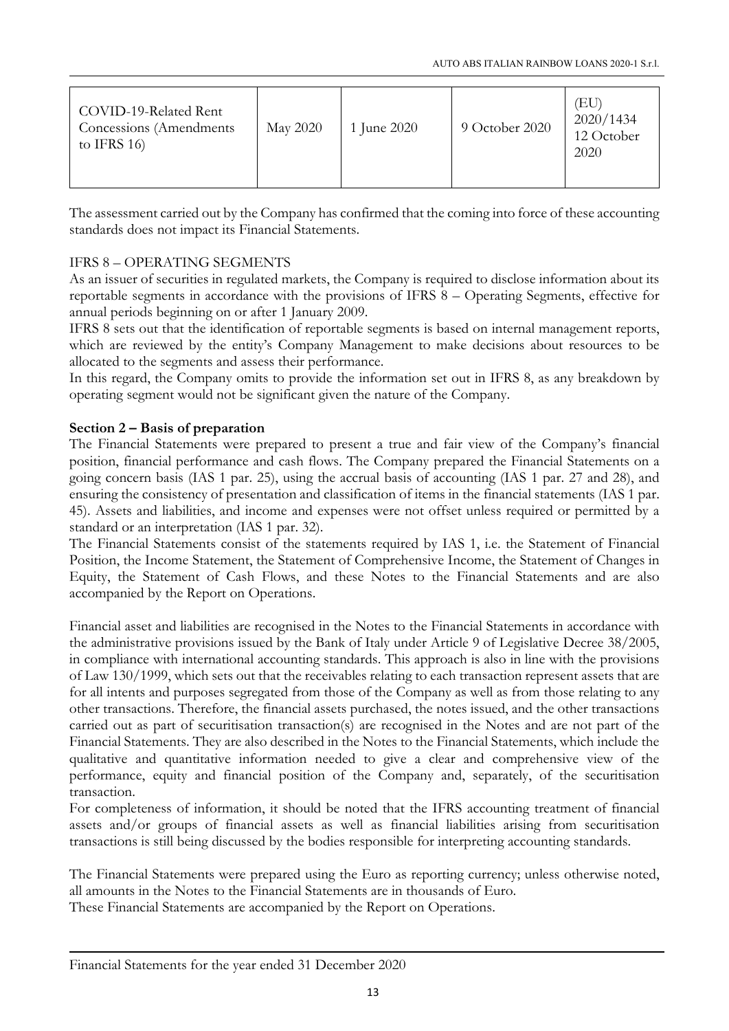| COVID-19-Related Rent<br>Concessions (Amendments)<br>to IFRS $16$ ) | <b>May 2020</b> | 1 June 2020 | 9 October 2020 | ΈU<br>2020/1434<br>12 October<br>2020 |
|---------------------------------------------------------------------|-----------------|-------------|----------------|---------------------------------------|
|---------------------------------------------------------------------|-----------------|-------------|----------------|---------------------------------------|

The assessment carried out by the Company has confirmed that the coming into force of these accounting standards does not impact its Financial Statements.

## IFRS 8 – OPERATING SEGMENTS

As an issuer of securities in regulated markets, the Company is required to disclose information about its reportable segments in accordance with the provisions of IFRS 8 – Operating Segments, effective for annual periods beginning on or after 1 January 2009.

IFRS 8 sets out that the identification of reportable segments is based on internal management reports, which are reviewed by the entity's Company Management to make decisions about resources to be allocated to the segments and assess their performance.

In this regard, the Company omits to provide the information set out in IFRS 8, as any breakdown by operating segment would not be significant given the nature of the Company.

## Section 2 – Basis of preparation

The Financial Statements were prepared to present a true and fair view of the Company's financial position, financial performance and cash flows. The Company prepared the Financial Statements on a going concern basis (IAS 1 par. 25), using the accrual basis of accounting (IAS 1 par. 27 and 28), and ensuring the consistency of presentation and classification of items in the financial statements (IAS 1 par. 45). Assets and liabilities, and income and expenses were not offset unless required or permitted by a standard or an interpretation (IAS 1 par. 32).

The Financial Statements consist of the statements required by IAS 1, i.e. the Statement of Financial Position, the Income Statement, the Statement of Comprehensive Income, the Statement of Changes in Equity, the Statement of Cash Flows, and these Notes to the Financial Statements and are also accompanied by the Report on Operations.

Financial asset and liabilities are recognised in the Notes to the Financial Statements in accordance with the administrative provisions issued by the Bank of Italy under Article 9 of Legislative Decree 38/2005, in compliance with international accounting standards. This approach is also in line with the provisions of Law 130/1999, which sets out that the receivables relating to each transaction represent assets that are for all intents and purposes segregated from those of the Company as well as from those relating to any other transactions. Therefore, the financial assets purchased, the notes issued, and the other transactions carried out as part of securitisation transaction(s) are recognised in the Notes and are not part of the Financial Statements. They are also described in the Notes to the Financial Statements, which include the qualitative and quantitative information needed to give a clear and comprehensive view of the performance, equity and financial position of the Company and, separately, of the securitisation transaction.

For completeness of information, it should be noted that the IFRS accounting treatment of financial assets and/or groups of financial assets as well as financial liabilities arising from securitisation transactions is still being discussed by the bodies responsible for interpreting accounting standards.

The Financial Statements were prepared using the Euro as reporting currency; unless otherwise noted, all amounts in the Notes to the Financial Statements are in thousands of Euro.

These Financial Statements are accompanied by the Report on Operations.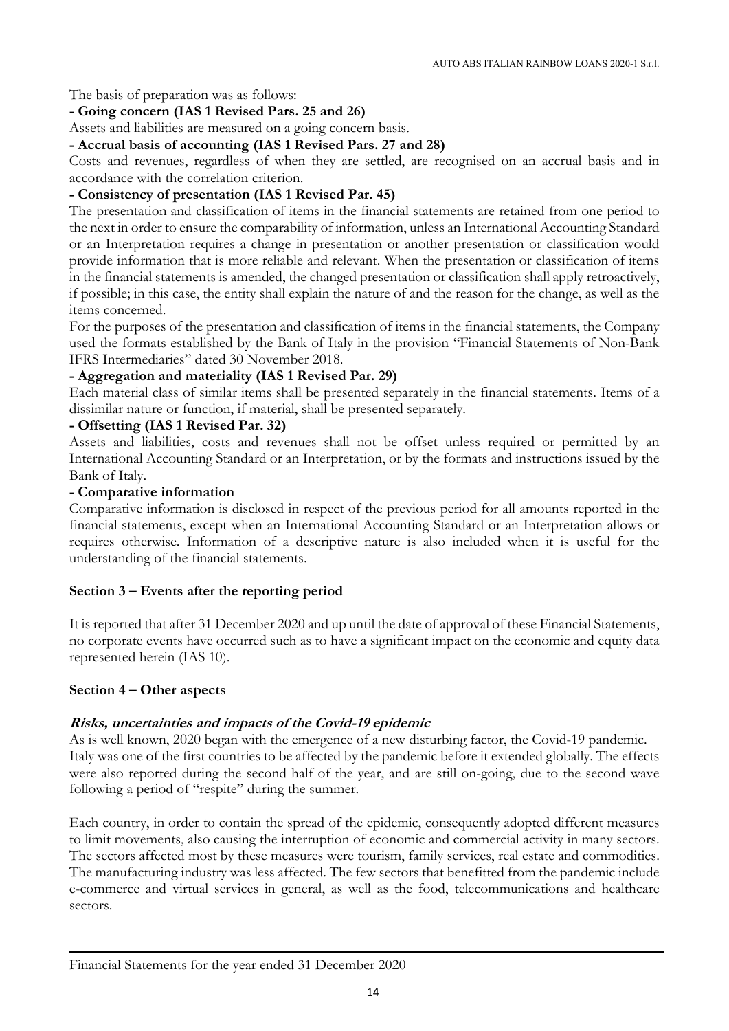The basis of preparation was as follows:

## - Going concern (IAS 1 Revised Pars. 25 and 26)

Assets and liabilities are measured on a going concern basis.

## - Accrual basis of accounting (IAS 1 Revised Pars. 27 and 28)

Costs and revenues, regardless of when they are settled, are recognised on an accrual basis and in accordance with the correlation criterion.

## - Consistency of presentation (IAS 1 Revised Par. 45)

The presentation and classification of items in the financial statements are retained from one period to the next in order to ensure the comparability of information, unless an International Accounting Standard or an Interpretation requires a change in presentation or another presentation or classification would provide information that is more reliable and relevant. When the presentation or classification of items in the financial statements is amended, the changed presentation or classification shall apply retroactively, if possible; in this case, the entity shall explain the nature of and the reason for the change, as well as the items concerned.

For the purposes of the presentation and classification of items in the financial statements, the Company used the formats established by the Bank of Italy in the provision "Financial Statements of Non-Bank IFRS Intermediaries" dated 30 November 2018.

## - Aggregation and materiality (IAS 1 Revised Par. 29)

Each material class of similar items shall be presented separately in the financial statements. Items of a dissimilar nature or function, if material, shall be presented separately.

## - Offsetting (IAS 1 Revised Par. 32)

Assets and liabilities, costs and revenues shall not be offset unless required or permitted by an International Accounting Standard or an Interpretation, or by the formats and instructions issued by the Bank of Italy.

#### - Comparative information

Comparative information is disclosed in respect of the previous period for all amounts reported in the financial statements, except when an International Accounting Standard or an Interpretation allows or requires otherwise. Information of a descriptive nature is also included when it is useful for the understanding of the financial statements.

## Section 3 – Events after the reporting period

It is reported that after 31 December 2020 and up until the date of approval of these Financial Statements, no corporate events have occurred such as to have a significant impact on the economic and equity data represented herein (IAS 10).

## Section 4 – Other aspects

## Risks, uncertainties and impacts of the Covid-19 epidemic

As is well known, 2020 began with the emergence of a new disturbing factor, the Covid-19 pandemic. Italy was one of the first countries to be affected by the pandemic before it extended globally. The effects were also reported during the second half of the year, and are still on-going, due to the second wave following a period of "respite" during the summer.

Each country, in order to contain the spread of the epidemic, consequently adopted different measures to limit movements, also causing the interruption of economic and commercial activity in many sectors. The sectors affected most by these measures were tourism, family services, real estate and commodities. The manufacturing industry was less affected. The few sectors that benefitted from the pandemic include e-commerce and virtual services in general, as well as the food, telecommunications and healthcare sectors.

#### Financial Statements for the year ended 31 December 2020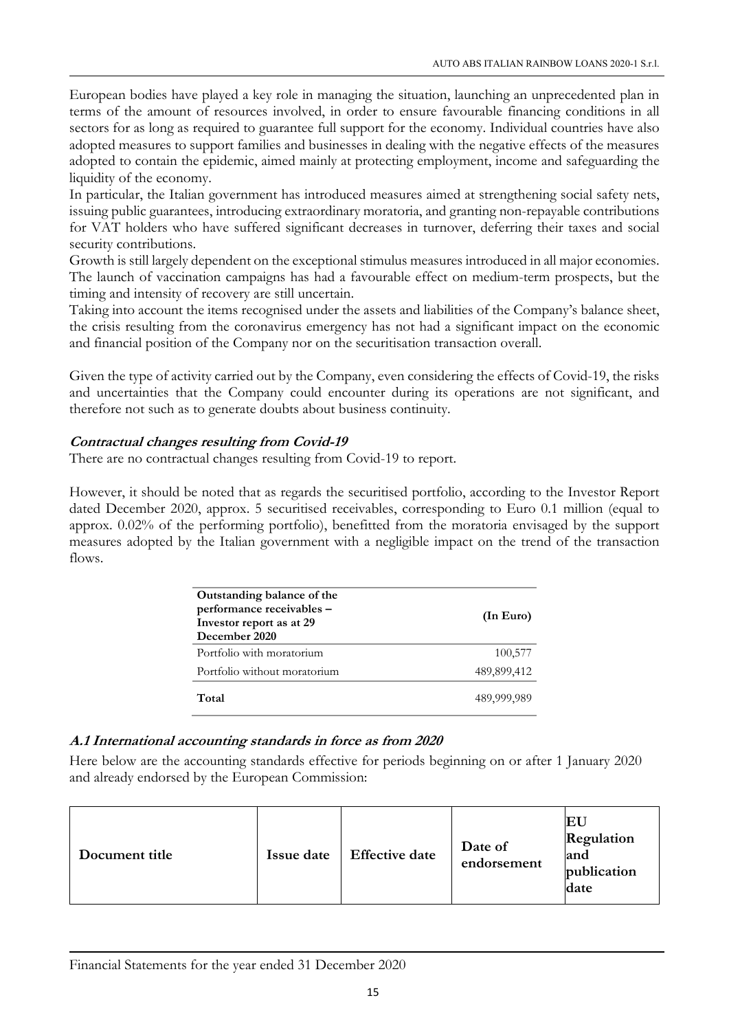European bodies have played a key role in managing the situation, launching an unprecedented plan in terms of the amount of resources involved, in order to ensure favourable financing conditions in all sectors for as long as required to guarantee full support for the economy. Individual countries have also adopted measures to support families and businesses in dealing with the negative effects of the measures adopted to contain the epidemic, aimed mainly at protecting employment, income and safeguarding the liquidity of the economy.

In particular, the Italian government has introduced measures aimed at strengthening social safety nets, issuing public guarantees, introducing extraordinary moratoria, and granting non-repayable contributions for VAT holders who have suffered significant decreases in turnover, deferring their taxes and social security contributions.

Growth is still largely dependent on the exceptional stimulus measures introduced in all major economies. The launch of vaccination campaigns has had a favourable effect on medium-term prospects, but the timing and intensity of recovery are still uncertain.

Taking into account the items recognised under the assets and liabilities of the Company's balance sheet, the crisis resulting from the coronavirus emergency has not had a significant impact on the economic and financial position of the Company nor on the securitisation transaction overall.

Given the type of activity carried out by the Company, even considering the effects of Covid-19, the risks and uncertainties that the Company could encounter during its operations are not significant, and therefore not such as to generate doubts about business continuity.

## Contractual changes resulting from Covid-19

There are no contractual changes resulting from Covid-19 to report.

However, it should be noted that as regards the securitised portfolio, according to the Investor Report dated December 2020, approx. 5 securitised receivables, corresponding to Euro 0.1 million (equal to approx. 0.02% of the performing portfolio), benefitted from the moratoria envisaged by the support measures adopted by the Italian government with a negligible impact on the trend of the transaction flows.

| Outstanding balance of the<br>performance receivables -<br>Investor report as at 29<br>December 2020 | (In Euro)   |
|------------------------------------------------------------------------------------------------------|-------------|
| Portfolio with moratorium                                                                            | 100,577     |
| Portfolio without moratorium                                                                         | 489,899,412 |
| Total                                                                                                | 489,999,989 |

## A.1 International accounting standards in force as from 2020

Here below are the accounting standards effective for periods beginning on or after 1 January 2020 and already endorsed by the European Commission:

| Issue date<br>Document title | <b>Effective date</b> | Date of<br>endorsement | EU<br>Regulation<br>and<br>publication<br>date |
|------------------------------|-----------------------|------------------------|------------------------------------------------|
|------------------------------|-----------------------|------------------------|------------------------------------------------|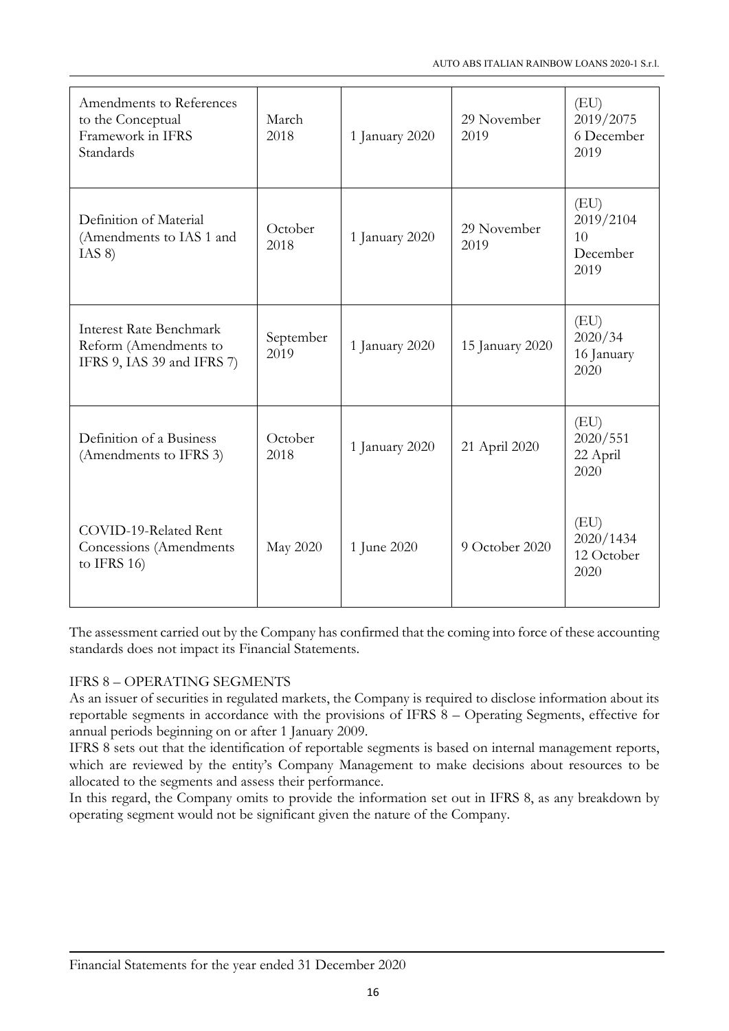| Amendments to References<br>to the Conceptual<br>Framework in IFRS<br>Standards       | March<br>2018     | 1 January 2020 | 29 November<br>2019 | (EU)<br>2019/2075<br>6 December<br>2019     |
|---------------------------------------------------------------------------------------|-------------------|----------------|---------------------|---------------------------------------------|
| Definition of Material<br>(Amendments to IAS 1 and<br>IAS 8)                          | October<br>2018   | 1 January 2020 | 29 November<br>2019 | (EU)<br>2019/2104<br>10<br>December<br>2019 |
| <b>Interest Rate Benchmark</b><br>Reform (Amendments to<br>IFRS 9, IAS 39 and IFRS 7) | September<br>2019 | 1 January 2020 | 15 January 2020     | (EU)<br>2020/34<br>16 January<br>2020       |
| Definition of a Business<br>(Amendments to IFRS 3)                                    | October<br>2018   | 1 January 2020 | 21 April 2020       | (EU)<br>2020/551<br>22 April<br>2020        |
| COVID-19-Related Rent<br>Concessions (Amendments<br>to IFRS $16$ )                    | May 2020          | 1 June 2020    | 9 October 2020      | (EU)<br>2020/1434<br>12 October<br>2020     |

The assessment carried out by the Company has confirmed that the coming into force of these accounting standards does not impact its Financial Statements.

## IFRS 8 – OPERATING SEGMENTS

As an issuer of securities in regulated markets, the Company is required to disclose information about its reportable segments in accordance with the provisions of IFRS 8 – Operating Segments, effective for annual periods beginning on or after 1 January 2009.

IFRS 8 sets out that the identification of reportable segments is based on internal management reports, which are reviewed by the entity's Company Management to make decisions about resources to be allocated to the segments and assess their performance.

In this regard, the Company omits to provide the information set out in IFRS 8, as any breakdown by operating segment would not be significant given the nature of the Company.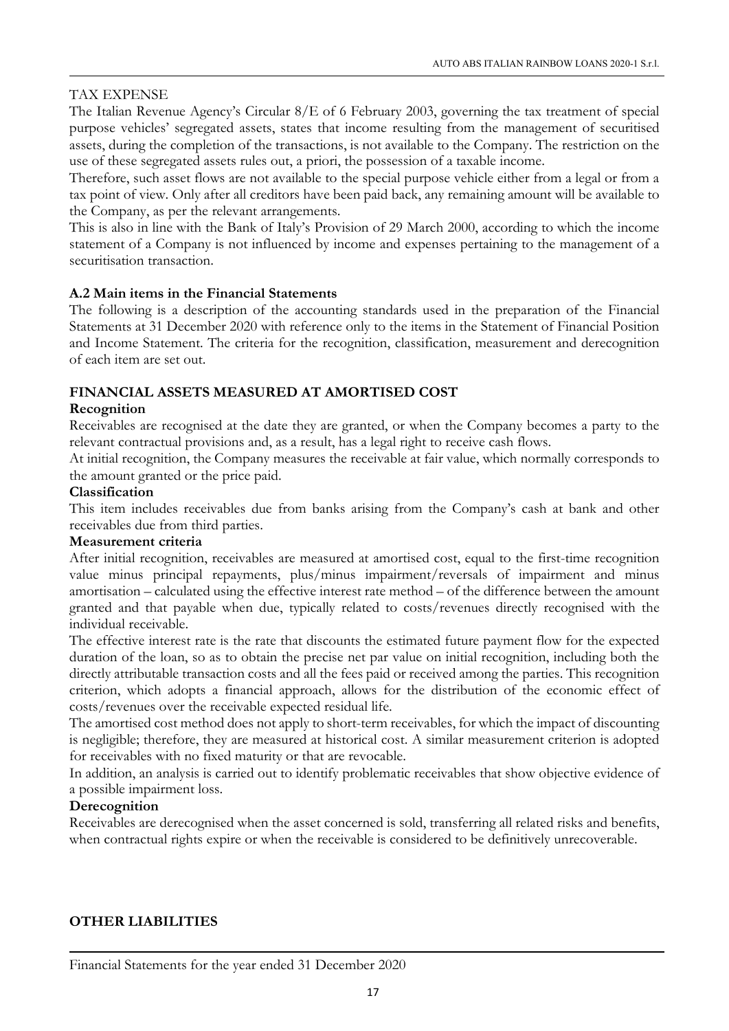## TAX EXPENSE

The Italian Revenue Agency's Circular 8/E of 6 February 2003, governing the tax treatment of special purpose vehicles' segregated assets, states that income resulting from the management of securitised assets, during the completion of the transactions, is not available to the Company. The restriction on the use of these segregated assets rules out, a priori, the possession of a taxable income.

Therefore, such asset flows are not available to the special purpose vehicle either from a legal or from a tax point of view. Only after all creditors have been paid back, any remaining amount will be available to the Company, as per the relevant arrangements.

This is also in line with the Bank of Italy's Provision of 29 March 2000, according to which the income statement of a Company is not influenced by income and expenses pertaining to the management of a securitisation transaction.

## A.2 Main items in the Financial Statements

The following is a description of the accounting standards used in the preparation of the Financial Statements at 31 December 2020 with reference only to the items in the Statement of Financial Position and Income Statement. The criteria for the recognition, classification, measurement and derecognition of each item are set out.

## FINANCIAL ASSETS MEASURED AT AMORTISED COST

## Recognition

Receivables are recognised at the date they are granted, or when the Company becomes a party to the relevant contractual provisions and, as a result, has a legal right to receive cash flows.

At initial recognition, the Company measures the receivable at fair value, which normally corresponds to the amount granted or the price paid.

## Classification

This item includes receivables due from banks arising from the Company's cash at bank and other receivables due from third parties.

## Measurement criteria

After initial recognition, receivables are measured at amortised cost, equal to the first-time recognition value minus principal repayments, plus/minus impairment/reversals of impairment and minus amortisation – calculated using the effective interest rate method – of the difference between the amount granted and that payable when due, typically related to costs/revenues directly recognised with the individual receivable.

The effective interest rate is the rate that discounts the estimated future payment flow for the expected duration of the loan, so as to obtain the precise net par value on initial recognition, including both the directly attributable transaction costs and all the fees paid or received among the parties. This recognition criterion, which adopts a financial approach, allows for the distribution of the economic effect of costs/revenues over the receivable expected residual life.

The amortised cost method does not apply to short-term receivables, for which the impact of discounting is negligible; therefore, they are measured at historical cost. A similar measurement criterion is adopted for receivables with no fixed maturity or that are revocable.

In addition, an analysis is carried out to identify problematic receivables that show objective evidence of a possible impairment loss.

## Derecognition

Receivables are derecognised when the asset concerned is sold, transferring all related risks and benefits, when contractual rights expire or when the receivable is considered to be definitively unrecoverable.

## OTHER LIABILITIES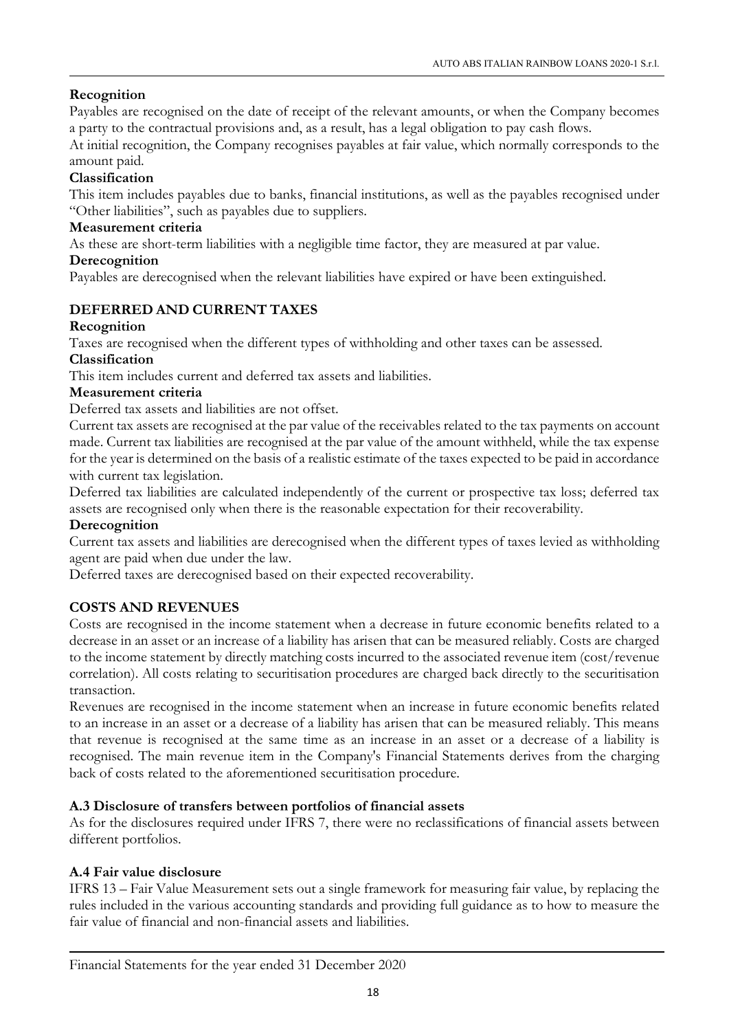## Recognition

Payables are recognised on the date of receipt of the relevant amounts, or when the Company becomes a party to the contractual provisions and, as a result, has a legal obligation to pay cash flows.

At initial recognition, the Company recognises payables at fair value, which normally corresponds to the amount paid.

## Classification

This item includes payables due to banks, financial institutions, as well as the payables recognised under "Other liabilities", such as payables due to suppliers.

## Measurement criteria

As these are short-term liabilities with a negligible time factor, they are measured at par value.

## **Derecognition**

Payables are derecognised when the relevant liabilities have expired or have been extinguished.

## DEFERRED AND CURRENT TAXES

## Recognition

Taxes are recognised when the different types of withholding and other taxes can be assessed.

## Classification

This item includes current and deferred tax assets and liabilities.

## Measurement criteria

Deferred tax assets and liabilities are not offset.

Current tax assets are recognised at the par value of the receivables related to the tax payments on account made. Current tax liabilities are recognised at the par value of the amount withheld, while the tax expense for the year is determined on the basis of a realistic estimate of the taxes expected to be paid in accordance with current tax legislation.

Deferred tax liabilities are calculated independently of the current or prospective tax loss; deferred tax assets are recognised only when there is the reasonable expectation for their recoverability.

## **Derecognition**

Current tax assets and liabilities are derecognised when the different types of taxes levied as withholding agent are paid when due under the law.

Deferred taxes are derecognised based on their expected recoverability.

## COSTS AND REVENUES

Costs are recognised in the income statement when a decrease in future economic benefits related to a decrease in an asset or an increase of a liability has arisen that can be measured reliably. Costs are charged to the income statement by directly matching costs incurred to the associated revenue item (cost/revenue correlation). All costs relating to securitisation procedures are charged back directly to the securitisation transaction.

Revenues are recognised in the income statement when an increase in future economic benefits related to an increase in an asset or a decrease of a liability has arisen that can be measured reliably. This means that revenue is recognised at the same time as an increase in an asset or a decrease of a liability is recognised. The main revenue item in the Company's Financial Statements derives from the charging back of costs related to the aforementioned securitisation procedure.

## A.3 Disclosure of transfers between portfolios of financial assets

As for the disclosures required under IFRS 7, there were no reclassifications of financial assets between different portfolios.

## A.4 Fair value disclosure

IFRS 13 – Fair Value Measurement sets out a single framework for measuring fair value, by replacing the rules included in the various accounting standards and providing full guidance as to how to measure the fair value of financial and non-financial assets and liabilities.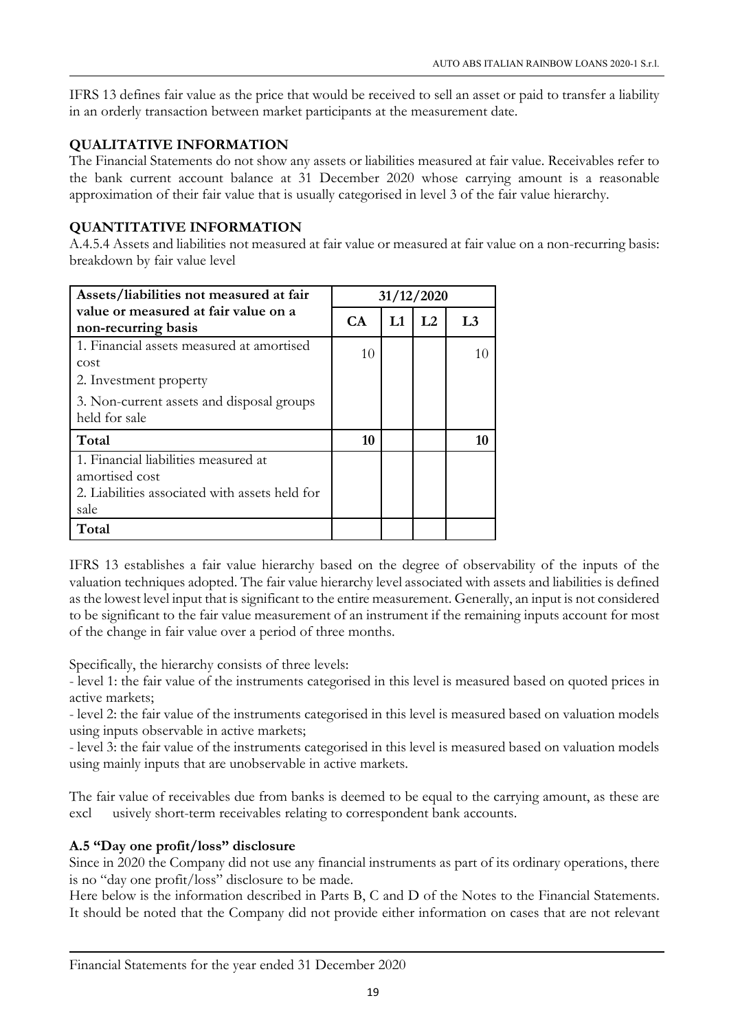IFRS 13 defines fair value as the price that would be received to sell an asset or paid to transfer a liability in an orderly transaction between market participants at the measurement date.

## QUALITATIVE INFORMATION

The Financial Statements do not show any assets or liabilities measured at fair value. Receivables refer to the bank current account balance at 31 December 2020 whose carrying amount is a reasonable approximation of their fair value that is usually categorised in level 3 of the fair value hierarchy.

## QUANTITATIVE INFORMATION

A.4.5.4 Assets and liabilities not measured at fair value or measured at fair value on a non-recurring basis: breakdown by fair value level

| Assets/liabilities not measured at fair                                                                          | 31/12/2020 |    |                |                |
|------------------------------------------------------------------------------------------------------------------|------------|----|----------------|----------------|
| value or measured at fair value on a<br>non-recurring basis                                                      |            | L1 | L <sub>2</sub> | L <sub>3</sub> |
| 1. Financial assets measured at amortised<br>cost<br>2. Investment property                                      | 10         |    |                | 10             |
| 3. Non-current assets and disposal groups<br>held for sale                                                       |            |    |                |                |
| Total                                                                                                            | 10         |    |                | 10             |
| 1. Financial liabilities measured at<br>amortised cost<br>2. Liabilities associated with assets held for<br>sale |            |    |                |                |
| Total                                                                                                            |            |    |                |                |

IFRS 13 establishes a fair value hierarchy based on the degree of observability of the inputs of the valuation techniques adopted. The fair value hierarchy level associated with assets and liabilities is defined as the lowest level input that is significant to the entire measurement. Generally, an input is not considered to be significant to the fair value measurement of an instrument if the remaining inputs account for most of the change in fair value over a period of three months.

Specifically, the hierarchy consists of three levels:

- level 1: the fair value of the instruments categorised in this level is measured based on quoted prices in active markets;

- level 2: the fair value of the instruments categorised in this level is measured based on valuation models using inputs observable in active markets;

- level 3: the fair value of the instruments categorised in this level is measured based on valuation models using mainly inputs that are unobservable in active markets.

The fair value of receivables due from banks is deemed to be equal to the carrying amount, as these are excl usively short-term receivables relating to correspondent bank accounts.

## A.5 "Day one profit/loss" disclosure

Since in 2020 the Company did not use any financial instruments as part of its ordinary operations, there is no "day one profit/loss" disclosure to be made.

Here below is the information described in Parts B, C and D of the Notes to the Financial Statements. It should be noted that the Company did not provide either information on cases that are not relevant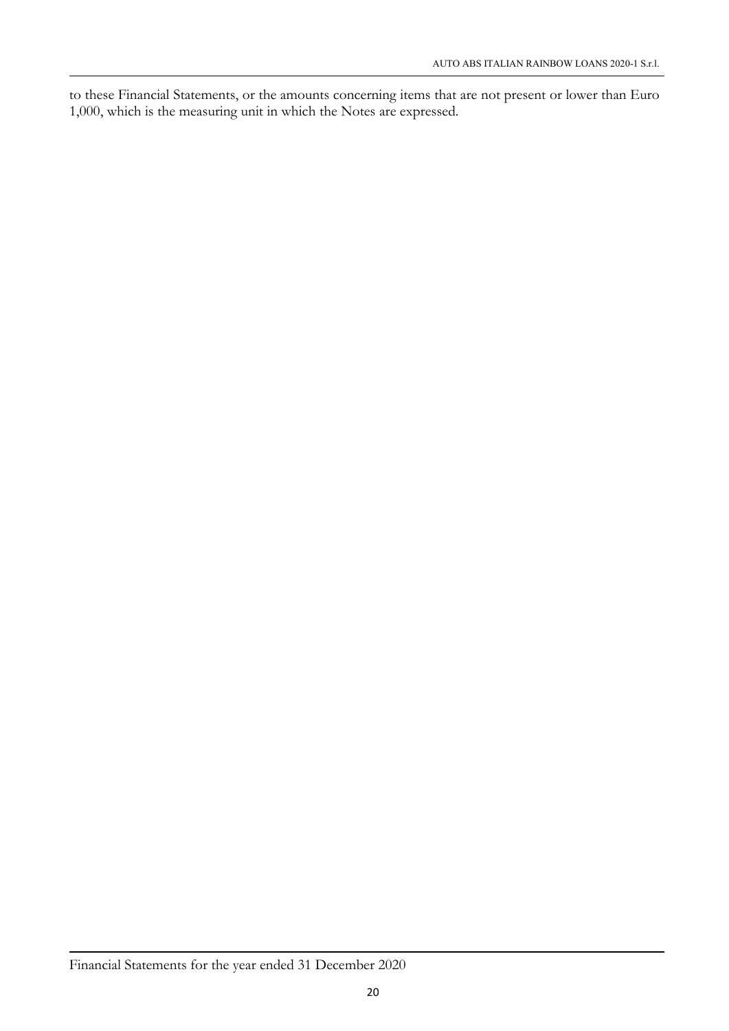to these Financial Statements, or the amounts concerning items that are not present or lower than Euro 1,000, which is the measuring unit in which the Notes are expressed.

## Financial Statements for the year ended 31 December 2020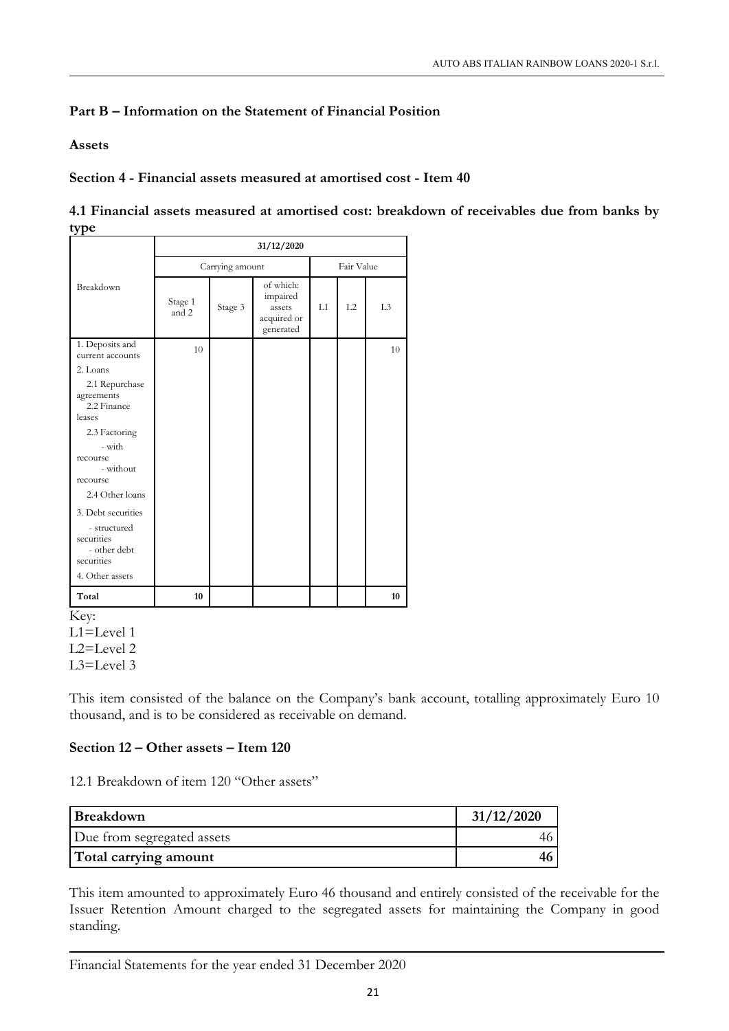## Part B – Information on the Statement of Financial Position

Assets

Section 4 - Financial assets measured at amortised cost - Item 40

|      | 4.1 Financial assets measured at amortised cost: breakdown of receivables due from banks by |
|------|---------------------------------------------------------------------------------------------|
| type |                                                                                             |

|                                                                                | 31/12/2020       |                 |                                                             |    |            |                |
|--------------------------------------------------------------------------------|------------------|-----------------|-------------------------------------------------------------|----|------------|----------------|
|                                                                                |                  | Carrying amount |                                                             |    | Fair Value |                |
| Breakdown                                                                      | Stage 1<br>and 2 | Stage 3         | of which:<br>impaired<br>assets<br>acquired or<br>generated | L1 | L2         | L <sub>3</sub> |
| 1. Deposits and<br>current accounts                                            | 10               |                 |                                                             |    |            | 10             |
| 2. Loans                                                                       |                  |                 |                                                             |    |            |                |
| 2.1 Repurchase<br>agreements<br>2.2 Finance<br>leases                          |                  |                 |                                                             |    |            |                |
| 2.3 Factoring                                                                  |                  |                 |                                                             |    |            |                |
| - with                                                                         |                  |                 |                                                             |    |            |                |
| recourse<br>- without                                                          |                  |                 |                                                             |    |            |                |
| recourse                                                                       |                  |                 |                                                             |    |            |                |
| 2.4 Other loans                                                                |                  |                 |                                                             |    |            |                |
| 3. Debt securities<br>- structured<br>securities<br>- other debt<br>securities |                  |                 |                                                             |    |            |                |
| 4. Other assets                                                                |                  |                 |                                                             |    |            |                |
| Total                                                                          | 10               |                 |                                                             |    |            | 10             |
| Key:                                                                           |                  |                 |                                                             |    |            |                |
| $L1 = Level 1$                                                                 |                  |                 |                                                             |    |            |                |
| L2=Level 2                                                                     |                  |                 |                                                             |    |            |                |
| $L3 = Level 3$                                                                 |                  |                 |                                                             |    |            |                |

This item consisted of the balance on the Company's bank account, totalling approximately Euro 10 thousand, and is to be considered as receivable on demand.

## Section 12 – Other assets – Item 120

12.1 Breakdown of item 120 "Other assets"

| <b>Breakdown</b>           | 31/12/2020 |
|----------------------------|------------|
| Due from segregated assets |            |
| Total carrying amount      |            |

This item amounted to approximately Euro 46 thousand and entirely consisted of the receivable for the Issuer Retention Amount charged to the segregated assets for maintaining the Company in good standing.

Financial Statements for the year ended 31 December 2020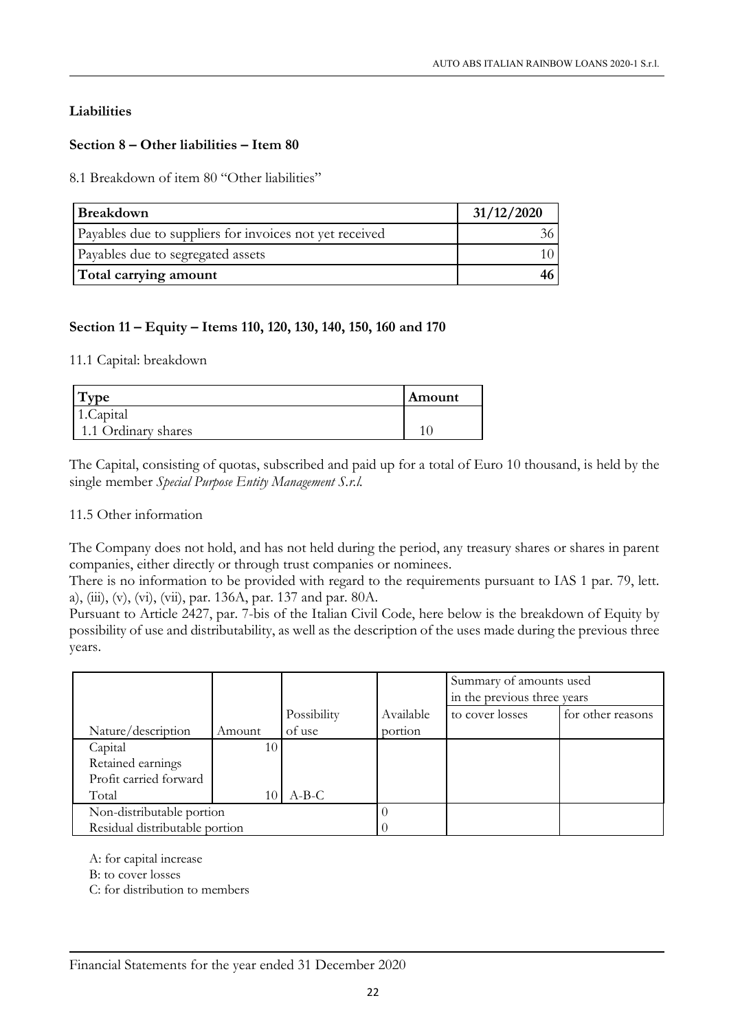## Liabilities

## Section 8 – Other liabilities – Item 80

8.1 Breakdown of item 80 "Other liabilities"

| <b>Breakdown</b>                                        | 31/12/2020 |
|---------------------------------------------------------|------------|
| Payables due to suppliers for invoices not yet received |            |
| Payables due to segregated assets                       |            |
| Total carrying amount                                   |            |

## Section 11 – Equity – Items 110, 120, 130, 140, 150, 160 and 170

#### 11.1 Capital: breakdown

| vpe                 | Amount |
|---------------------|--------|
| 1.Capital           |        |
| 1.1 Ordinary shares |        |

The Capital, consisting of quotas, subscribed and paid up for a total of Euro 10 thousand, is held by the single member *Special Purpose Entity Management S.r.l.*

#### 11.5 Other information

The Company does not hold, and has not held during the period, any treasury shares or shares in parent companies, either directly or through trust companies or nominees.

There is no information to be provided with regard to the requirements pursuant to IAS 1 par. 79, lett. a), (iii), (v), (vi), (vii), par. 136A, par. 137 and par. 80A.

Pursuant to Article 2427, par. 7-bis of the Italian Civil Code, here below is the breakdown of Equity by possibility of use and distributability, as well as the description of the uses made during the previous three years.

|                                |        |             |           | Summary of amounts used<br>in the previous three years |                   |
|--------------------------------|--------|-------------|-----------|--------------------------------------------------------|-------------------|
|                                |        | Possibility | Available | to cover losses                                        | for other reasons |
| Nature/description             | Amount | of use      | portion   |                                                        |                   |
| Capital                        | 10     |             |           |                                                        |                   |
| Retained earnings              |        |             |           |                                                        |                   |
| Profit carried forward         |        |             |           |                                                        |                   |
| Total                          | 10     | $A-B-C$     |           |                                                        |                   |
| Non-distributable portion      |        |             |           |                                                        |                   |
| Residual distributable portion |        |             |           |                                                        |                   |

A: for capital increase

B: to cover losses

C: for distribution to members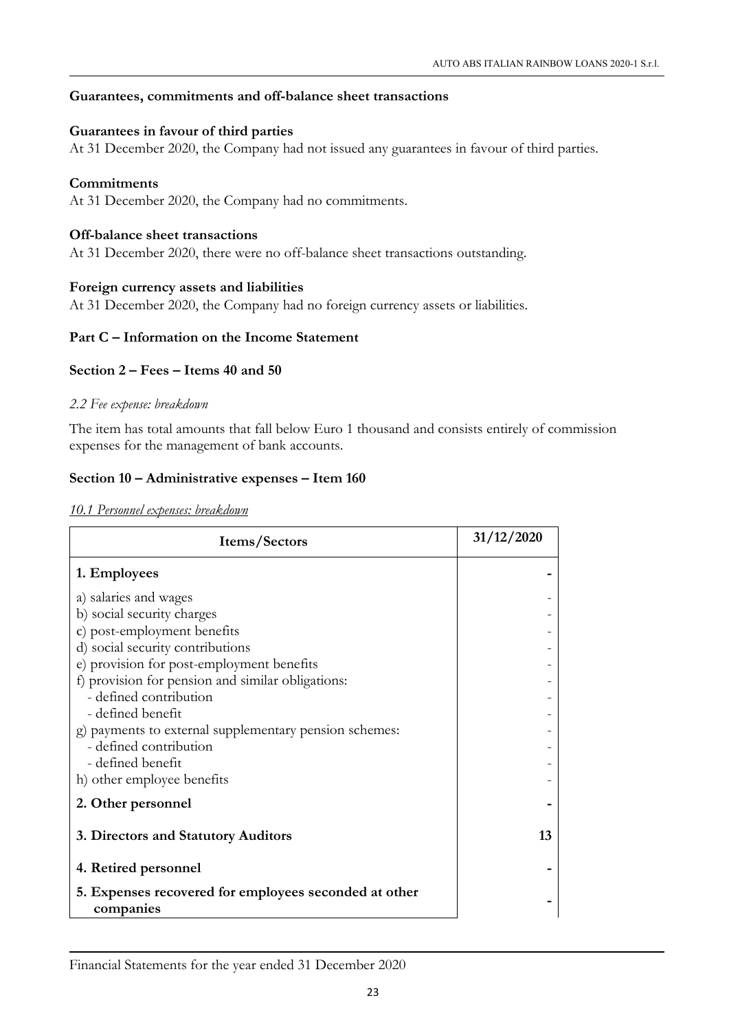#### Guarantees, commitments and off-balance sheet transactions

#### Guarantees in favour of third parties

At 31 December 2020, the Company had not issued any guarantees in favour of third parties.

#### **Commitments**

At 31 December 2020, the Company had no commitments.

#### Off-balance sheet transactions

At 31 December 2020, there were no off-balance sheet transactions outstanding.

#### Foreign currency assets and liabilities

At 31 December 2020, the Company had no foreign currency assets or liabilities.

#### Part C – Information on the Income Statement

## Section 2 – Fees – Items 40 and 50

#### *2.2 Fee expense: breakdown*

The item has total amounts that fall below Euro 1 thousand and consists entirely of commission expenses for the management of bank accounts.

#### Section 10 – Administrative expenses – Item 160

*10.1 Personnel expenses: breakdown* 

| Items/Sectors                                          | 31/12/2020 |
|--------------------------------------------------------|------------|
| 1. Employees                                           |            |
| a) salaries and wages                                  |            |
| b) social security charges                             |            |
| c) post-employment benefits                            |            |
| d) social security contributions                       |            |
| e) provision for post-employment benefits              |            |
| f) provision for pension and similar obligations:      |            |
| - defined contribution                                 |            |
| - defined benefit                                      |            |
| g) payments to external supplementary pension schemes: |            |
| - defined contribution                                 |            |
| - defined benefit                                      |            |
| h) other employee benefits                             |            |
| 2. Other personnel                                     |            |
| 3. Directors and Statutory Auditors                    | 13         |
| 4. Retired personnel                                   |            |
| 5. Expenses recovered for employees seconded at other  |            |
| companies                                              |            |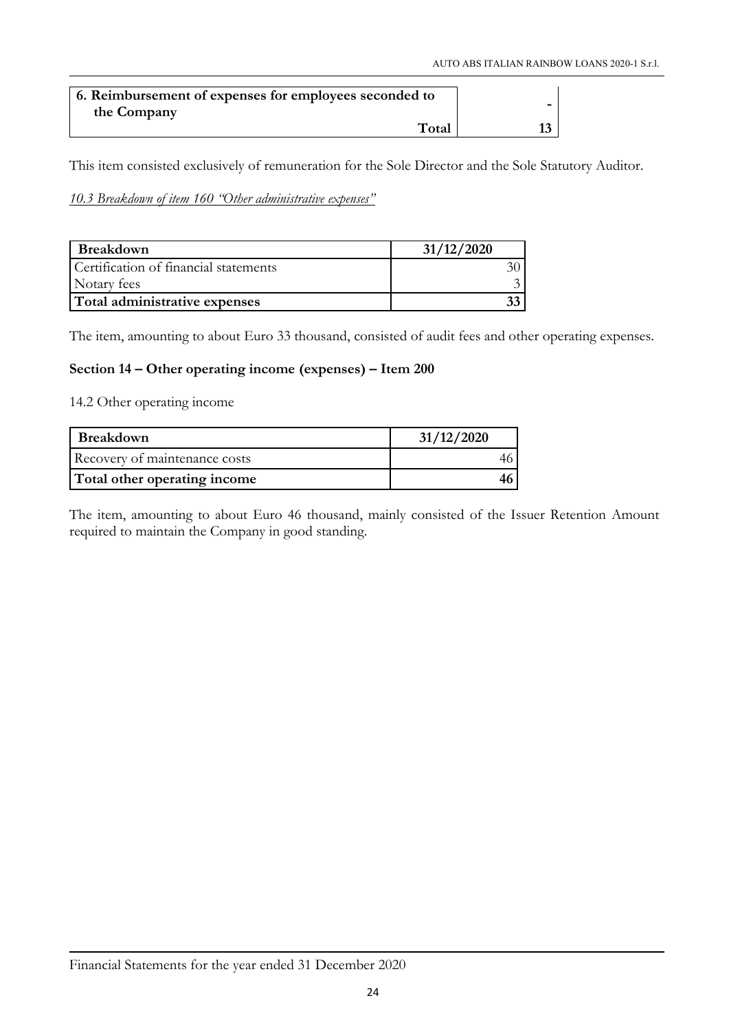| 6. Reimbursement of expenses for employees seconded to |  |
|--------------------------------------------------------|--|
| the Company                                            |  |
| Total                                                  |  |

This item consisted exclusively of remuneration for the Sole Director and the Sole Statutory Auditor.

## *10.3 Breakdown of item 160 "Other administrative expenses"*

| Breakdown                             | 31/12/2020 |
|---------------------------------------|------------|
| Certification of financial statements |            |
| Notary fees                           |            |
| Total administrative expenses         |            |

The item, amounting to about Euro 33 thousand, consisted of audit fees and other operating expenses.

### Section 14 – Other operating income (expenses) – Item 200

14.2 Other operating income

| Breakdown                     | 31/12/2020 |
|-------------------------------|------------|
| Recovery of maintenance costs |            |
| Total other operating income  |            |

The item, amounting to about Euro 46 thousand, mainly consisted of the Issuer Retention Amount required to maintain the Company in good standing.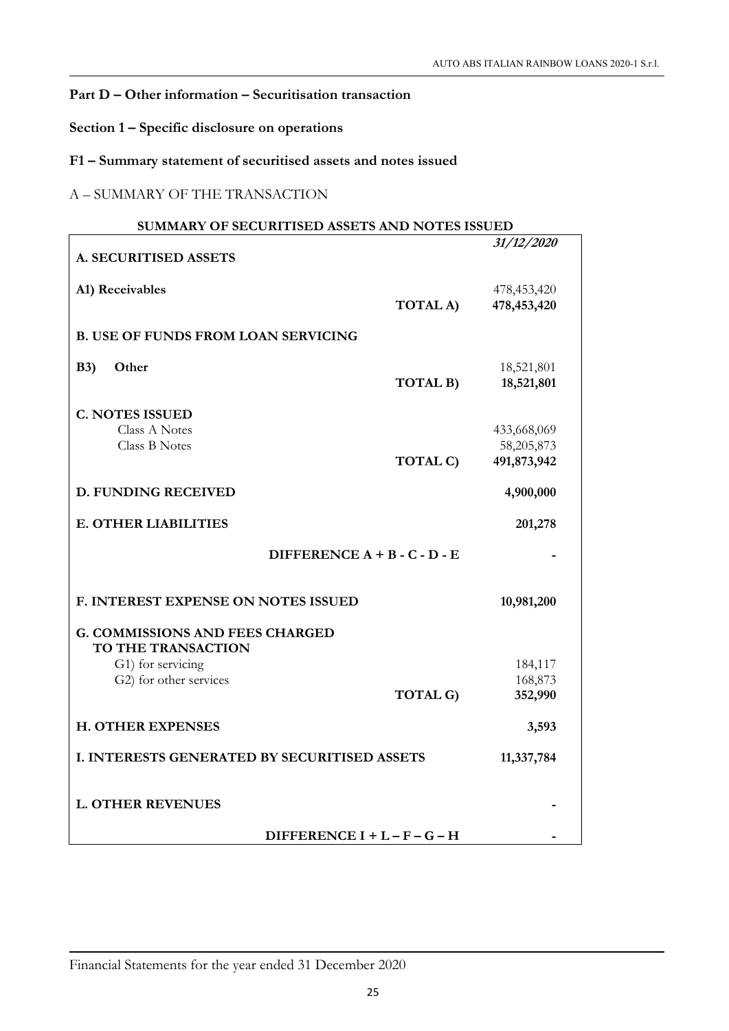## Part D – Other information – Securitisation transaction

Section 1 – Specific disclosure on operations

## F1 – Summary statement of securitised assets and notes issued

## A – SUMMARY OF THE TRANSACTION

| SUMMARY OF SECURITISED ASSETS AND NOTES ISSUED               |                 |                           |
|--------------------------------------------------------------|-----------------|---------------------------|
|                                                              |                 | 31/12/2020                |
| A. SECURITISED ASSETS                                        |                 |                           |
|                                                              |                 |                           |
| A1) Receivables                                              |                 | 478,453,420               |
|                                                              | TOTAL A)        | 478,453,420               |
| <b>B. USE OF FUNDS FROM LOAN SERVICING</b>                   |                 |                           |
|                                                              |                 |                           |
| B3)<br>Other                                                 |                 | 18,521,801                |
|                                                              | TOTAL B)        | 18,521,801                |
|                                                              |                 |                           |
| <b>C. NOTES ISSUED</b>                                       |                 |                           |
| <b>Class A Notes</b>                                         |                 | 433,668,069               |
| <b>Class B Notes</b>                                         | TOTAL C)        | 58,205,873<br>491,873,942 |
|                                                              |                 |                           |
| <b>D. FUNDING RECEIVED</b>                                   |                 | 4,900,000                 |
| <b>E. OTHER LIABILITIES</b>                                  |                 | 201,278                   |
| DIFFERENCE $A + B - C - D - E$                               |                 |                           |
| F. INTEREST EXPENSE ON NOTES ISSUED                          |                 | 10,981,200                |
| <b>G. COMMISSIONS AND FEES CHARGED</b><br>TO THE TRANSACTION |                 |                           |
| G1) for servicing                                            |                 | 184,117                   |
| G2) for other services                                       |                 | 168,873                   |
|                                                              | <b>TOTAL G)</b> | 352,990                   |
|                                                              |                 |                           |
| <b>H. OTHER EXPENSES</b>                                     |                 | 3,593                     |
| I. INTERESTS GENERATED BY SECURITISED ASSETS                 |                 | 11,337,784                |
|                                                              |                 |                           |
|                                                              |                 |                           |
| <b>L. OTHER REVENUES</b>                                     |                 |                           |
|                                                              |                 |                           |
| DIFFERENCE $I + L - F - G - H$                               |                 |                           |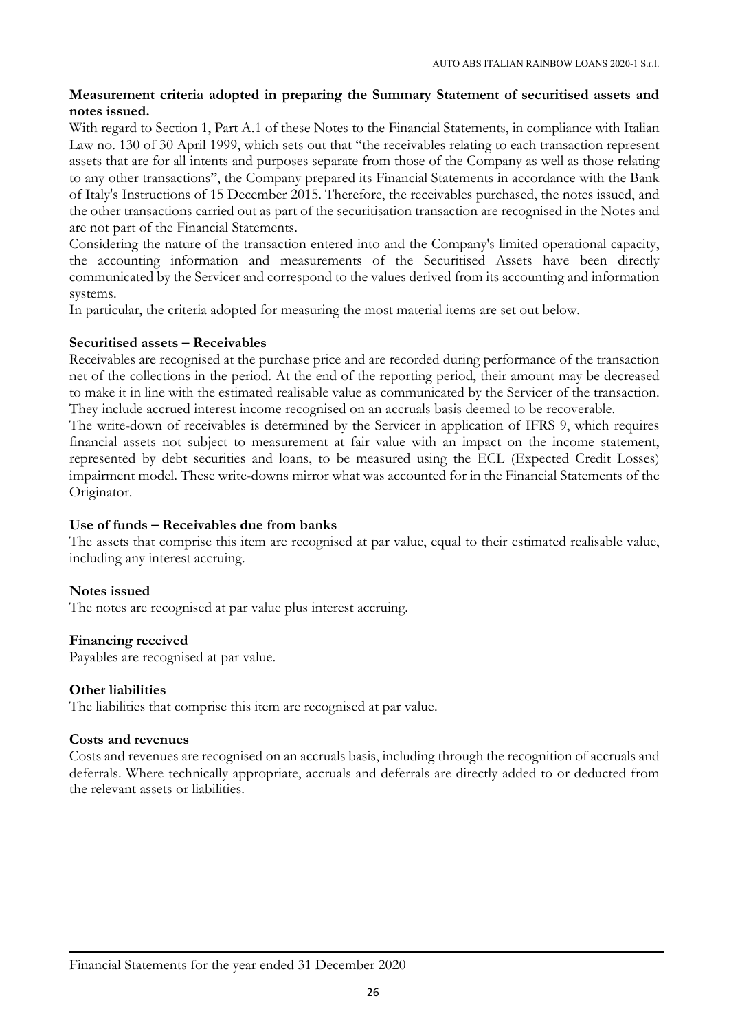## Measurement criteria adopted in preparing the Summary Statement of securitised assets and notes issued.

With regard to Section 1, Part A.1 of these Notes to the Financial Statements, in compliance with Italian Law no. 130 of 30 April 1999, which sets out that "the receivables relating to each transaction represent assets that are for all intents and purposes separate from those of the Company as well as those relating to any other transactions", the Company prepared its Financial Statements in accordance with the Bank of Italy's Instructions of 15 December 2015. Therefore, the receivables purchased, the notes issued, and the other transactions carried out as part of the securitisation transaction are recognised in the Notes and are not part of the Financial Statements.

Considering the nature of the transaction entered into and the Company's limited operational capacity, the accounting information and measurements of the Securitised Assets have been directly communicated by the Servicer and correspond to the values derived from its accounting and information systems.

In particular, the criteria adopted for measuring the most material items are set out below.

#### Securitised assets – Receivables

Receivables are recognised at the purchase price and are recorded during performance of the transaction net of the collections in the period. At the end of the reporting period, their amount may be decreased to make it in line with the estimated realisable value as communicated by the Servicer of the transaction. They include accrued interest income recognised on an accruals basis deemed to be recoverable.

The write-down of receivables is determined by the Servicer in application of IFRS 9, which requires financial assets not subject to measurement at fair value with an impact on the income statement, represented by debt securities and loans, to be measured using the ECL (Expected Credit Losses) impairment model. These write-downs mirror what was accounted for in the Financial Statements of the Originator.

## Use of funds – Receivables due from banks

The assets that comprise this item are recognised at par value, equal to their estimated realisable value, including any interest accruing.

## Notes issued

The notes are recognised at par value plus interest accruing.

#### Financing received

Payables are recognised at par value.

#### Other liabilities

The liabilities that comprise this item are recognised at par value.

#### Costs and revenues

Costs and revenues are recognised on an accruals basis, including through the recognition of accruals and deferrals. Where technically appropriate, accruals and deferrals are directly added to or deducted from the relevant assets or liabilities.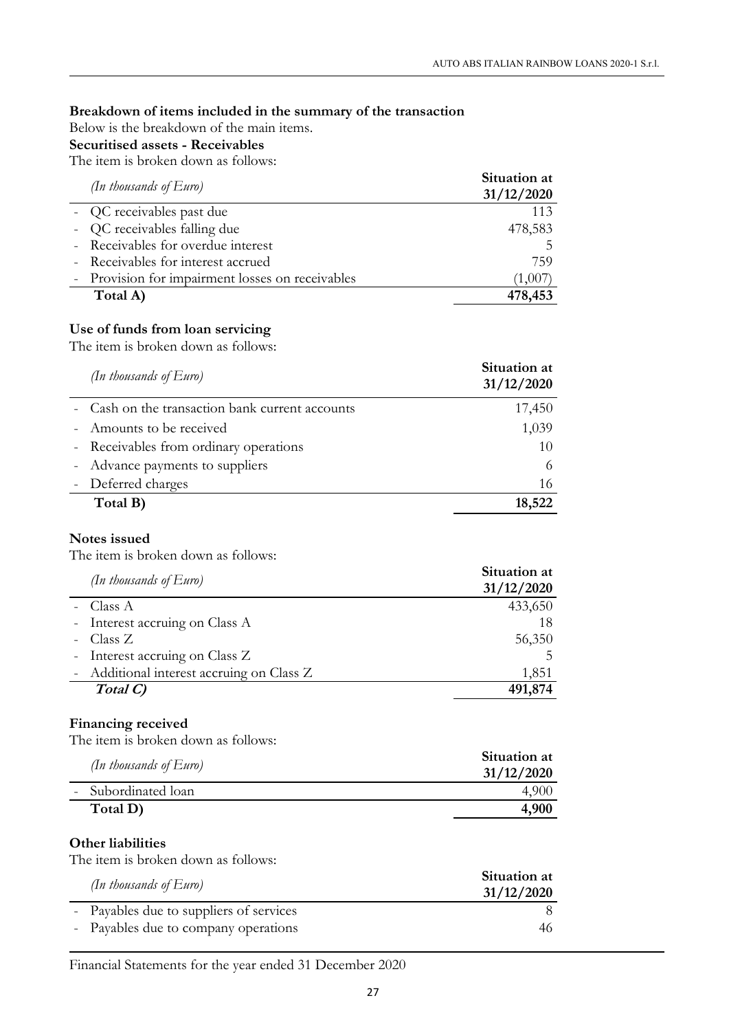## Breakdown of items included in the summary of the transaction

Below is the breakdown of the main items.

## Securitised assets - Receivables

The item is broken down as follows:

| (In thousands of $Euro$ )                        | Situation at<br>31/12/2020 |
|--------------------------------------------------|----------------------------|
| - QC receivables past due                        | 113                        |
| - QC receivables falling due                     | 478,583                    |
| - Receivables for overdue interest               |                            |
| - Receivables for interest accrued               | 759                        |
| - Provision for impairment losses on receivables | (1,007)                    |
| Total A)                                         | 478,453                    |

## Use of funds from loan servicing

The item is broken down as follows:

| (In thousands of $Euro$ )                       | Situation at<br>31/12/2020 |
|-------------------------------------------------|----------------------------|
| - Cash on the transaction bank current accounts | 17,450                     |
| - Amounts to be received                        | 1,039                      |
| - Receivables from ordinary operations          | 10                         |
| - Advance payments to suppliers                 |                            |
| - Deferred charges                              | 16                         |
| Total B)                                        | 18,522                     |

#### Notes issued

The item is broken down as follows:

| (In thousands of $Euro$ )                 | Situation at<br>31/12/2020 |
|-------------------------------------------|----------------------------|
| - Class $A$                               | 433,650                    |
| - Interest accruing on Class A            | 18                         |
| - Class Z                                 | 56,350                     |
| - Interest accruing on Class Z            | 5                          |
| - Additional interest accruing on Class Z | 1,851                      |
| Total C)                                  | 491,874                    |

#### Financing received

The item is broken down as follows:

| (In thousands of $Euro$ ) | Situation at<br>31/12/2020 |
|---------------------------|----------------------------|
| - Subordinated loan       |                            |
| Total D)                  | 4,900                      |

#### Other liabilities

The item is broken down as follows:

| (In thousands of $Euro$ )               | Situation at<br>31/12/2020 |
|-----------------------------------------|----------------------------|
| - Payables due to suppliers of services |                            |
| - Payables due to company operations    | 46                         |

Financial Statements for the year ended 31 December 2020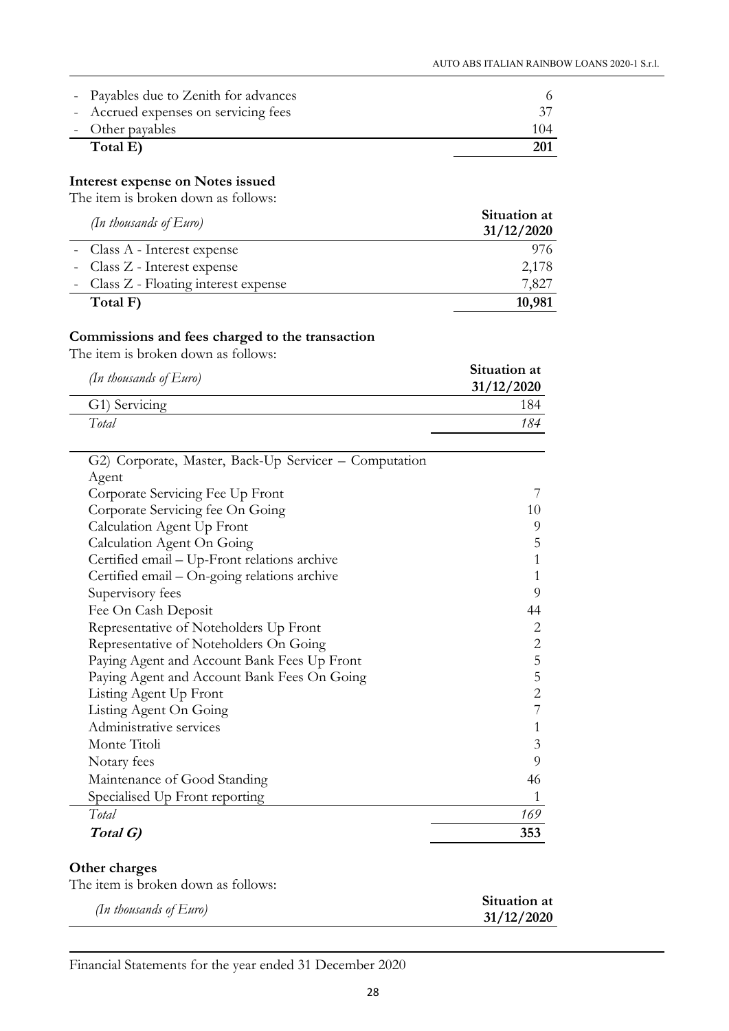| - Payables due to Zenith for advances |     |
|---------------------------------------|-----|
| - Accrued expenses on servicing fees  |     |
| - Other payables                      | 104 |
| Total E)                              | 201 |

## Interest expense on Notes issued

The item is broken down as follows:

| (In thousands of $Euro$ )             | Situation at<br>31/12/2020 |
|---------------------------------------|----------------------------|
| - Class A - Interest expense          | 976.                       |
| - Class Z - Interest expense          | 2,178                      |
| - Class Z - Floating interest expense | 7,827                      |
| Total F)                              | 10,981                     |

## Commissions and fees charged to the transaction

The item is broken down as follows:

| Situation at<br>31/12/2020 |
|----------------------------|
| 184                        |
| 184                        |
|                            |

| Total G)                                              | 353            |
|-------------------------------------------------------|----------------|
| Total                                                 | 169            |
| Specialised Up Front reporting                        |                |
| Maintenance of Good Standing                          | 46             |
| Notary fees                                           | 9              |
| Monte Titoli                                          | 3              |
| Administrative services                               | 1              |
| Listing Agent On Going                                | 7              |
| Listing Agent Up Front                                | $\overline{2}$ |
| Paying Agent and Account Bank Fees On Going           | 5              |
| Paying Agent and Account Bank Fees Up Front           | 5              |
| Representative of Noteholders On Going                | $\mathbf{2}$   |
| Representative of Noteholders Up Front                | 2              |
| Fee On Cash Deposit                                   | 44             |
| Supervisory fees                                      | 9              |
| Certified email – On-going relations archive          |                |
| Certified email – Up-Front relations archive          | 1              |
| Calculation Agent On Going                            | 5              |
| Calculation Agent Up Front                            | 9              |
| Corporate Servicing fee On Going                      | 10             |
| Corporate Servicing Fee Up Front                      | 7              |
| Agent                                                 |                |
| G2) Corporate, Master, Back-Up Servicer - Computation |                |

## Other charges

| The item is broken down as follows: |
|-------------------------------------|
|-------------------------------------|

|                           | Situation at |
|---------------------------|--------------|
| (In thousands of $Euro$ ) | 31/12/2020   |

Financial Statements for the year ended 31 December 2020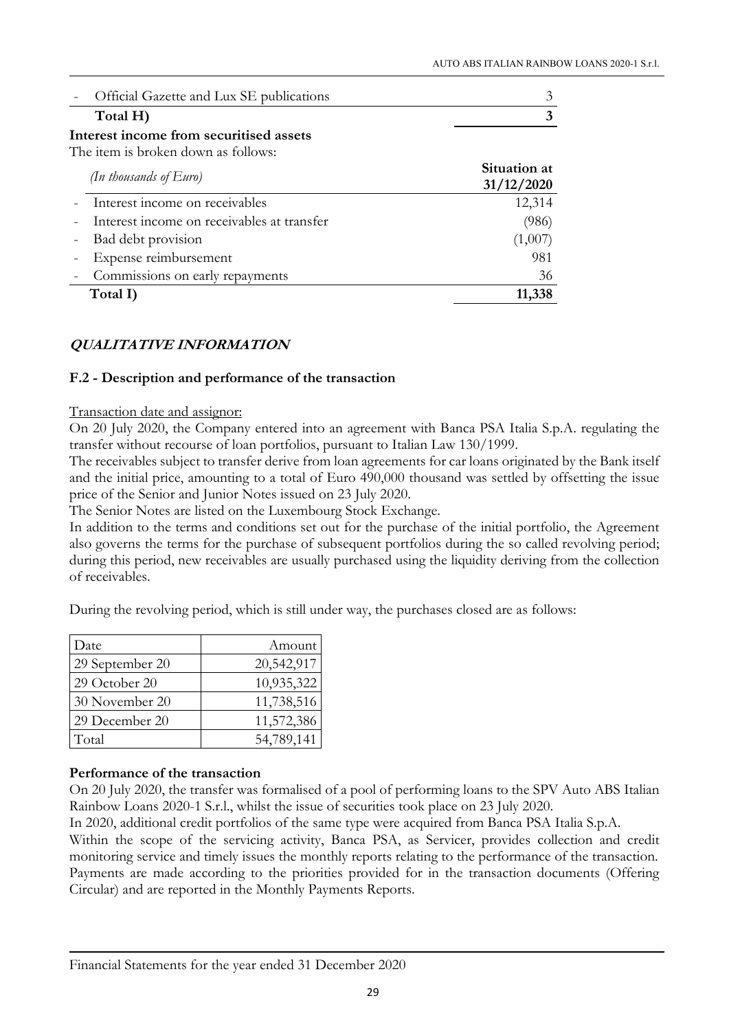| - Official Gazette and Lux SE publications |  |
|--------------------------------------------|--|
| Total H)                                   |  |

Interest income from securitised assets

The item is broken down as follows:

| (In thousands of $Euro$ )                    | Situation at<br>31/12/2020 |
|----------------------------------------------|----------------------------|
| - Interest income on receivables             | 12,314                     |
| - Interest income on receivables at transfer | (986)                      |
| - Bad debt provision                         | (1,007)                    |
| - Expense reimbursement                      | 981                        |
| - Commissions on early repayments            | 36                         |
| Total I)                                     | 11,338                     |

## QUALITATIVE INFORMATION

## F.2 - Description and performance of the transaction

#### Transaction date and assignor:

On 20 July 2020, the Company entered into an agreement with Banca PSA Italia S.p.A. regulating the transfer without recourse of loan portfolios, pursuant to Italian Law 130/1999.

The receivables subject to transfer derive from loan agreements for car loans originated by the Bank itself and the initial price, amounting to a total of Euro 490,000 thousand was settled by offsetting the issue price of the Senior and Junior Notes issued on 23 July 2020.

The Senior Notes are listed on the Luxembourg Stock Exchange.

In addition to the terms and conditions set out for the purchase of the initial portfolio, the Agreement also governs the terms for the purchase of subsequent portfolios during the so called revolving period; during this period, new receivables are usually purchased using the liquidity deriving from the collection of receivables.

During the revolving period, which is still under way, the purchases closed are as follows:

| Date            | Amount     |
|-----------------|------------|
| 29 September 20 | 20,542,917 |
| 29 October 20   | 10,935,322 |
| 30 November 20  | 11,738,516 |
| 29 December 20  | 11,572,386 |
| Total           | 54,789,141 |

## Performance of the transaction

On 20 July 2020, the transfer was formalised of a pool of performing loans to the SPV Auto ABS Italian Rainbow Loans 2020-1 S.r.l., whilst the issue of securities took place on 23 July 2020.

In 2020, additional credit portfolios of the same type were acquired from Banca PSA Italia S.p.A.

Within the scope of the servicing activity, Banca PSA, as Servicer, provides collection and credit monitoring service and timely issues the monthly reports relating to the performance of the transaction. Payments are made according to the priorities provided for in the transaction documents (Offering Circular) and are reported in the Monthly Payments Reports.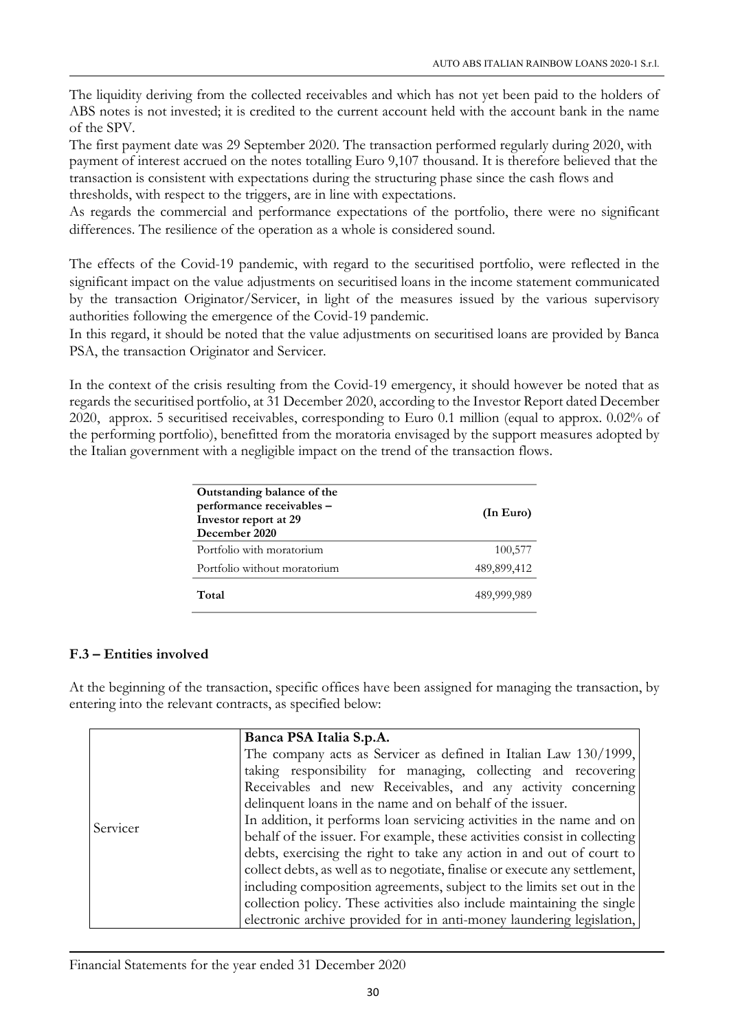The liquidity deriving from the collected receivables and which has not yet been paid to the holders of ABS notes is not invested; it is credited to the current account held with the account bank in the name of the SPV.

The first payment date was 29 September 2020. The transaction performed regularly during 2020, with payment of interest accrued on the notes totalling Euro 9,107 thousand. It is therefore believed that the transaction is consistent with expectations during the structuring phase since the cash flows and thresholds, with respect to the triggers, are in line with expectations.

As regards the commercial and performance expectations of the portfolio, there were no significant differences. The resilience of the operation as a whole is considered sound.

The effects of the Covid-19 pandemic, with regard to the securitised portfolio, were reflected in the significant impact on the value adjustments on securitised loans in the income statement communicated by the transaction Originator/Servicer, in light of the measures issued by the various supervisory authorities following the emergence of the Covid-19 pandemic.

In this regard, it should be noted that the value adjustments on securitised loans are provided by Banca PSA, the transaction Originator and Servicer.

In the context of the crisis resulting from the Covid-19 emergency, it should however be noted that as regards the securitised portfolio, at 31 December 2020, according to the Investor Report dated December 2020, approx. 5 securitised receivables, corresponding to Euro 0.1 million (equal to approx. 0.02% of the performing portfolio), benefitted from the moratoria envisaged by the support measures adopted by the Italian government with a negligible impact on the trend of the transaction flows.

| Outstanding balance of the<br>performance receivables -<br>Investor report at 29<br>December 2020 | (In Euro)   |
|---------------------------------------------------------------------------------------------------|-------------|
| Portfolio with moratorium                                                                         | 100,577     |
| Portfolio without moratorium                                                                      | 489,899,412 |
| Total                                                                                             | 489,999,989 |

## F.3 – Entities involved

At the beginning of the transaction, specific offices have been assigned for managing the transaction, by entering into the relevant contracts, as specified below:

|          | Banca PSA Italia S.p.A.                                                                                                                            |
|----------|----------------------------------------------------------------------------------------------------------------------------------------------------|
| Servicer | The company acts as Servicer as defined in Italian Law 130/1999,<br>taking responsibility for managing, collecting and recovering                  |
|          | Receivables and new Receivables, and any activity concerning<br>delinquent loans in the name and on behalf of the issuer.                          |
|          | In addition, it performs loan servicing activities in the name and on<br>behalf of the issuer. For example, these activities consist in collecting |
|          | debts, exercising the right to take any action in and out of court to                                                                              |
|          | collect debts, as well as to negotiate, finalise or execute any settlement,                                                                        |
|          | including composition agreements, subject to the limits set out in the                                                                             |
|          | collection policy. These activities also include maintaining the single                                                                            |
|          | electronic archive provided for in anti-money laundering legislation,                                                                              |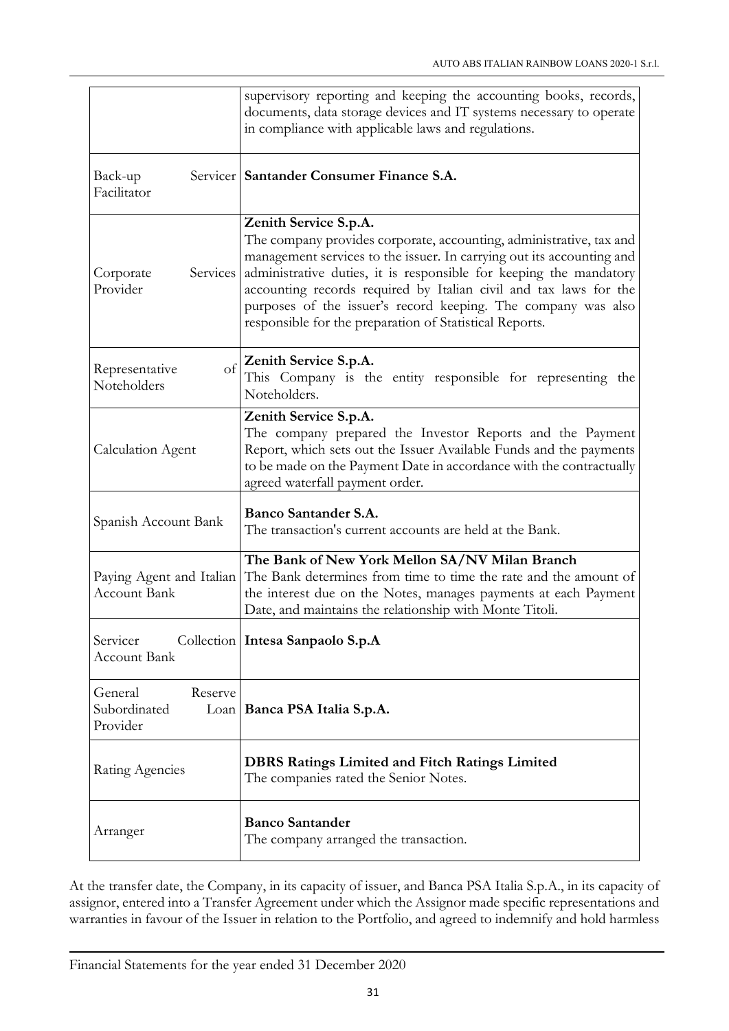|                                                 | supervisory reporting and keeping the accounting books, records,<br>documents, data storage devices and IT systems necessary to operate<br>in compliance with applicable laws and regulations.                                                                                                                                                                                                                                                        |  |
|-------------------------------------------------|-------------------------------------------------------------------------------------------------------------------------------------------------------------------------------------------------------------------------------------------------------------------------------------------------------------------------------------------------------------------------------------------------------------------------------------------------------|--|
| Back-up<br>Facilitator                          | Servicer Santander Consumer Finance S.A.                                                                                                                                                                                                                                                                                                                                                                                                              |  |
| Corporate<br>Provider                           | Zenith Service S.p.A.<br>The company provides corporate, accounting, administrative, tax and<br>management services to the issuer. In carrying out its accounting and<br>Services administrative duties, it is responsible for keeping the mandatory<br>accounting records required by Italian civil and tax laws for the<br>purposes of the issuer's record keeping. The company was also<br>responsible for the preparation of Statistical Reports. |  |
| of<br>Representative<br>Noteholders             | Zenith Service S.p.A.<br>This Company is the entity responsible for representing the<br>Noteholders.                                                                                                                                                                                                                                                                                                                                                  |  |
| <b>Calculation Agent</b>                        | Zenith Service S.p.A.<br>The company prepared the Investor Reports and the Payment<br>Report, which sets out the Issuer Available Funds and the payments<br>to be made on the Payment Date in accordance with the contractually<br>agreed waterfall payment order.                                                                                                                                                                                    |  |
| Spanish Account Bank                            | Banco Santander S.A.<br>The transaction's current accounts are held at the Bank.                                                                                                                                                                                                                                                                                                                                                                      |  |
| Paying Agent and Italian<br><b>Account Bank</b> | The Bank of New York Mellon SA/NV Milan Branch<br>The Bank determines from time to time the rate and the amount of<br>the interest due on the Notes, manages payments at each Payment<br>Date, and maintains the relationship with Monte Titoli.                                                                                                                                                                                                      |  |
| Servicer<br><b>Account Bank</b>                 | Collection   Intesa Sanpaolo S.p.A                                                                                                                                                                                                                                                                                                                                                                                                                    |  |
| General<br>Reserve<br>Subordinated<br>Provider  | Loan   Banca PSA Italia S.p.A.                                                                                                                                                                                                                                                                                                                                                                                                                        |  |
| Rating Agencies                                 | <b>DBRS Ratings Limited and Fitch Ratings Limited</b><br>The companies rated the Senior Notes.                                                                                                                                                                                                                                                                                                                                                        |  |
| Arranger                                        | <b>Banco Santander</b><br>The company arranged the transaction.                                                                                                                                                                                                                                                                                                                                                                                       |  |

At the transfer date, the Company, in its capacity of issuer, and Banca PSA Italia S.p.A., in its capacity of assignor, entered into a Transfer Agreement under which the Assignor made specific representations and warranties in favour of the Issuer in relation to the Portfolio, and agreed to indemnify and hold harmless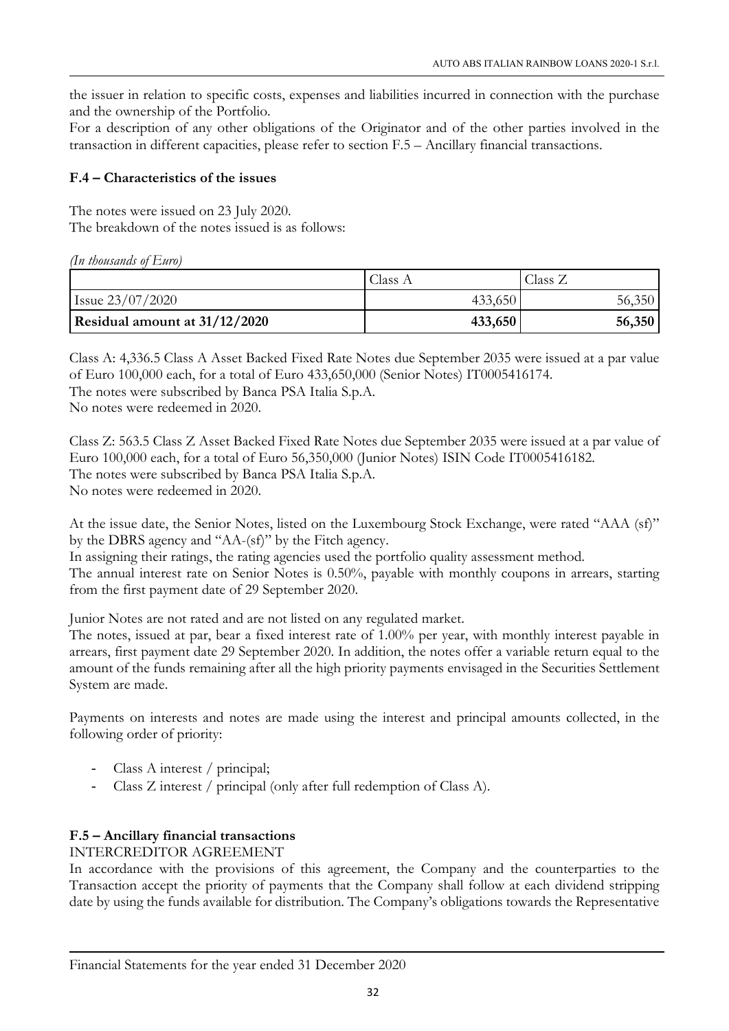the issuer in relation to specific costs, expenses and liabilities incurred in connection with the purchase and the ownership of the Portfolio.

For a description of any other obligations of the Originator and of the other parties involved in the transaction in different capacities, please refer to section F.5 – Ancillary financial transactions.

## F.4 – Characteristics of the issues

The notes were issued on 23 July 2020. The breakdown of the notes issued is as follows:

*(In thousands of Euro)*

|                               | Class A | Class Z |
|-------------------------------|---------|---------|
| Issue $23/07/2020$            | 433,650 | 56,350  |
| Residual amount at 31/12/2020 | 433,650 | 56,350  |

Class A: 4,336.5 Class A Asset Backed Fixed Rate Notes due September 2035 were issued at a par value of Euro 100,000 each, for a total of Euro 433,650,000 (Senior Notes) IT0005416174.

The notes were subscribed by Banca PSA Italia S.p.A.

No notes were redeemed in 2020.

Class Z: 563.5 Class Z Asset Backed Fixed Rate Notes due September 2035 were issued at a par value of Euro 100,000 each, for a total of Euro 56,350,000 (Junior Notes) ISIN Code IT0005416182. The notes were subscribed by Banca PSA Italia S.p.A. No notes were redeemed in 2020.

At the issue date, the Senior Notes, listed on the Luxembourg Stock Exchange, were rated "AAA (sf)" by the DBRS agency and "AA-(sf)" by the Fitch agency.

In assigning their ratings, the rating agencies used the portfolio quality assessment method.

The annual interest rate on Senior Notes is 0.50%, payable with monthly coupons in arrears, starting from the first payment date of 29 September 2020.

Junior Notes are not rated and are not listed on any regulated market.

The notes, issued at par, bear a fixed interest rate of 1.00% per year, with monthly interest payable in arrears, first payment date 29 September 2020. In addition, the notes offer a variable return equal to the amount of the funds remaining after all the high priority payments envisaged in the Securities Settlement System are made.

Payments on interests and notes are made using the interest and principal amounts collected, in the following order of priority:

- Class A interest / principal;
- Class Z interest / principal (only after full redemption of Class A).

## F.5 – Ancillary financial transactions

## INTERCREDITOR AGREEMENT

In accordance with the provisions of this agreement, the Company and the counterparties to the Transaction accept the priority of payments that the Company shall follow at each dividend stripping date by using the funds available for distribution. The Company's obligations towards the Representative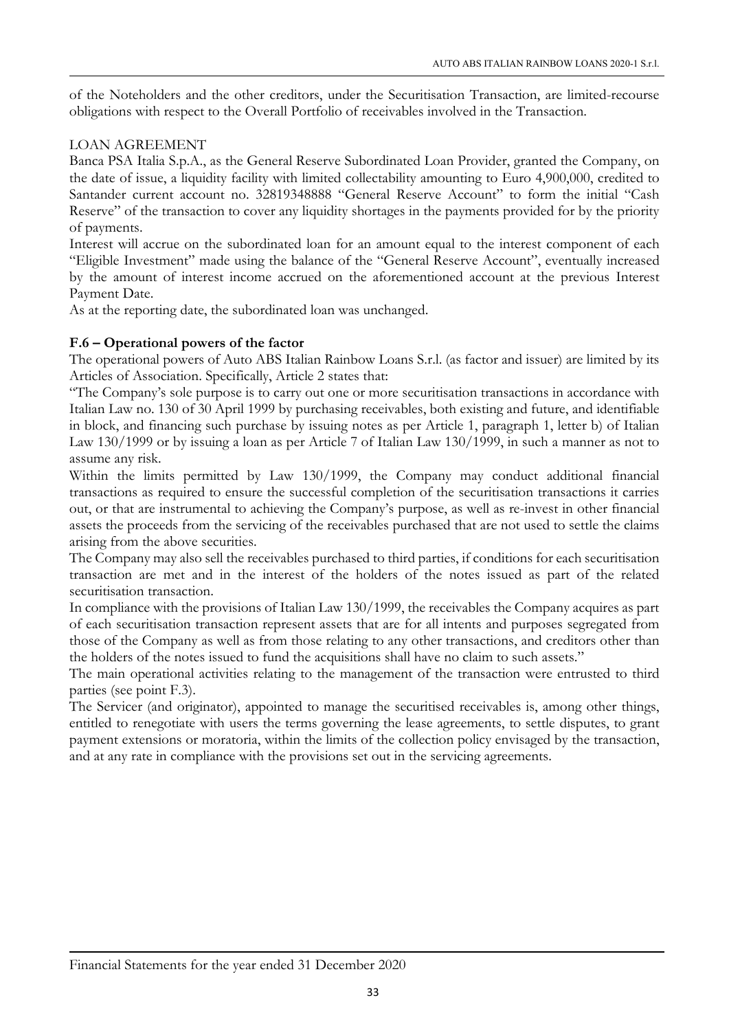of the Noteholders and the other creditors, under the Securitisation Transaction, are limited-recourse obligations with respect to the Overall Portfolio of receivables involved in the Transaction.

## LOAN AGREEMENT

Banca PSA Italia S.p.A., as the General Reserve Subordinated Loan Provider, granted the Company, on the date of issue, a liquidity facility with limited collectability amounting to Euro 4,900,000, credited to Santander current account no. 32819348888 "General Reserve Account" to form the initial "Cash Reserve" of the transaction to cover any liquidity shortages in the payments provided for by the priority of payments.

Interest will accrue on the subordinated loan for an amount equal to the interest component of each "Eligible Investment" made using the balance of the "General Reserve Account", eventually increased by the amount of interest income accrued on the aforementioned account at the previous Interest Payment Date.

As at the reporting date, the subordinated loan was unchanged.

## F.6 – Operational powers of the factor

The operational powers of Auto ABS Italian Rainbow Loans S.r.l. (as factor and issuer) are limited by its Articles of Association. Specifically, Article 2 states that:

"The Company's sole purpose is to carry out one or more securitisation transactions in accordance with Italian Law no. 130 of 30 April 1999 by purchasing receivables, both existing and future, and identifiable in block, and financing such purchase by issuing notes as per Article 1, paragraph 1, letter b) of Italian Law 130/1999 or by issuing a loan as per Article 7 of Italian Law 130/1999, in such a manner as not to assume any risk.

Within the limits permitted by Law 130/1999, the Company may conduct additional financial transactions as required to ensure the successful completion of the securitisation transactions it carries out, or that are instrumental to achieving the Company's purpose, as well as re-invest in other financial assets the proceeds from the servicing of the receivables purchased that are not used to settle the claims arising from the above securities.

The Company may also sell the receivables purchased to third parties, if conditions for each securitisation transaction are met and in the interest of the holders of the notes issued as part of the related securitisation transaction.

In compliance with the provisions of Italian Law 130/1999, the receivables the Company acquires as part of each securitisation transaction represent assets that are for all intents and purposes segregated from those of the Company as well as from those relating to any other transactions, and creditors other than the holders of the notes issued to fund the acquisitions shall have no claim to such assets."

The main operational activities relating to the management of the transaction were entrusted to third parties (see point F.3).

The Servicer (and originator), appointed to manage the securitised receivables is, among other things, entitled to renegotiate with users the terms governing the lease agreements, to settle disputes, to grant payment extensions or moratoria, within the limits of the collection policy envisaged by the transaction, and at any rate in compliance with the provisions set out in the servicing agreements.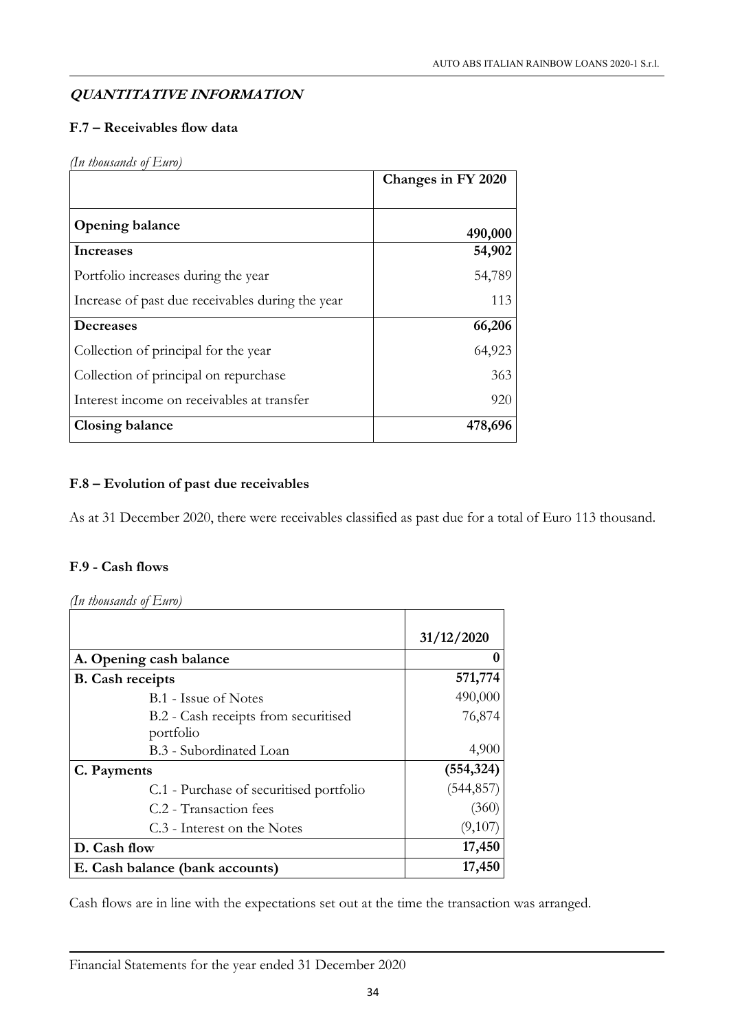## QUANTITATIVE INFORMATION

## F.7 – Receivables flow data

## *(In thousands of Euro)*

|                                                  | Changes in FY 2020 |
|--------------------------------------------------|--------------------|
|                                                  |                    |
| <b>Opening balance</b>                           | 490,000            |
| Increases                                        | 54,902             |
| Portfolio increases during the year              | 54,789             |
| Increase of past due receivables during the year | 113                |
| <b>Decreases</b>                                 | 66,206             |
| Collection of principal for the year             | 64,923             |
| Collection of principal on repurchase            | 363                |
| Interest income on receivables at transfer       | 920                |
| Closing balance                                  | 478,696            |

## F.8 – Evolution of past due receivables

As at 31 December 2020, there were receivables classified as past due for a total of Euro 113 thousand.

## F.9 - Cash flows

*(In thousands of Euro)*

|                                         | 31/12/2020 |
|-----------------------------------------|------------|
| A. Opening cash balance                 |            |
| <b>B.</b> Cash receipts                 | 571,774    |
| B.1 - Issue of Notes                    | 490,000    |
| B.2 - Cash receipts from securitised    | 76,874     |
| portfolio                               |            |
| B.3 - Subordinated Loan                 | 4,900      |
| C. Payments                             | (554, 324) |
| C.1 - Purchase of securitised portfolio | (544, 857) |
| C.2 - Transaction fees                  | (360)      |
| C.3 - Interest on the Notes             | (9,107)    |
| D. Cash flow                            | 17,450     |
| E. Cash balance (bank accounts)         | 17,450     |

Cash flows are in line with the expectations set out at the time the transaction was arranged.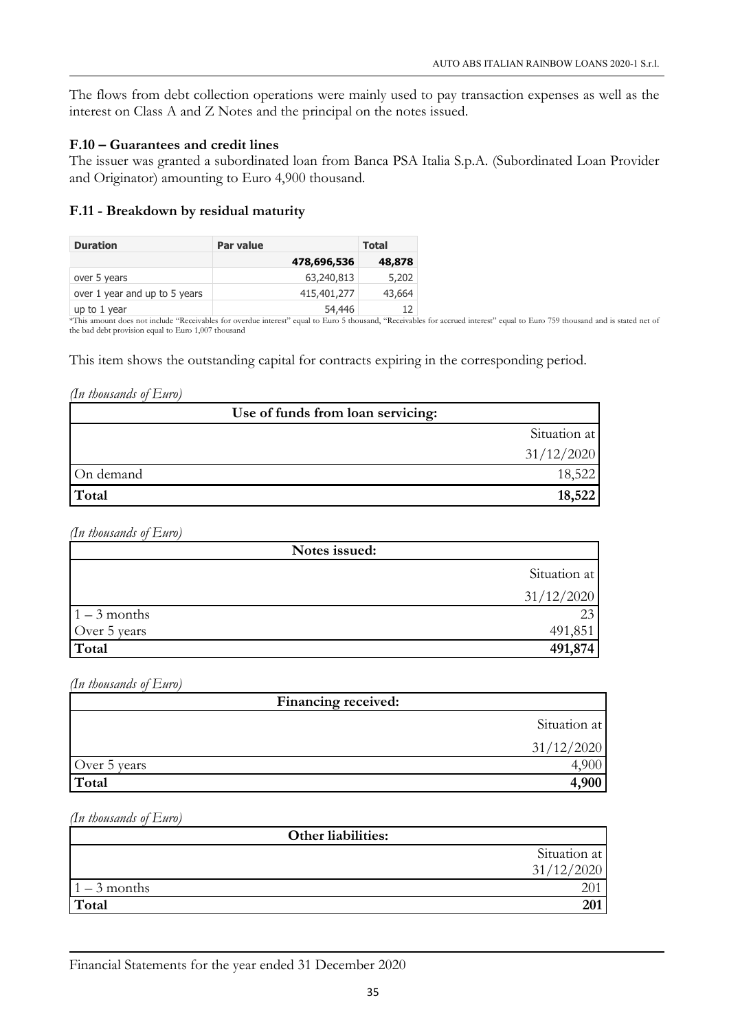The flows from debt collection operations were mainly used to pay transaction expenses as well as the interest on Class A and Z Notes and the principal on the notes issued.

#### F.10 – Guarantees and credit lines

The issuer was granted a subordinated loan from Banca PSA Italia S.p.A. (Subordinated Loan Provider and Originator) amounting to Euro 4,900 thousand.

#### F.11 - Breakdown by residual maturity

| <b>Duration</b>               | <b>Par value</b> | Total  |
|-------------------------------|------------------|--------|
|                               | 478,696,536      | 48,878 |
| over 5 years                  | 63,240,813       | 5,202  |
| over 1 year and up to 5 years | 415,401,277      | 43,664 |
| up to 1 year                  | 54,446           | 12     |

\*This amount does not include "Receivables for overdue interest" equal to Euro 5 thousand, "Receivables for accrued interest" equal to Euro 759 thousand and is stated net of the bad debt provision equal to Euro 1,007 thousand

This item shows the outstanding capital for contracts expiring in the corresponding period.

#### *(In thousands of Euro)*

| Use of funds from loan servicing: |              |
|-----------------------------------|--------------|
|                                   | Situation at |
|                                   | 31/12/2020   |
| On demand                         | 18,522       |
| Total                             | 18,522       |

*(In thousands of Euro)*

| Notes issued:  |              |
|----------------|--------------|
|                | Situation at |
|                | 31/12/2020   |
| $1 - 3$ months |              |
| Over 5 years   | 491,851      |
| Total          | 491,874      |

*(In thousands of Euro)*

| Financing received: |              |
|---------------------|--------------|
|                     | Situation at |
|                     | 31/12/2020   |
| Over 5 years        |              |
| Total               | .900         |

*(In thousands of Euro)*

| <b>Other liabilities:</b> |              |
|---------------------------|--------------|
|                           | Situation at |
|                           | 31/12/2020   |
| $1 - 3$ months            |              |
| Total                     | 201          |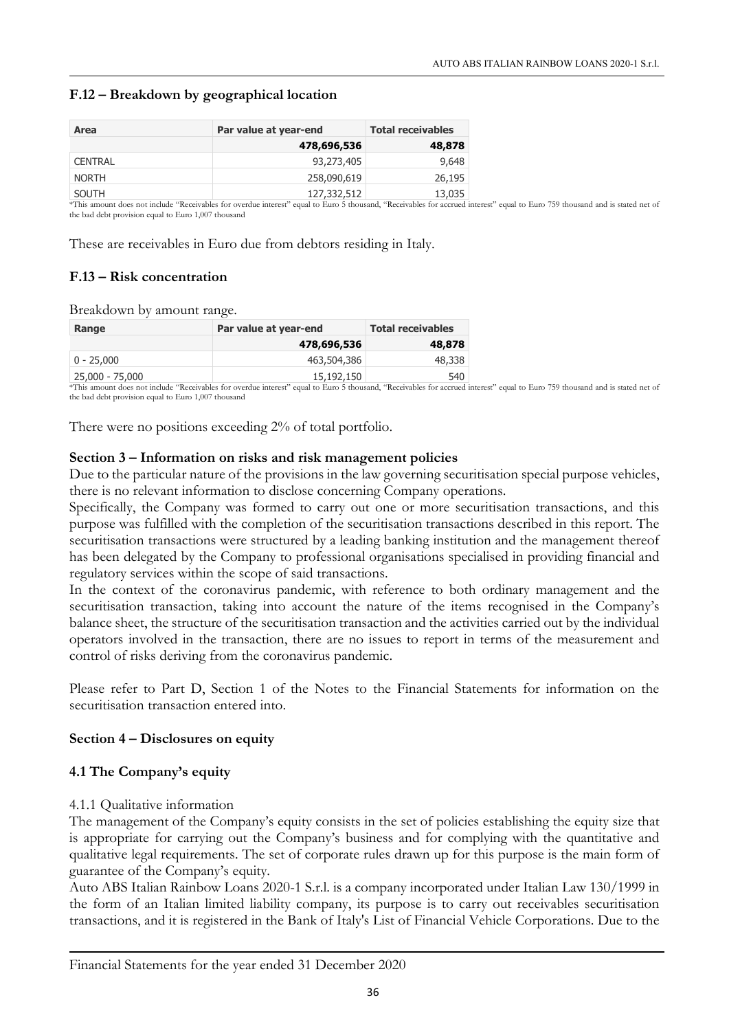## F.12 – Breakdown by geographical location

| Area           | Par value at year-end | <b>Total receivables</b> |
|----------------|-----------------------|--------------------------|
|                | 478,696,536           | 48,878                   |
| <b>CENTRAL</b> | 93,273,405            | 9,648                    |
| <b>NORTH</b>   | 258,090,619           | 26,195                   |
| <b>SOUTH</b>   | 127,332,512           | 13,035                   |

\*This amount does not include "Receivables for overdue interest" equal to Euro 5 thousand, "Receivables for accrued interest" equal to Euro 759 thousand and is stated net of the bad debt provision equal to Euro 1,007 thousand

These are receivables in Euro due from debtors residing in Italy.

## F.13 – Risk concentration

Breakdown by amount range.

| Par value at year-end | <b>Total receivables</b> |
|-----------------------|--------------------------|
| 478,696,536           | 48,878                   |
| 463,504,386           | 48,338                   |
| 15,192,150            | 540                      |
|                       |                          |

\*This amount does not include "Receivables for overdue interest" equal to Euro 5 thousand, "Receivables for accrued interest" equal to Euro 759 thousand and is stated net of the bad debt provision equal to Euro 1,007 thousand

There were no positions exceeding 2% of total portfolio.

#### Section 3 – Information on risks and risk management policies

Due to the particular nature of the provisions in the law governing securitisation special purpose vehicles, there is no relevant information to disclose concerning Company operations.

Specifically, the Company was formed to carry out one or more securitisation transactions, and this purpose was fulfilled with the completion of the securitisation transactions described in this report. The securitisation transactions were structured by a leading banking institution and the management thereof has been delegated by the Company to professional organisations specialised in providing financial and regulatory services within the scope of said transactions.

In the context of the coronavirus pandemic, with reference to both ordinary management and the securitisation transaction, taking into account the nature of the items recognised in the Company's balance sheet, the structure of the securitisation transaction and the activities carried out by the individual operators involved in the transaction, there are no issues to report in terms of the measurement and control of risks deriving from the coronavirus pandemic.

Please refer to Part D, Section 1 of the Notes to the Financial Statements for information on the securitisation transaction entered into.

## Section 4 – Disclosures on equity

## 4.1 The Company's equity

## 4.1.1 Qualitative information

The management of the Company's equity consists in the set of policies establishing the equity size that is appropriate for carrying out the Company's business and for complying with the quantitative and qualitative legal requirements. The set of corporate rules drawn up for this purpose is the main form of guarantee of the Company's equity.

Auto ABS Italian Rainbow Loans 2020-1 S.r.l. is a company incorporated under Italian Law 130/1999 in the form of an Italian limited liability company, its purpose is to carry out receivables securitisation transactions, and it is registered in the Bank of Italy's List of Financial Vehicle Corporations. Due to the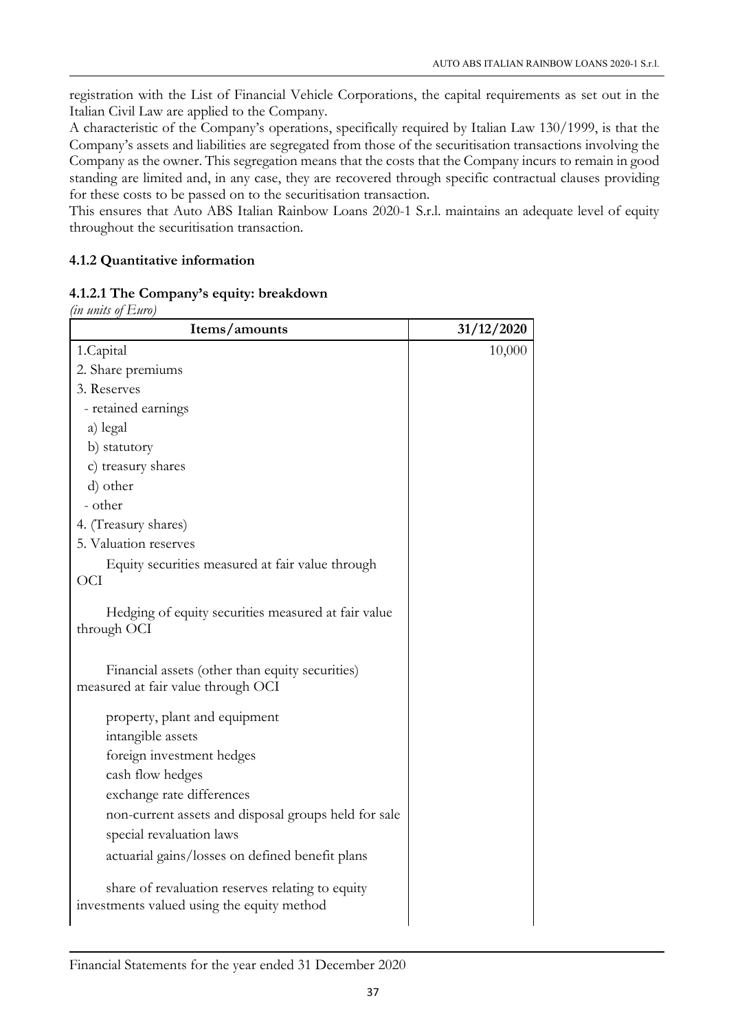registration with the List of Financial Vehicle Corporations, the capital requirements as set out in the Italian Civil Law are applied to the Company.

A characteristic of the Company's operations, specifically required by Italian Law 130/1999, is that the Company's assets and liabilities are segregated from those of the securitisation transactions involving the Company as the owner. This segregation means that the costs that the Company incurs to remain in good standing are limited and, in any case, they are recovered through specific contractual clauses providing for these costs to be passed on to the securitisation transaction.

This ensures that Auto ABS Italian Rainbow Loans 2020-1 S.r.l. maintains an adequate level of equity throughout the securitisation transaction.

## 4.1.2 Quantitative information

## 4.1.2.1 The Company's equity: breakdown

*(in units of Euro)*

| Items/amounts                                                                                  | 31/12/2020 |
|------------------------------------------------------------------------------------------------|------------|
| 1.Capital                                                                                      | 10,000     |
| 2. Share premiums                                                                              |            |
| 3. Reserves                                                                                    |            |
| - retained earnings                                                                            |            |
| a) legal                                                                                       |            |
| b) statutory                                                                                   |            |
| c) treasury shares                                                                             |            |
| d) other                                                                                       |            |
| - other                                                                                        |            |
| 4. (Treasury shares)                                                                           |            |
| 5. Valuation reserves                                                                          |            |
| Equity securities measured at fair value through<br><b>OCI</b>                                 |            |
| Hedging of equity securities measured at fair value<br>through OCI                             |            |
| Financial assets (other than equity securities)<br>measured at fair value through OCI          |            |
| property, plant and equipment                                                                  |            |
| intangible assets                                                                              |            |
| foreign investment hedges                                                                      |            |
| cash flow hedges                                                                               |            |
| exchange rate differences                                                                      |            |
| non-current assets and disposal groups held for sale                                           |            |
| special revaluation laws                                                                       |            |
| actuarial gains/losses on defined benefit plans                                                |            |
| share of revaluation reserves relating to equity<br>investments valued using the equity method |            |

Financial Statements for the year ended 31 December 2020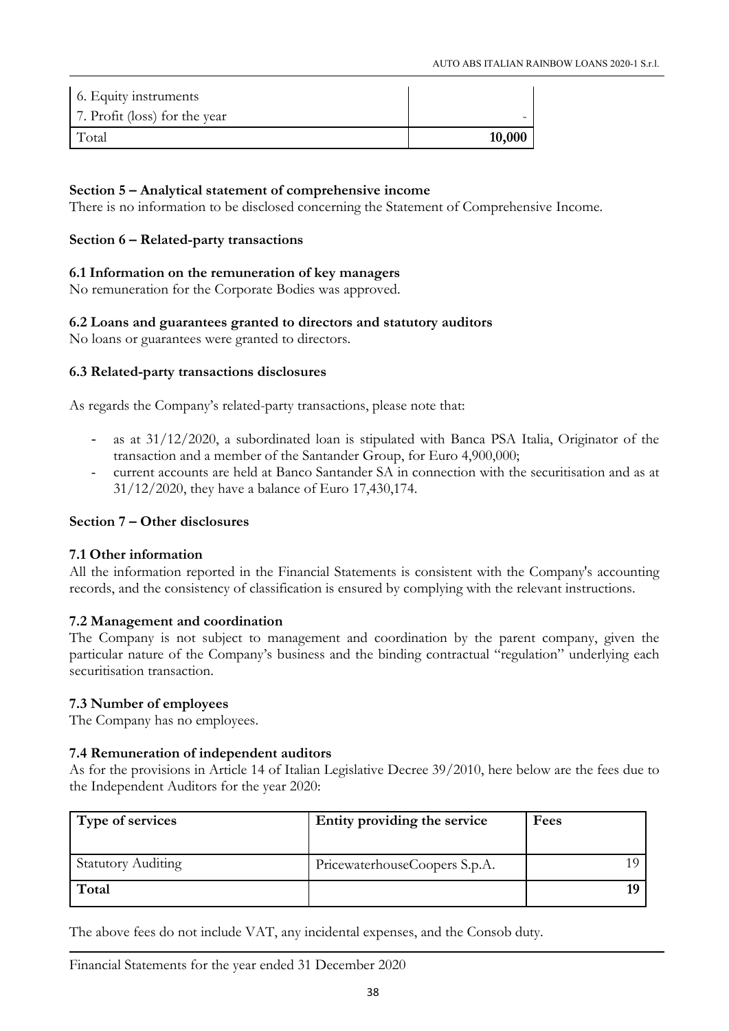| 6. Equity instruments         |        |
|-------------------------------|--------|
| 7. Profit (loss) for the year |        |
| Total                         | 10,000 |

## Section 5 – Analytical statement of comprehensive income

There is no information to be disclosed concerning the Statement of Comprehensive Income.

## Section 6 – Related-party transactions

## 6.1 Information on the remuneration of key managers

No remuneration for the Corporate Bodies was approved.

## 6.2 Loans and guarantees granted to directors and statutory auditors

No loans or guarantees were granted to directors.

## 6.3 Related-party transactions disclosures

As regards the Company's related-party transactions, please note that:

- as at  $31/12/2020$ , a subordinated loan is stipulated with Banca PSA Italia, Originator of the transaction and a member of the Santander Group, for Euro 4,900,000;
- current accounts are held at Banco Santander SA in connection with the securitisation and as at 31/12/2020, they have a balance of Euro 17,430,174.

## Section 7 – Other disclosures

## 7.1 Other information

All the information reported in the Financial Statements is consistent with the Company's accounting records, and the consistency of classification is ensured by complying with the relevant instructions.

## 7.2 Management and coordination

The Company is not subject to management and coordination by the parent company, given the particular nature of the Company's business and the binding contractual "regulation" underlying each securitisation transaction.

## 7.3 Number of employees

The Company has no employees.

## 7.4 Remuneration of independent auditors

As for the provisions in Article 14 of Italian Legislative Decree 39/2010, here below are the fees due to the Independent Auditors for the year 2020:

| Type of services          | Entity providing the service  | Fees |
|---------------------------|-------------------------------|------|
| <b>Statutory Auditing</b> | PricewaterhouseCoopers S.p.A. |      |
| Total                     |                               |      |

The above fees do not include VAT, any incidental expenses, and the Consob duty.

Financial Statements for the year ended 31 December 2020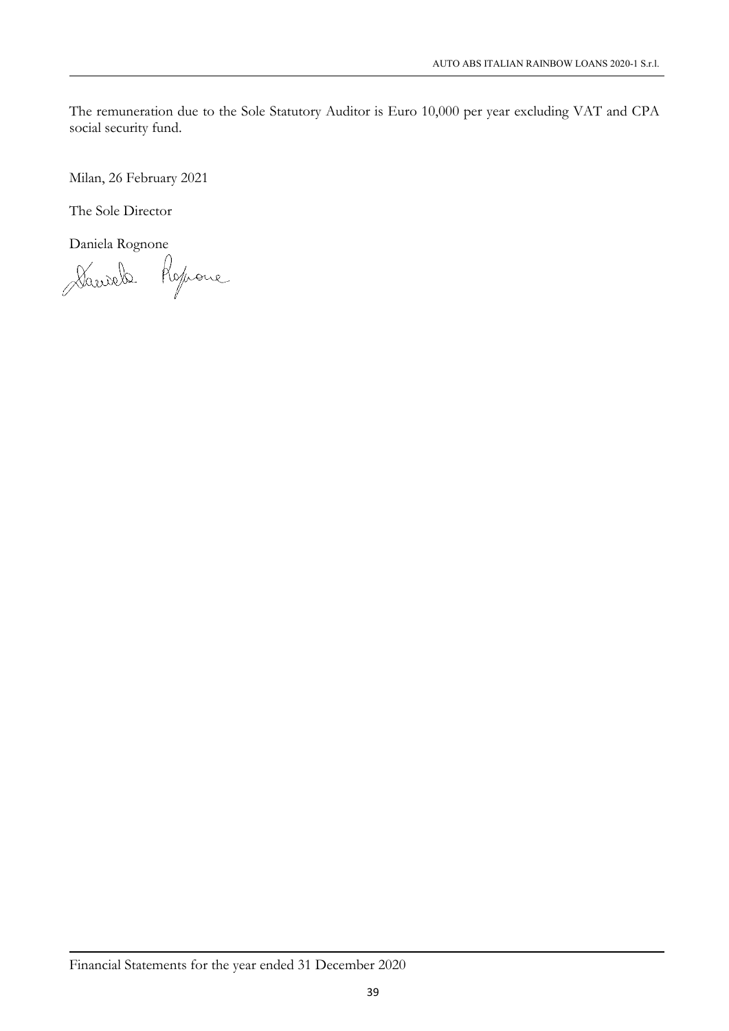The remuneration due to the Sole Statutory Auditor is Euro 10,000 per year excluding VAT and CPA social security fund.

Milan, 26 February 2021

The Sole Director

Daniela Rognone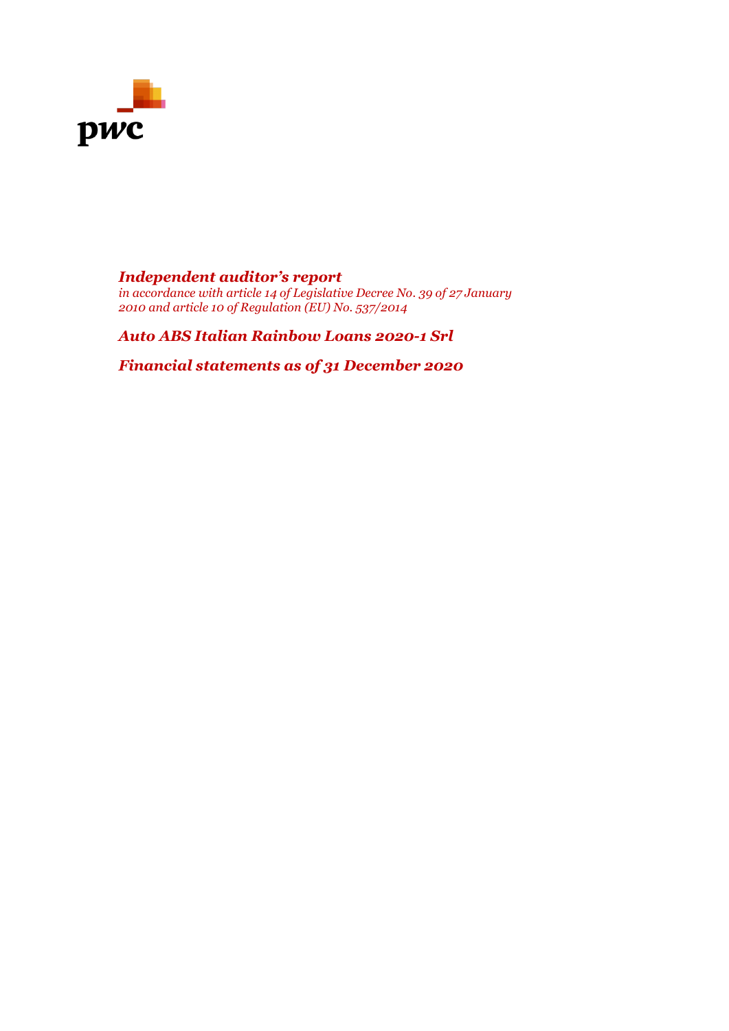

## *Independent auditor's report*

*in accordance with article 14 of Legislative Decree No. 39 of 27 January 2010 and article 10 of Regulation (EU) No. 537/2014*

*Auto ABS Italian Rainbow Loans 2020-1 Srl*

*Financial statements as of 31 December 2020*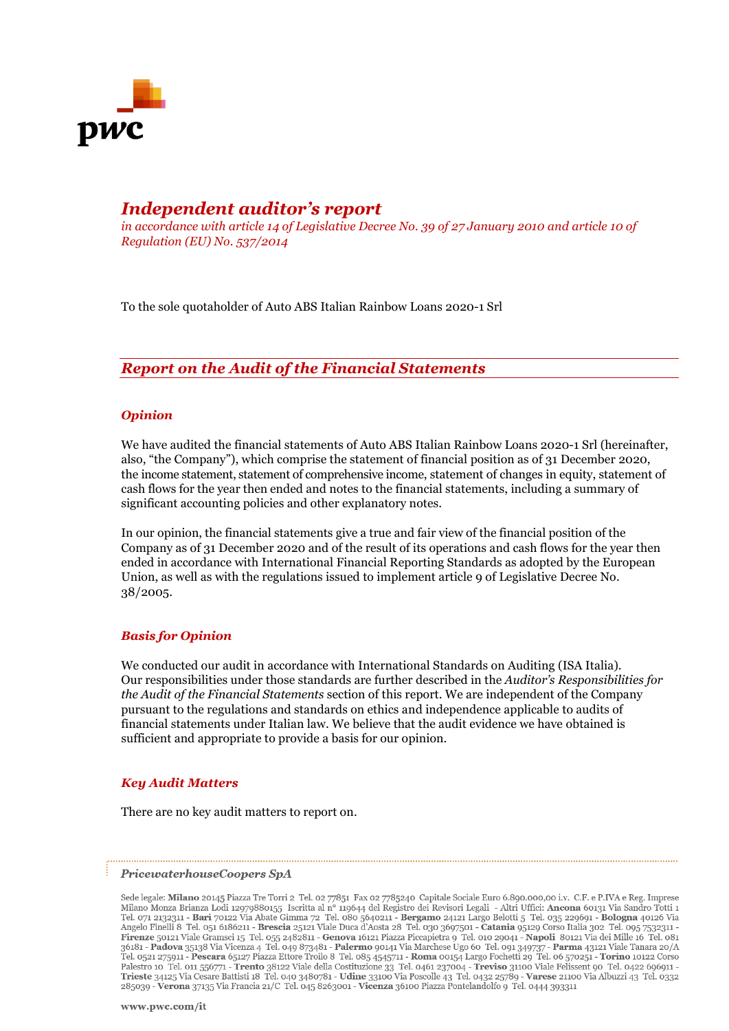

## *Independent auditor's report*

*in accordance with article 14 of Legislative Decree No. 39 of 27 January 2010 and article 10 of Regulation (EU) No. 537/2014*

To the sole quotaholder of Auto ABS Italian Rainbow Loans 2020-1 Srl

## *Report on the Audit of the Financial Statements*

#### *Opinion*

We have audited the financial statements of Auto ABS Italian Rainbow Loans 2020-1 Srl (hereinafter, also, "the Company"), which comprise the statement of financial position as of 31 December 2020, the income statement, statement of comprehensive income, statement of changes in equity, statement of cash flows for the year then ended and notes to the financial statements, including a summary of significant accounting policies and other explanatory notes.

In our opinion, the financial statements give a true and fair view of the financial position of the Company as of 31 December 2020 and of the result of its operations and cash flows for the year then ended in accordance with International Financial Reporting Standards as adopted by the European Union, as well as with the regulations issued to implement article 9 of Legislative Decree No. 38/2005.

#### *Basis for Opinion*

We conducted our audit in accordance with International Standards on Auditing (ISA Italia). Our responsibilities under those standards are further described in the *Auditor's Responsibilities for the Audit of the Financial Statements* section of this report. We are independent of the Company pursuant to the regulations and standards on ethics and independence applicable to audits of financial statements under Italian law. We believe that the audit evidence we have obtained is sufficient and appropriate to provide a basis for our opinion.

#### *Key Audit Matters*

There are no key audit matters to report on.

#### PricewaterhouseCoopers SpA

Sede legale: Milano 20145 Piazza Tre Torri 2 Tel. 02 77851 Fax 02 7785240 Capitale Sociale Euro 6.890.000,00 i.v. C.F. e P.IVA e Reg. Imprese beta channel based of 12979880155 Iscritta al nº 119644 del Registro dei Revisori Legali - Altri Uffici: Ancona 60131 Via Sandro Totti 1<br>Tel. 071 2132311 - **Bari** 70122 Via Abate Gimma 72 Tel. 080 5640211 - **Bergamo** 24121 Angelo Finelli 8 Tel. 051 6186211 - **Brescia** 25121 Viale Duca d'Aosta 28 Tel. 030 3697501 - Catania 95129 Corso Italia 302 Tel. 095 7532311 -Aligne of Hero Solid Viale Gransci 15 Tel. 055 2482811 - Genova 142012 Nazza Piccayo 309/309/309 - Catalia 3021 Viale 2012 Viale Chen Solid Via Alie Mille 16 Tel. 057 323141<br> **Firenze 50121 Viale Gransci 15 Tel. 055 248281** 285039 - Verona 37135 Via Francia 21/C Tel. 045 8263001 - Vicenza 36100 Piazza Pontelandolfo 9 Tel. 0444 393311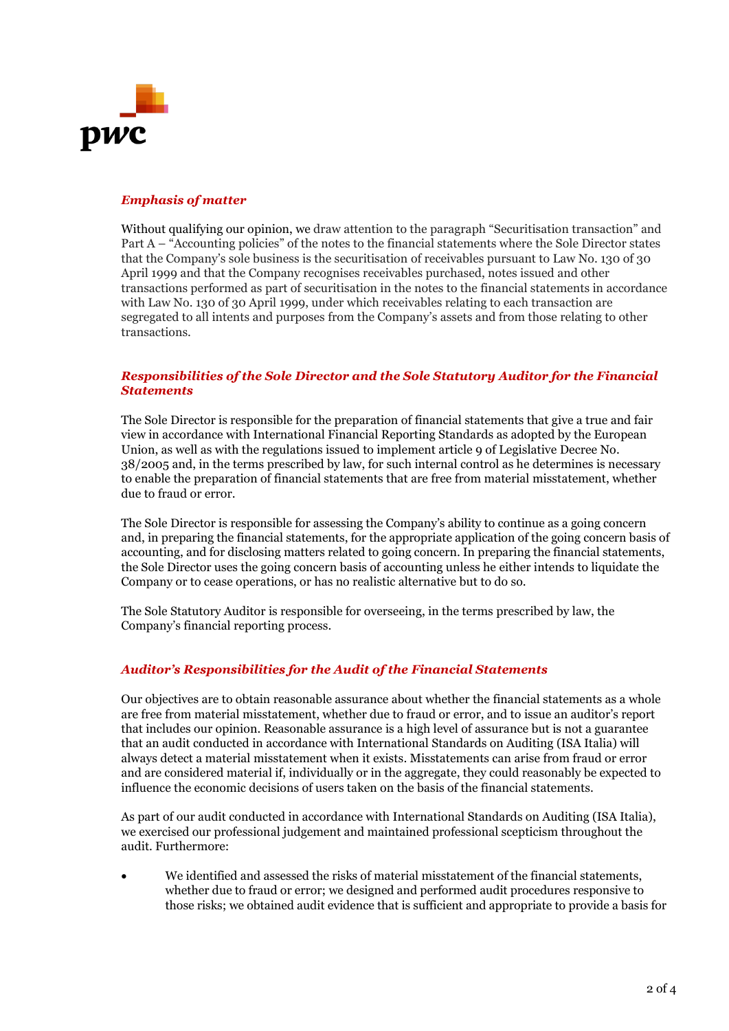

#### *Emphasis of matter*

Without qualifying our opinion, we draw attention to the paragraph "Securitisation transaction" and Part A – "Accounting policies" of the notes to the financial statements where the Sole Director states that the Company's sole business is the securitisation of receivables pursuant to Law No. 130 of 30 April 1999 and that the Company recognises receivables purchased, notes issued and other transactions performed as part of securitisation in the notes to the financial statements in accordance with Law No. 130 of 30 April 1999, under which receivables relating to each transaction are segregated to all intents and purposes from the Company's assets and from those relating to other transactions.

#### *Responsibilities of the Sole Director and the Sole Statutory Auditor for the Financial Statements*

The Sole Director is responsible for the preparation of financial statements that give a true and fair view in accordance with International Financial Reporting Standards as adopted by the European Union, as well as with the regulations issued to implement article 9 of Legislative Decree No. 38/2005 and, in the terms prescribed by law, for such internal control as he determines is necessary to enable the preparation of financial statements that are free from material misstatement, whether due to fraud or error.

The Sole Director is responsible for assessing the Company's ability to continue as a going concern and, in preparing the financial statements, for the appropriate application of the going concern basis of accounting, and for disclosing matters related to going concern. In preparing the financial statements, the Sole Director uses the going concern basis of accounting unless he either intends to liquidate the Company or to cease operations, or has no realistic alternative but to do so.

The Sole Statutory Auditor is responsible for overseeing, in the terms prescribed by law, the Company's financial reporting process.

#### *Auditor's Responsibilities for the Audit of the Financial Statements*

Our objectives are to obtain reasonable assurance about whether the financial statements as a whole are free from material misstatement, whether due to fraud or error, and to issue an auditor's report that includes our opinion. Reasonable assurance is a high level of assurance but is not a guarantee that an audit conducted in accordance with International Standards on Auditing (ISA Italia) will always detect a material misstatement when it exists. Misstatements can arise from fraud or error and are considered material if, individually or in the aggregate, they could reasonably be expected to influence the economic decisions of users taken on the basis of the financial statements.

As part of our audit conducted in accordance with International Standards on Auditing (ISA Italia), we exercised our professional judgement and maintained professional scepticism throughout the audit. Furthermore:

• We identified and assessed the risks of material misstatement of the financial statements, whether due to fraud or error; we designed and performed audit procedures responsive to those risks; we obtained audit evidence that is sufficient and appropriate to provide a basis for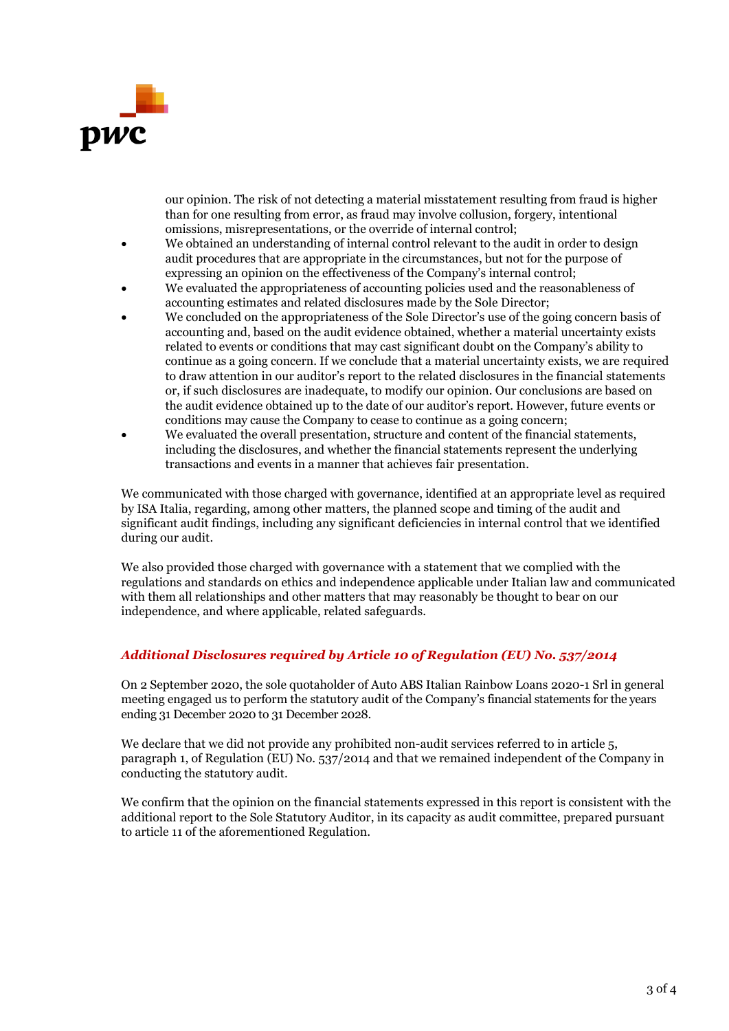

our opinion. The risk of not detecting a material misstatement resulting from fraud is higher than for one resulting from error, as fraud may involve collusion, forgery, intentional omissions, misrepresentations, or the override of internal control;

- We obtained an understanding of internal control relevant to the audit in order to design audit procedures that are appropriate in the circumstances, but not for the purpose of expressing an opinion on the effectiveness of the Company's internal control;
- We evaluated the appropriateness of accounting policies used and the reasonableness of accounting estimates and related disclosures made by the Sole Director;
- We concluded on the appropriateness of the Sole Director's use of the going concern basis of accounting and, based on the audit evidence obtained, whether a material uncertainty exists related to events or conditions that may cast significant doubt on the Company's ability to continue as a going concern. If we conclude that a material uncertainty exists, we are required to draw attention in our auditor's report to the related disclosures in the financial statements or, if such disclosures are inadequate, to modify our opinion. Our conclusions are based on the audit evidence obtained up to the date of our auditor's report. However, future events or conditions may cause the Company to cease to continue as a going concern;
- We evaluated the overall presentation, structure and content of the financial statements, including the disclosures, and whether the financial statements represent the underlying transactions and events in a manner that achieves fair presentation.

We communicated with those charged with governance, identified at an appropriate level as required by ISA Italia, regarding, among other matters, the planned scope and timing of the audit and significant audit findings, including any significant deficiencies in internal control that we identified during our audit.

We also provided those charged with governance with a statement that we complied with the regulations and standards on ethics and independence applicable under Italian law and communicated with them all relationships and other matters that may reasonably be thought to bear on our independence, and where applicable, related safeguards.

## *Additional Disclosures required by Article 10 of Regulation (EU) No. 537/2014*

On 2 September 2020, the sole quotaholder of Auto ABS Italian Rainbow Loans 2020-1 Srl in general meeting engaged us to perform the statutory audit of the Company's financial statements for the years ending 31 December 2020 to 31 December 2028.

We declare that we did not provide any prohibited non-audit services referred to in article 5, paragraph 1, of Regulation (EU) No. 537/2014 and that we remained independent of the Company in conducting the statutory audit.

We confirm that the opinion on the financial statements expressed in this report is consistent with the additional report to the Sole Statutory Auditor, in its capacity as audit committee, prepared pursuant to article 11 of the aforementioned Regulation.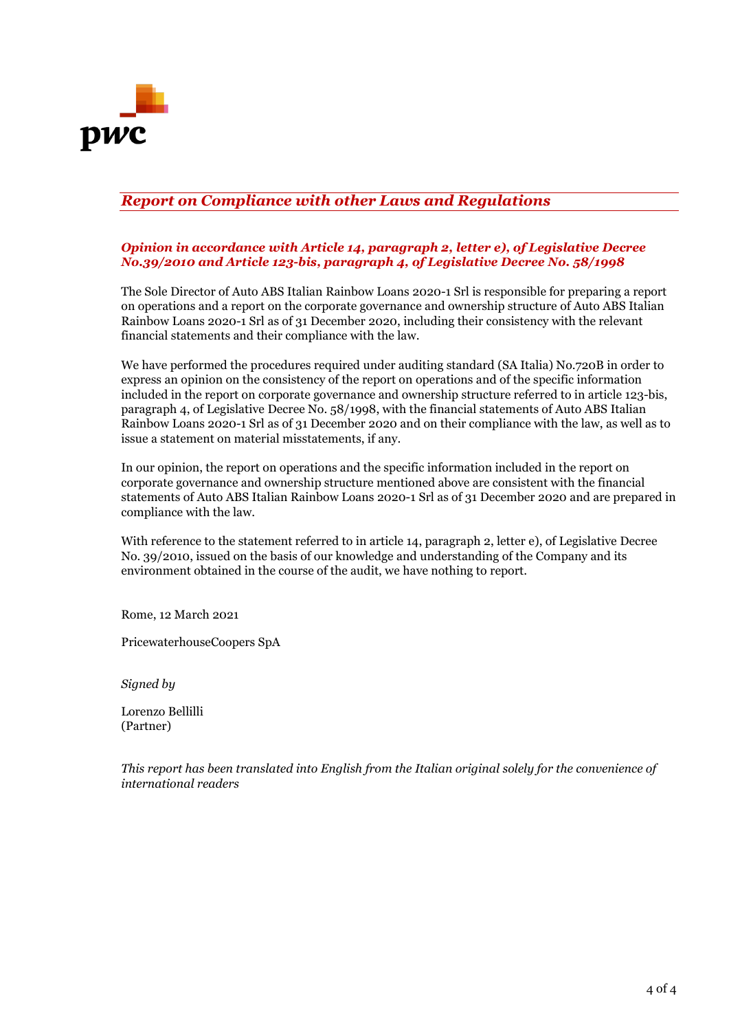

## *Report on Compliance with other Laws and Regulations*

#### *Opinion in accordance with Article 14, paragraph 2, letter e), of Legislative Decree No.39/2010 and Article 123-bis, paragraph 4, of Legislative Decree No. 58/1998*

The Sole Director of Auto ABS Italian Rainbow Loans 2020-1 Srl is responsible for preparing a report on operations and a report on the corporate governance and ownership structure of Auto ABS Italian Rainbow Loans 2020-1 Srl as of 31 December 2020, including their consistency with the relevant financial statements and their compliance with the law.

We have performed the procedures required under auditing standard (SA Italia) No.720B in order to express an opinion on the consistency of the report on operations and of the specific information included in the report on corporate governance and ownership structure referred to in article 123-bis, paragraph 4, of Legislative Decree No. 58/1998, with the financial statements of Auto ABS Italian Rainbow Loans 2020-1 Srl as of 31 December 2020 and on their compliance with the law, as well as to issue a statement on material misstatements, if any.

In our opinion, the report on operations and the specific information included in the report on corporate governance and ownership structure mentioned above are consistent with the financial statements of Auto ABS Italian Rainbow Loans 2020-1 Srl as of 31 December 2020 and are prepared in compliance with the law.

With reference to the statement referred to in article 14, paragraph 2, letter e), of Legislative Decree No. 39/2010, issued on the basis of our knowledge and understanding of the Company and its environment obtained in the course of the audit, we have nothing to report.

Rome, 12 March 2021

PricewaterhouseCoopers SpA

*Signed by*

Lorenzo Bellilli (Partner)

*This report has been translated into English from the Italian original solely for the convenience of international readers*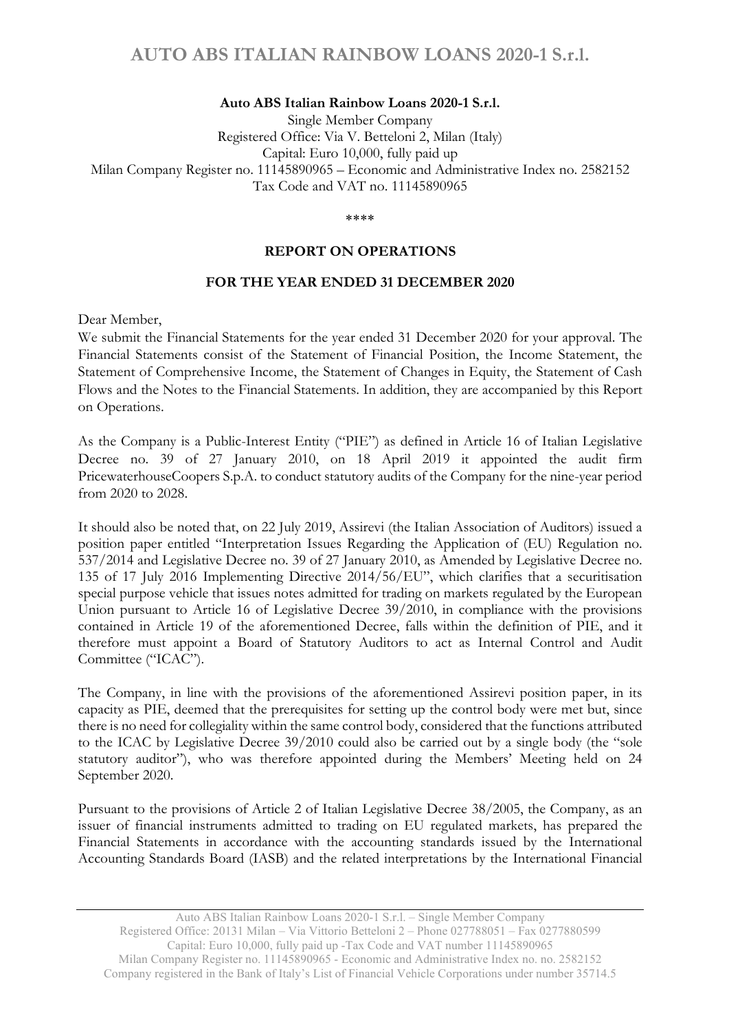#### Auto ABS Italian Rainbow Loans 2020-1 S.r.l.

Single Member Company Registered Office: Via V. Betteloni 2, Milan (Italy) Capital: Euro 10,000, fully paid up Milan Company Register no. 11145890965 – Economic and Administrative Index no. 2582152 Tax Code and VAT no. 11145890965

\*\*\*\*

#### REPORT ON OPERATIONS

#### FOR THE YEAR ENDED 31 DECEMBER 2020

Dear Member,

We submit the Financial Statements for the year ended 31 December 2020 for your approval. The Financial Statements consist of the Statement of Financial Position, the Income Statement, the Statement of Comprehensive Income, the Statement of Changes in Equity, the Statement of Cash Flows and the Notes to the Financial Statements. In addition, they are accompanied by this Report on Operations.

As the Company is a Public-Interest Entity ("PIE") as defined in Article 16 of Italian Legislative Decree no. 39 of 27 January 2010, on 18 April 2019 it appointed the audit firm PricewaterhouseCoopers S.p.A. to conduct statutory audits of the Company for the nine-year period from 2020 to 2028.

It should also be noted that, on 22 July 2019, Assirevi (the Italian Association of Auditors) issued a position paper entitled "Interpretation Issues Regarding the Application of (EU) Regulation no. 537/2014 and Legislative Decree no. 39 of 27 January 2010, as Amended by Legislative Decree no. 135 of 17 July 2016 Implementing Directive 2014/56/EU", which clarifies that a securitisation special purpose vehicle that issues notes admitted for trading on markets regulated by the European Union pursuant to Article 16 of Legislative Decree 39/2010, in compliance with the provisions contained in Article 19 of the aforementioned Decree, falls within the definition of PIE, and it therefore must appoint a Board of Statutory Auditors to act as Internal Control and Audit Committee ("ICAC").

The Company, in line with the provisions of the aforementioned Assirevi position paper, in its capacity as PIE, deemed that the prerequisites for setting up the control body were met but, since there is no need for collegiality within the same control body, considered that the functions attributed to the ICAC by Legislative Decree 39/2010 could also be carried out by a single body (the "sole statutory auditor"), who was therefore appointed during the Members' Meeting held on 24 September 2020.

Pursuant to the provisions of Article 2 of Italian Legislative Decree 38/2005, the Company, as an issuer of financial instruments admitted to trading on EU regulated markets, has prepared the Financial Statements in accordance with the accounting standards issued by the International Accounting Standards Board (IASB) and the related interpretations by the International Financial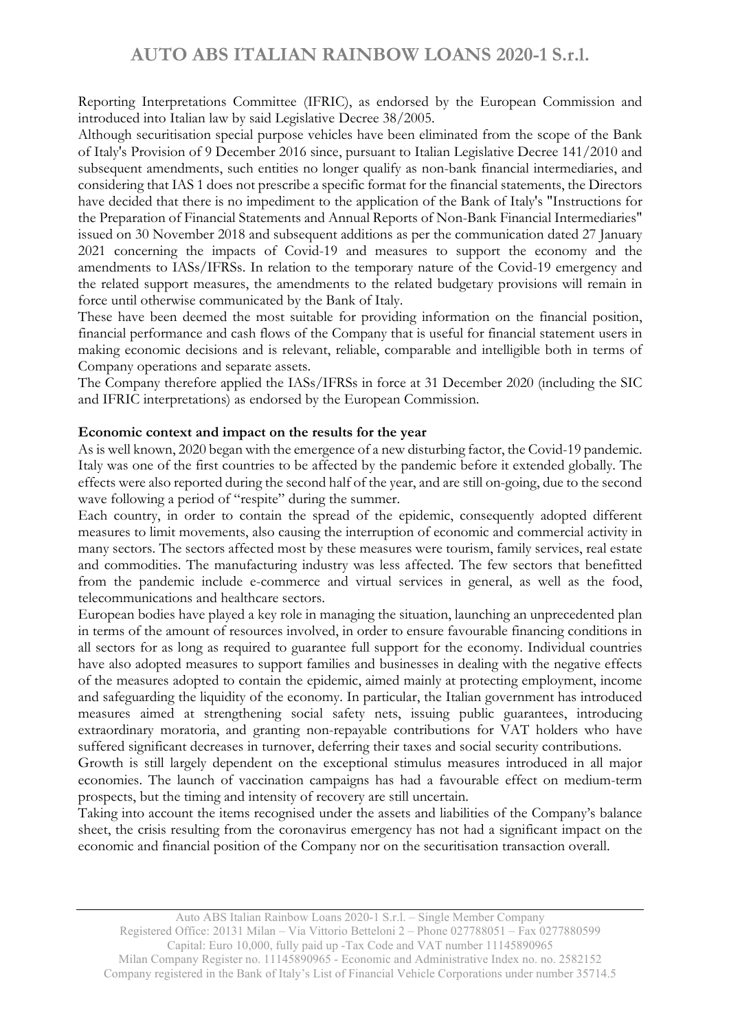Reporting Interpretations Committee (IFRIC), as endorsed by the European Commission and introduced into Italian law by said Legislative Decree 38/2005.

Although securitisation special purpose vehicles have been eliminated from the scope of the Bank of Italy's Provision of 9 December 2016 since, pursuant to Italian Legislative Decree 141/2010 and subsequent amendments, such entities no longer qualify as non-bank financial intermediaries, and considering that IAS 1 does not prescribe a specific format for the financial statements, the Directors have decided that there is no impediment to the application of the Bank of Italy's "Instructions for the Preparation of Financial Statements and Annual Reports of Non-Bank Financial Intermediaries" issued on 30 November 2018 and subsequent additions as per the communication dated 27 January 2021 concerning the impacts of Covid-19 and measures to support the economy and the amendments to IASs/IFRSs. In relation to the temporary nature of the Covid-19 emergency and the related support measures, the amendments to the related budgetary provisions will remain in force until otherwise communicated by the Bank of Italy.

These have been deemed the most suitable for providing information on the financial position, financial performance and cash flows of the Company that is useful for financial statement users in making economic decisions and is relevant, reliable, comparable and intelligible both in terms of Company operations and separate assets.

The Company therefore applied the IASs/IFRSs in force at 31 December 2020 (including the SIC and IFRIC interpretations) as endorsed by the European Commission.

#### Economic context and impact on the results for the year

As is well known, 2020 began with the emergence of a new disturbing factor, the Covid-19 pandemic. Italy was one of the first countries to be affected by the pandemic before it extended globally. The effects were also reported during the second half of the year, and are still on-going, due to the second wave following a period of "respite" during the summer.

Each country, in order to contain the spread of the epidemic, consequently adopted different measures to limit movements, also causing the interruption of economic and commercial activity in many sectors. The sectors affected most by these measures were tourism, family services, real estate and commodities. The manufacturing industry was less affected. The few sectors that benefitted from the pandemic include e-commerce and virtual services in general, as well as the food, telecommunications and healthcare sectors.

European bodies have played a key role in managing the situation, launching an unprecedented plan in terms of the amount of resources involved, in order to ensure favourable financing conditions in all sectors for as long as required to guarantee full support for the economy. Individual countries have also adopted measures to support families and businesses in dealing with the negative effects of the measures adopted to contain the epidemic, aimed mainly at protecting employment, income and safeguarding the liquidity of the economy. In particular, the Italian government has introduced measures aimed at strengthening social safety nets, issuing public guarantees, introducing extraordinary moratoria, and granting non-repayable contributions for VAT holders who have suffered significant decreases in turnover, deferring their taxes and social security contributions.

Growth is still largely dependent on the exceptional stimulus measures introduced in all major economies. The launch of vaccination campaigns has had a favourable effect on medium-term prospects, but the timing and intensity of recovery are still uncertain.

Taking into account the items recognised under the assets and liabilities of the Company's balance sheet, the crisis resulting from the coronavirus emergency has not had a significant impact on the economic and financial position of the Company nor on the securitisation transaction overall.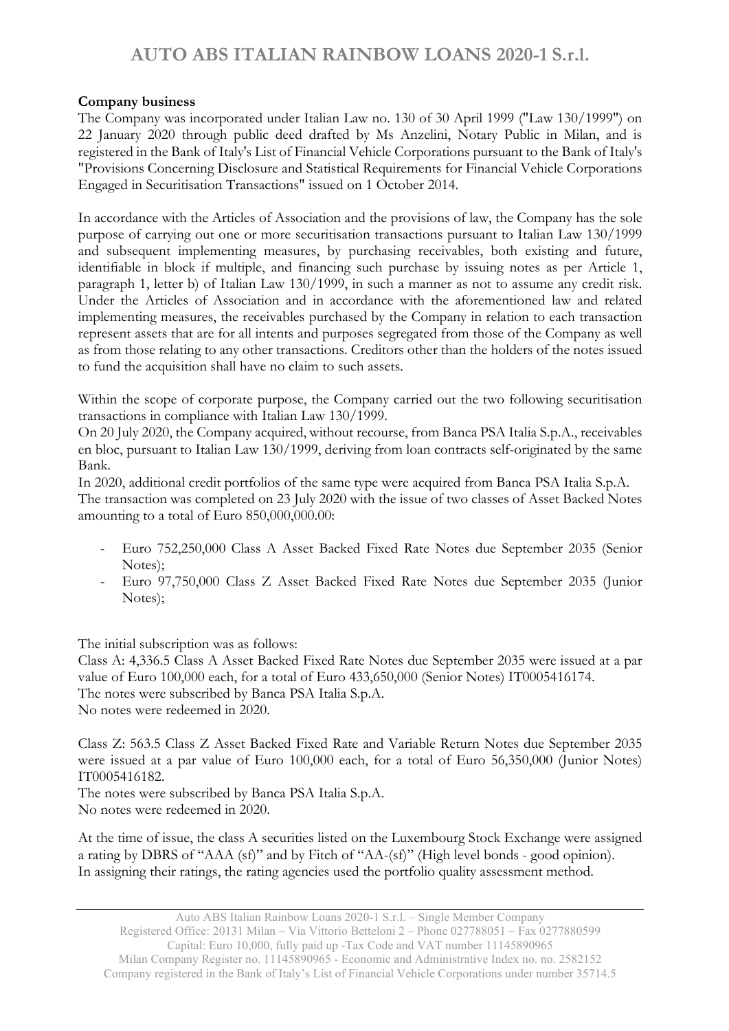## Company business

The Company was incorporated under Italian Law no. 130 of 30 April 1999 ("Law 130/1999") on 22 January 2020 through public deed drafted by Ms Anzelini, Notary Public in Milan, and is registered in the Bank of Italy's List of Financial Vehicle Corporations pursuant to the Bank of Italy's "Provisions Concerning Disclosure and Statistical Requirements for Financial Vehicle Corporations Engaged in Securitisation Transactions" issued on 1 October 2014.

In accordance with the Articles of Association and the provisions of law, the Company has the sole purpose of carrying out one or more securitisation transactions pursuant to Italian Law 130/1999 and subsequent implementing measures, by purchasing receivables, both existing and future, identifiable in block if multiple, and financing such purchase by issuing notes as per Article 1, paragraph 1, letter b) of Italian Law 130/1999, in such a manner as not to assume any credit risk. Under the Articles of Association and in accordance with the aforementioned law and related implementing measures, the receivables purchased by the Company in relation to each transaction represent assets that are for all intents and purposes segregated from those of the Company as well as from those relating to any other transactions. Creditors other than the holders of the notes issued to fund the acquisition shall have no claim to such assets.

Within the scope of corporate purpose, the Company carried out the two following securitisation transactions in compliance with Italian Law 130/1999.

On 20 July 2020, the Company acquired, without recourse, from Banca PSA Italia S.p.A., receivables en bloc, pursuant to Italian Law 130/1999, deriving from loan contracts self-originated by the same Bank.

In 2020, additional credit portfolios of the same type were acquired from Banca PSA Italia S.p.A. The transaction was completed on 23 July 2020 with the issue of two classes of Asset Backed Notes amounting to a total of Euro 850,000,000.00:

- Euro 752,250,000 Class A Asset Backed Fixed Rate Notes due September 2035 (Senior Notes);
- Euro 97,750,000 Class Z Asset Backed Fixed Rate Notes due September 2035 (Junior Notes);

The initial subscription was as follows:

Class A: 4,336.5 Class A Asset Backed Fixed Rate Notes due September 2035 were issued at a par value of Euro 100,000 each, for a total of Euro 433,650,000 (Senior Notes) IT0005416174. The notes were subscribed by Banca PSA Italia S.p.A. No notes were redeemed in 2020.

Class Z: 563.5 Class Z Asset Backed Fixed Rate and Variable Return Notes due September 2035 were issued at a par value of Euro 100,000 each, for a total of Euro 56,350,000 (Junior Notes) IT0005416182.

The notes were subscribed by Banca PSA Italia S.p.A. No notes were redeemed in 2020.

At the time of issue, the class A securities listed on the Luxembourg Stock Exchange were assigned a rating by DBRS of "AAA (sf)" and by Fitch of "AA-(sf)" (High level bonds - good opinion). In assigning their ratings, the rating agencies used the portfolio quality assessment method.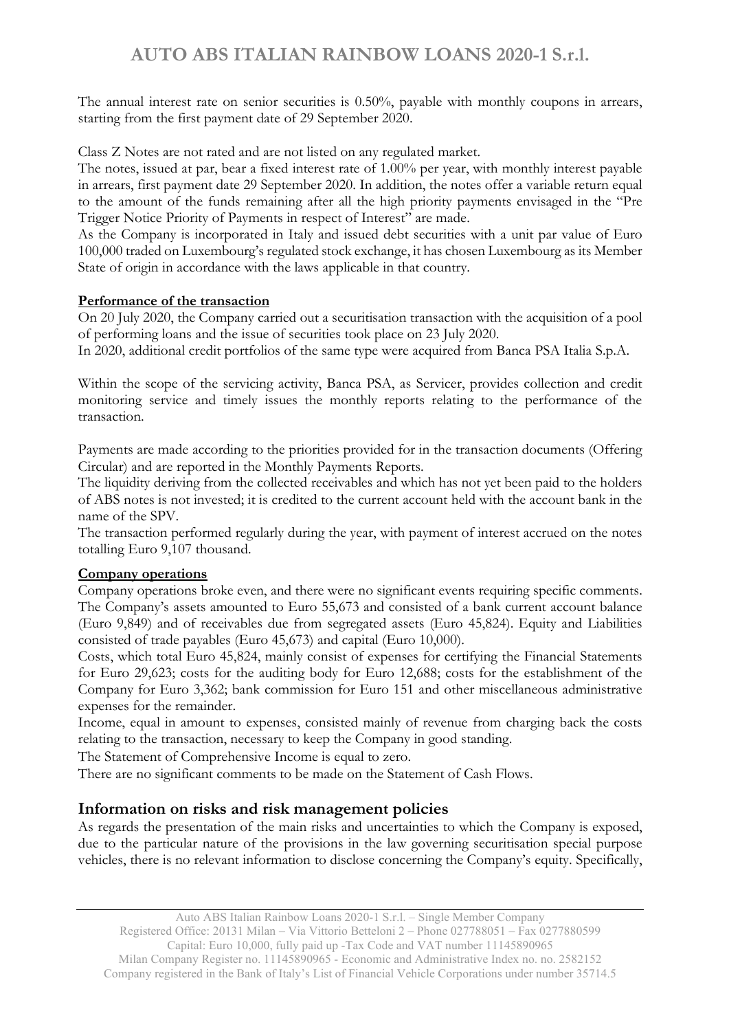The annual interest rate on senior securities is 0.50%, payable with monthly coupons in arrears, starting from the first payment date of 29 September 2020.

Class Z Notes are not rated and are not listed on any regulated market.

The notes, issued at par, bear a fixed interest rate of 1.00% per year, with monthly interest payable in arrears, first payment date 29 September 2020. In addition, the notes offer a variable return equal to the amount of the funds remaining after all the high priority payments envisaged in the "Pre Trigger Notice Priority of Payments in respect of Interest" are made.

As the Company is incorporated in Italy and issued debt securities with a unit par value of Euro 100,000 traded on Luxembourg's regulated stock exchange, it has chosen Luxembourg as its Member State of origin in accordance with the laws applicable in that country.

## Performance of the transaction

On 20 July 2020, the Company carried out a securitisation transaction with the acquisition of a pool of performing loans and the issue of securities took place on 23 July 2020.

In 2020, additional credit portfolios of the same type were acquired from Banca PSA Italia S.p.A.

Within the scope of the servicing activity, Banca PSA, as Servicer, provides collection and credit monitoring service and timely issues the monthly reports relating to the performance of the transaction.

Payments are made according to the priorities provided for in the transaction documents (Offering Circular) and are reported in the Monthly Payments Reports.

The liquidity deriving from the collected receivables and which has not yet been paid to the holders of ABS notes is not invested; it is credited to the current account held with the account bank in the name of the SPV.

The transaction performed regularly during the year, with payment of interest accrued on the notes totalling Euro 9,107 thousand.

## Company operations

Company operations broke even, and there were no significant events requiring specific comments. The Company's assets amounted to Euro 55,673 and consisted of a bank current account balance (Euro 9,849) and of receivables due from segregated assets (Euro 45,824). Equity and Liabilities consisted of trade payables (Euro 45,673) and capital (Euro 10,000).

Costs, which total Euro 45,824, mainly consist of expenses for certifying the Financial Statements for Euro 29,623; costs for the auditing body for Euro 12,688; costs for the establishment of the Company for Euro 3,362; bank commission for Euro 151 and other miscellaneous administrative expenses for the remainder.

Income, equal in amount to expenses, consisted mainly of revenue from charging back the costs relating to the transaction, necessary to keep the Company in good standing.

The Statement of Comprehensive Income is equal to zero.

There are no significant comments to be made on the Statement of Cash Flows.

## Information on risks and risk management policies

As regards the presentation of the main risks and uncertainties to which the Company is exposed, due to the particular nature of the provisions in the law governing securitisation special purpose vehicles, there is no relevant information to disclose concerning the Company's equity. Specifically,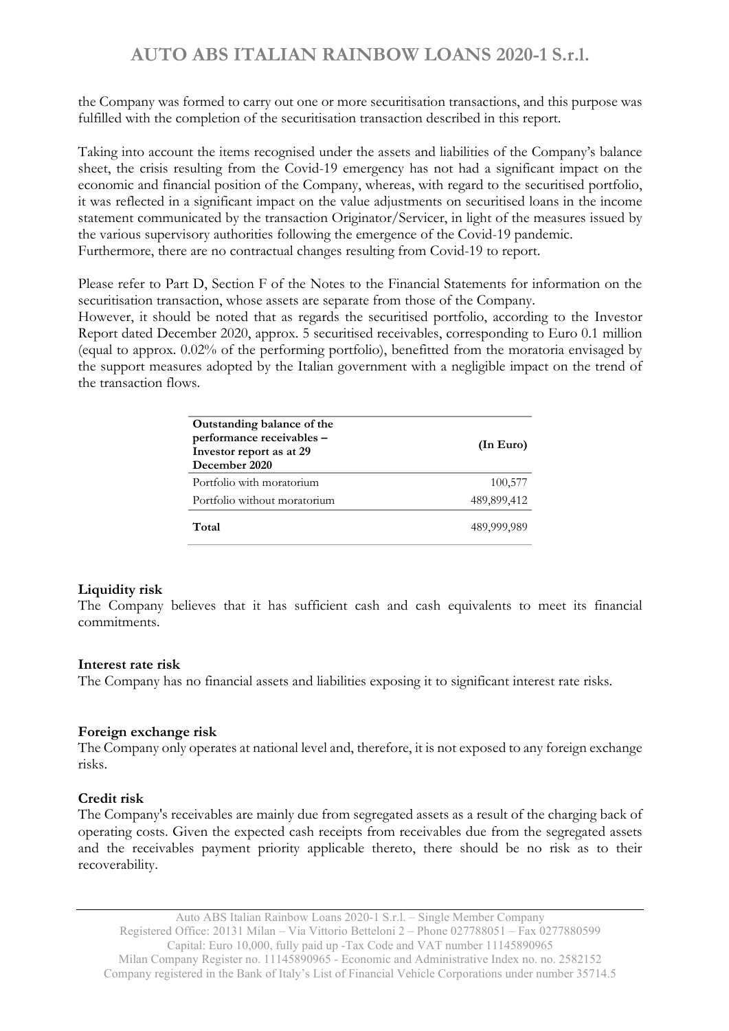the Company was formed to carry out one or more securitisation transactions, and this purpose was fulfilled with the completion of the securitisation transaction described in this report.

Taking into account the items recognised under the assets and liabilities of the Company's balance sheet, the crisis resulting from the Covid-19 emergency has not had a significant impact on the economic and financial position of the Company, whereas, with regard to the securitised portfolio, it was reflected in a significant impact on the value adjustments on securitised loans in the income statement communicated by the transaction Originator/Servicer, in light of the measures issued by the various supervisory authorities following the emergence of the Covid-19 pandemic. Furthermore, there are no contractual changes resulting from Covid-19 to report.

Please refer to Part D, Section F of the Notes to the Financial Statements for information on the securitisation transaction, whose assets are separate from those of the Company.

However, it should be noted that as regards the securitised portfolio, according to the Investor Report dated December 2020, approx. 5 securitised receivables, corresponding to Euro 0.1 million (equal to approx. 0.02% of the performing portfolio), benefitted from the moratoria envisaged by the support measures adopted by the Italian government with a negligible impact on the trend of the transaction flows.

| Outstanding balance of the<br>performance receivables -<br>Investor report as at 29<br>December 2020 | (In Euro)   |
|------------------------------------------------------------------------------------------------------|-------------|
| Portfolio with moratorium                                                                            | 100,577     |
| Portfolio without moratorium                                                                         | 489,899,412 |
| Total                                                                                                | 489,999,989 |

## Liquidity risk

The Company believes that it has sufficient cash and cash equivalents to meet its financial commitments.

## Interest rate risk

The Company has no financial assets and liabilities exposing it to significant interest rate risks.

## Foreign exchange risk

The Company only operates at national level and, therefore, it is not exposed to any foreign exchange risks.

## Credit risk

The Company's receivables are mainly due from segregated assets as a result of the charging back of operating costs. Given the expected cash receipts from receivables due from the segregated assets and the receivables payment priority applicable thereto, there should be no risk as to their recoverability.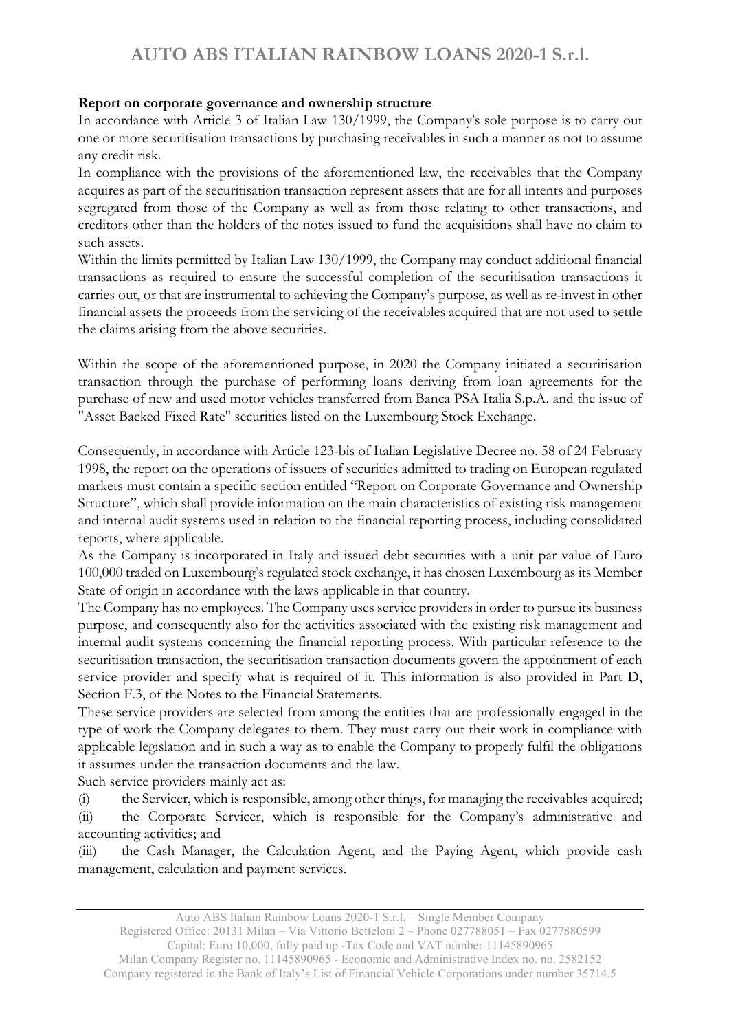## Report on corporate governance and ownership structure

In accordance with Article 3 of Italian Law 130/1999, the Company's sole purpose is to carry out one or more securitisation transactions by purchasing receivables in such a manner as not to assume any credit risk.

In compliance with the provisions of the aforementioned law, the receivables that the Company acquires as part of the securitisation transaction represent assets that are for all intents and purposes segregated from those of the Company as well as from those relating to other transactions, and creditors other than the holders of the notes issued to fund the acquisitions shall have no claim to such assets.

Within the limits permitted by Italian Law 130/1999, the Company may conduct additional financial transactions as required to ensure the successful completion of the securitisation transactions it carries out, or that are instrumental to achieving the Company's purpose, as well as re-invest in other financial assets the proceeds from the servicing of the receivables acquired that are not used to settle the claims arising from the above securities.

Within the scope of the aforementioned purpose, in 2020 the Company initiated a securitisation transaction through the purchase of performing loans deriving from loan agreements for the purchase of new and used motor vehicles transferred from Banca PSA Italia S.p.A. and the issue of "Asset Backed Fixed Rate" securities listed on the Luxembourg Stock Exchange.

Consequently, in accordance with Article 123-bis of Italian Legislative Decree no. 58 of 24 February 1998, the report on the operations of issuers of securities admitted to trading on European regulated markets must contain a specific section entitled "Report on Corporate Governance and Ownership Structure", which shall provide information on the main characteristics of existing risk management and internal audit systems used in relation to the financial reporting process, including consolidated reports, where applicable.

As the Company is incorporated in Italy and issued debt securities with a unit par value of Euro 100,000 traded on Luxembourg's regulated stock exchange, it has chosen Luxembourg as its Member State of origin in accordance with the laws applicable in that country.

The Company has no employees. The Company uses service providers in order to pursue its business purpose, and consequently also for the activities associated with the existing risk management and internal audit systems concerning the financial reporting process. With particular reference to the securitisation transaction, the securitisation transaction documents govern the appointment of each service provider and specify what is required of it. This information is also provided in Part D, Section F.3, of the Notes to the Financial Statements.

These service providers are selected from among the entities that are professionally engaged in the type of work the Company delegates to them. They must carry out their work in compliance with applicable legislation and in such a way as to enable the Company to properly fulfil the obligations it assumes under the transaction documents and the law.

Such service providers mainly act as:

(i) the Servicer, which is responsible, among other things, for managing the receivables acquired; (ii) the Corporate Servicer, which is responsible for the Company's administrative and accounting activities; and

(iii) the Cash Manager, the Calculation Agent, and the Paying Agent, which provide cash management, calculation and payment services.

Auto ABS Italian Rainbow Loans 2020-1 S.r.l. – Single Member Company

Registered Office: 20131 Milan – Via Vittorio Betteloni 2 – Phone 027788051 – Fax 0277880599 Capital: Euro 10,000, fully paid up -Tax Code and VAT number 11145890965

Milan Company Register no. 11145890965 - Economic and Administrative Index no. no. 2582152 Company registered in the Bank of Italy's List of Financial Vehicle Corporations under number 35714.5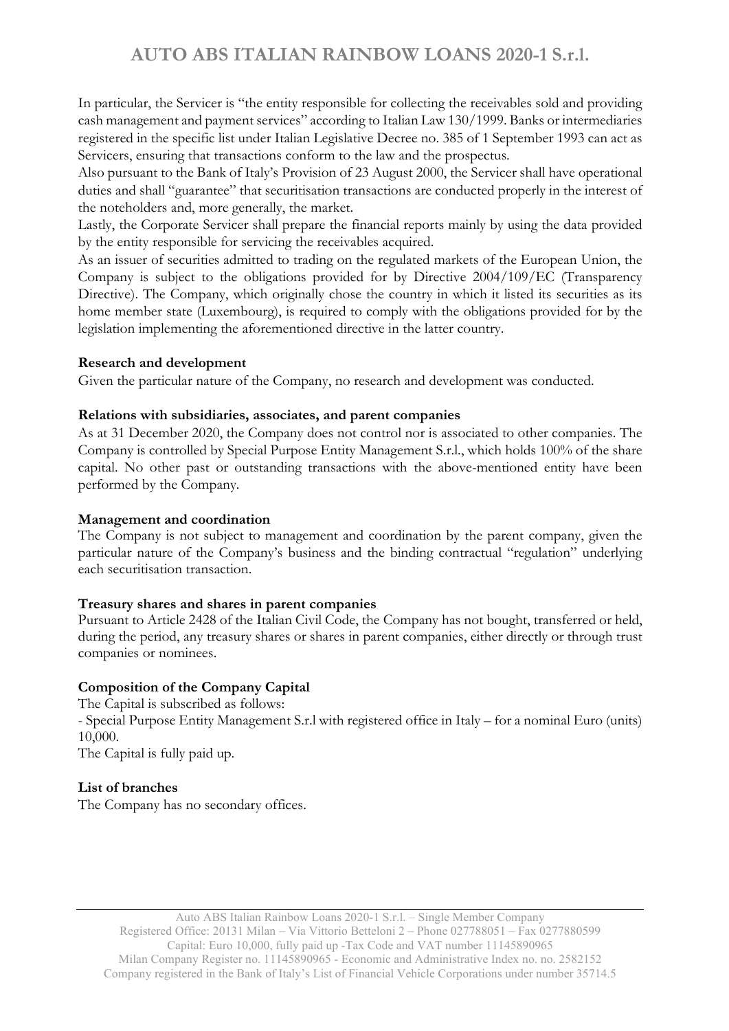In particular, the Servicer is "the entity responsible for collecting the receivables sold and providing cash management and payment services" according to Italian Law 130/1999. Banks or intermediaries registered in the specific list under Italian Legislative Decree no. 385 of 1 September 1993 can act as Servicers, ensuring that transactions conform to the law and the prospectus.

Also pursuant to the Bank of Italy's Provision of 23 August 2000, the Servicer shall have operational duties and shall "guarantee" that securitisation transactions are conducted properly in the interest of the noteholders and, more generally, the market.

Lastly, the Corporate Servicer shall prepare the financial reports mainly by using the data provided by the entity responsible for servicing the receivables acquired.

As an issuer of securities admitted to trading on the regulated markets of the European Union, the Company is subject to the obligations provided for by Directive 2004/109/EC (Transparency Directive). The Company, which originally chose the country in which it listed its securities as its home member state (Luxembourg), is required to comply with the obligations provided for by the legislation implementing the aforementioned directive in the latter country.

## Research and development

Given the particular nature of the Company, no research and development was conducted.

## Relations with subsidiaries, associates, and parent companies

As at 31 December 2020, the Company does not control nor is associated to other companies. The Company is controlled by Special Purpose Entity Management S.r.l., which holds 100% of the share capital. No other past or outstanding transactions with the above-mentioned entity have been performed by the Company.

## Management and coordination

The Company is not subject to management and coordination by the parent company, given the particular nature of the Company's business and the binding contractual "regulation" underlying each securitisation transaction.

## Treasury shares and shares in parent companies

Pursuant to Article 2428 of the Italian Civil Code, the Company has not bought, transferred or held, during the period, any treasury shares or shares in parent companies, either directly or through trust companies or nominees.

## Composition of the Company Capital

The Capital is subscribed as follows: - Special Purpose Entity Management S.r.l with registered office in Italy – for a nominal Euro (units) 10,000.

The Capital is fully paid up.

## List of branches

The Company has no secondary offices.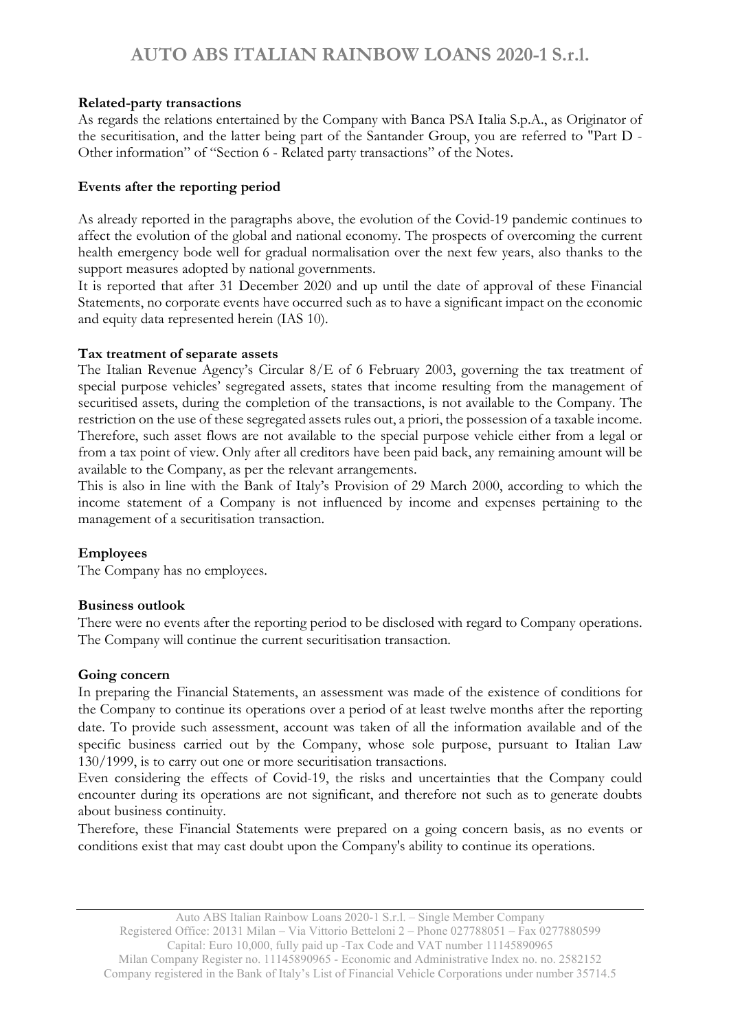## Related-party transactions

As regards the relations entertained by the Company with Banca PSA Italia S.p.A., as Originator of the securitisation, and the latter being part of the Santander Group, you are referred to "Part D - Other information" of "Section 6 - Related party transactions" of the Notes.

#### Events after the reporting period

As already reported in the paragraphs above, the evolution of the Covid-19 pandemic continues to affect the evolution of the global and national economy. The prospects of overcoming the current health emergency bode well for gradual normalisation over the next few years, also thanks to the support measures adopted by national governments.

It is reported that after 31 December 2020 and up until the date of approval of these Financial Statements, no corporate events have occurred such as to have a significant impact on the economic and equity data represented herein (IAS 10).

#### Tax treatment of separate assets

The Italian Revenue Agency's Circular 8/E of 6 February 2003, governing the tax treatment of special purpose vehicles' segregated assets, states that income resulting from the management of securitised assets, during the completion of the transactions, is not available to the Company. The restriction on the use of these segregated assets rules out, a priori, the possession of a taxable income. Therefore, such asset flows are not available to the special purpose vehicle either from a legal or from a tax point of view. Only after all creditors have been paid back, any remaining amount will be available to the Company, as per the relevant arrangements.

This is also in line with the Bank of Italy's Provision of 29 March 2000, according to which the income statement of a Company is not influenced by income and expenses pertaining to the management of a securitisation transaction.

## Employees

The Company has no employees.

## Business outlook

There were no events after the reporting period to be disclosed with regard to Company operations. The Company will continue the current securitisation transaction.

## Going concern

In preparing the Financial Statements, an assessment was made of the existence of conditions for the Company to continue its operations over a period of at least twelve months after the reporting date. To provide such assessment, account was taken of all the information available and of the specific business carried out by the Company, whose sole purpose, pursuant to Italian Law 130/1999, is to carry out one or more securitisation transactions.

Even considering the effects of Covid-19, the risks and uncertainties that the Company could encounter during its operations are not significant, and therefore not such as to generate doubts about business continuity.

Therefore, these Financial Statements were prepared on a going concern basis, as no events or conditions exist that may cast doubt upon the Company's ability to continue its operations.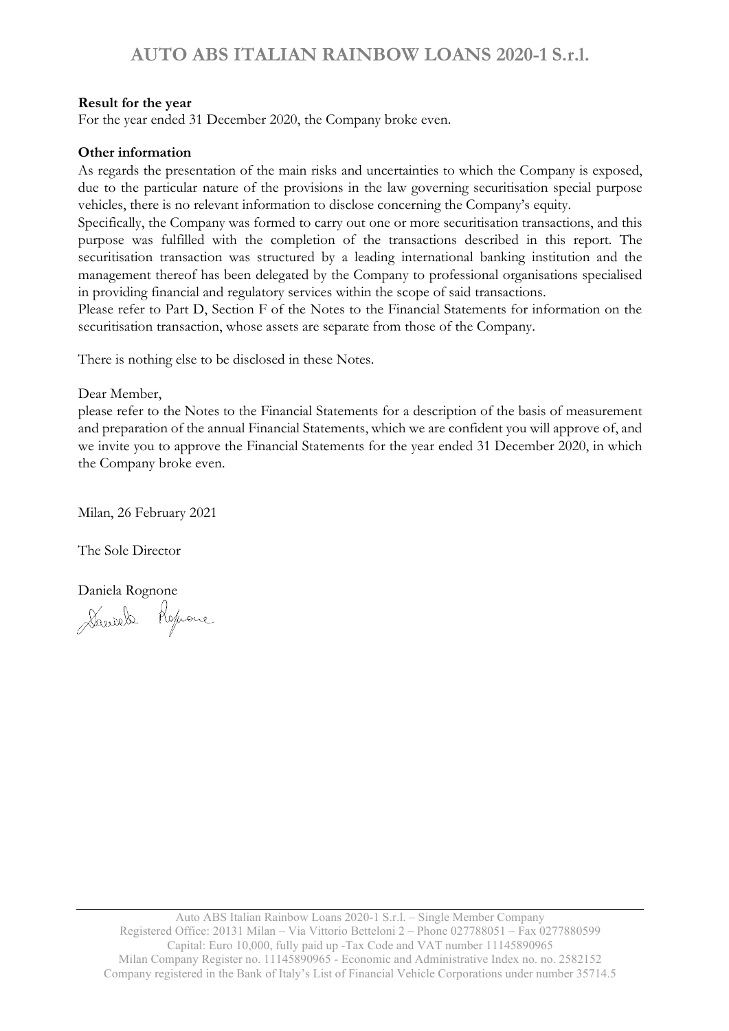## Result for the year

For the year ended 31 December 2020, the Company broke even.

## Other information

As regards the presentation of the main risks and uncertainties to which the Company is exposed, due to the particular nature of the provisions in the law governing securitisation special purpose vehicles, there is no relevant information to disclose concerning the Company's equity.

Specifically, the Company was formed to carry out one or more securitisation transactions, and this purpose was fulfilled with the completion of the transactions described in this report. The securitisation transaction was structured by a leading international banking institution and the management thereof has been delegated by the Company to professional organisations specialised in providing financial and regulatory services within the scope of said transactions.

Please refer to Part D, Section F of the Notes to the Financial Statements for information on the securitisation transaction, whose assets are separate from those of the Company.

There is nothing else to be disclosed in these Notes.

Dear Member,

please refer to the Notes to the Financial Statements for a description of the basis of measurement and preparation of the annual Financial Statements, which we are confident you will approve of, and we invite you to approve the Financial Statements for the year ended 31 December 2020, in which the Company broke even.

Milan, 26 February 2021

The Sole Director

Daniela Rognone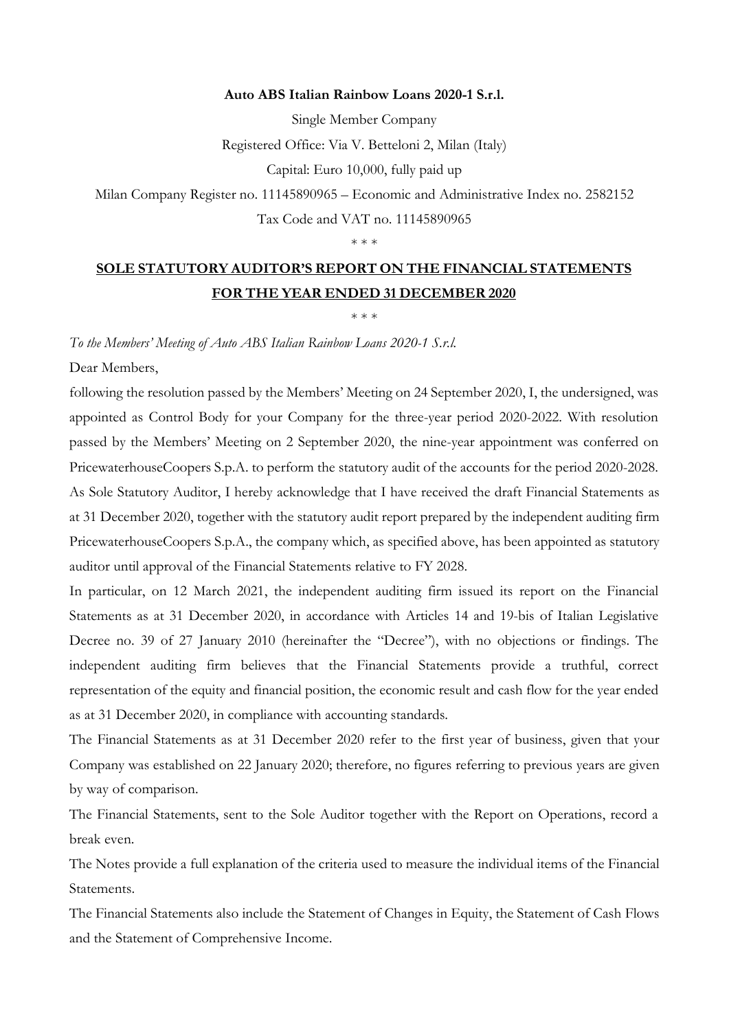#### Auto ABS Italian Rainbow Loans 2020-1 S.r.l.

Single Member Company

Registered Office: Via V. Betteloni 2, Milan (Italy)

Capital: Euro 10,000, fully paid up

Milan Company Register no. 11145890965 – Economic and Administrative Index no. 2582152

Tax Code and VAT no. 11145890965

\* \* \*

## SOLE STATUTORY AUDITOR'S REPORT ON THE FINANCIAL STATEMENTS FOR THE YEAR ENDED 31 DECEMBER 2020

\* \* \*

*To the Members' Meeting of Auto ABS Italian Rainbow Loans 2020-1 S.r.l.*

Dear Members,

following the resolution passed by the Members' Meeting on 24 September 2020, I, the undersigned, was appointed as Control Body for your Company for the three-year period 2020-2022. With resolution passed by the Members' Meeting on 2 September 2020, the nine-year appointment was conferred on PricewaterhouseCoopers S.p.A. to perform the statutory audit of the accounts for the period 2020-2028. As Sole Statutory Auditor, I hereby acknowledge that I have received the draft Financial Statements as at 31 December 2020, together with the statutory audit report prepared by the independent auditing firm PricewaterhouseCoopers S.p.A., the company which, as specified above, has been appointed as statutory auditor until approval of the Financial Statements relative to FY 2028.

In particular, on 12 March 2021, the independent auditing firm issued its report on the Financial Statements as at 31 December 2020, in accordance with Articles 14 and 19-bis of Italian Legislative Decree no. 39 of 27 January 2010 (hereinafter the "Decree"), with no objections or findings. The independent auditing firm believes that the Financial Statements provide a truthful, correct representation of the equity and financial position, the economic result and cash flow for the year ended as at 31 December 2020, in compliance with accounting standards.

The Financial Statements as at 31 December 2020 refer to the first year of business, given that your Company was established on 22 January 2020; therefore, no figures referring to previous years are given by way of comparison.

The Financial Statements, sent to the Sole Auditor together with the Report on Operations, record a break even.

The Notes provide a full explanation of the criteria used to measure the individual items of the Financial Statements.

The Financial Statements also include the Statement of Changes in Equity, the Statement of Cash Flows and the Statement of Comprehensive Income.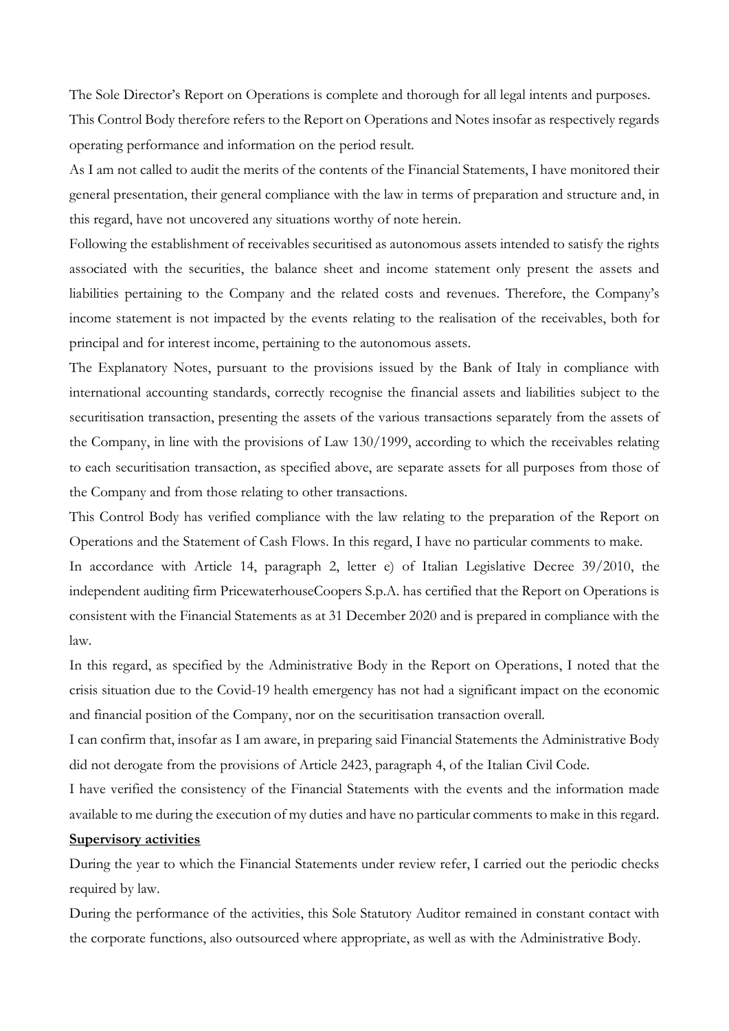The Sole Director's Report on Operations is complete and thorough for all legal intents and purposes. This Control Body therefore refers to the Report on Operations and Notes insofar as respectively regards operating performance and information on the period result.

As I am not called to audit the merits of the contents of the Financial Statements, I have monitored their general presentation, their general compliance with the law in terms of preparation and structure and, in this regard, have not uncovered any situations worthy of note herein.

Following the establishment of receivables securitised as autonomous assets intended to satisfy the rights associated with the securities, the balance sheet and income statement only present the assets and liabilities pertaining to the Company and the related costs and revenues. Therefore, the Company's income statement is not impacted by the events relating to the realisation of the receivables, both for principal and for interest income, pertaining to the autonomous assets.

The Explanatory Notes, pursuant to the provisions issued by the Bank of Italy in compliance with international accounting standards, correctly recognise the financial assets and liabilities subject to the securitisation transaction, presenting the assets of the various transactions separately from the assets of the Company, in line with the provisions of Law 130/1999, according to which the receivables relating to each securitisation transaction, as specified above, are separate assets for all purposes from those of the Company and from those relating to other transactions.

This Control Body has verified compliance with the law relating to the preparation of the Report on Operations and the Statement of Cash Flows. In this regard, I have no particular comments to make.

In accordance with Article 14, paragraph 2, letter e) of Italian Legislative Decree 39/2010, the independent auditing firm PricewaterhouseCoopers S.p.A. has certified that the Report on Operations is consistent with the Financial Statements as at 31 December 2020 and is prepared in compliance with the law.

In this regard, as specified by the Administrative Body in the Report on Operations, I noted that the crisis situation due to the Covid-19 health emergency has not had a significant impact on the economic and financial position of the Company, nor on the securitisation transaction overall.

I can confirm that, insofar as I am aware, in preparing said Financial Statements the Administrative Body did not derogate from the provisions of Article 2423, paragraph 4, of the Italian Civil Code.

I have verified the consistency of the Financial Statements with the events and the information made available to me during the execution of my duties and have no particular comments to make in this regard. Supervisory activities

During the year to which the Financial Statements under review refer, I carried out the periodic checks required by law.

During the performance of the activities, this Sole Statutory Auditor remained in constant contact with the corporate functions, also outsourced where appropriate, as well as with the Administrative Body.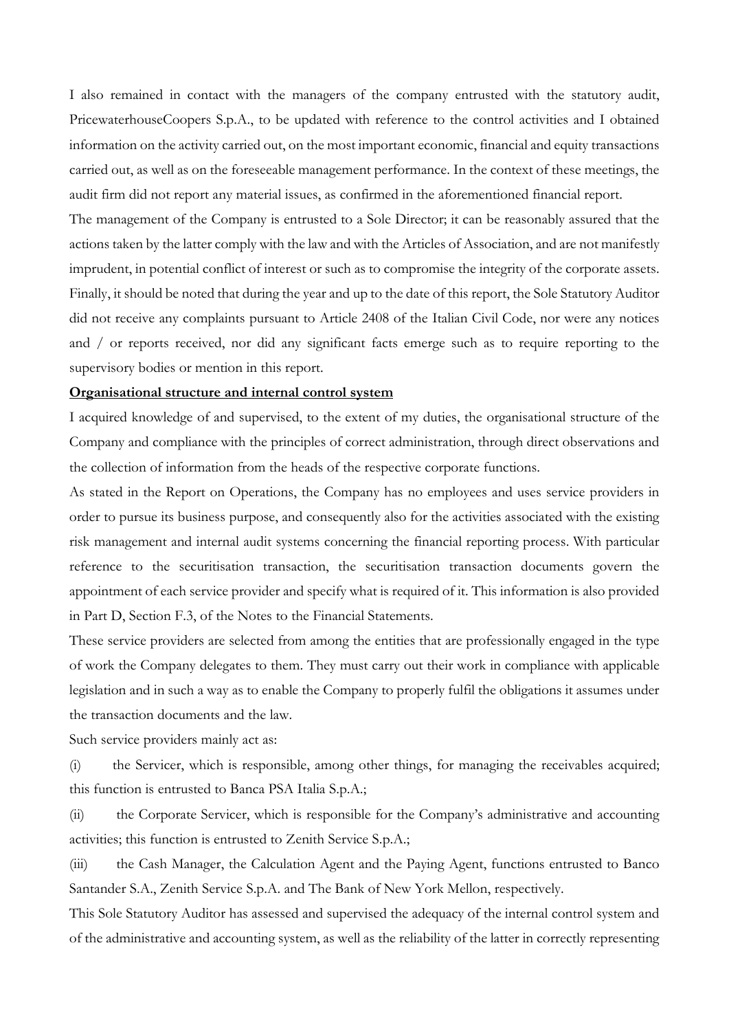I also remained in contact with the managers of the company entrusted with the statutory audit, PricewaterhouseCoopers S.p.A., to be updated with reference to the control activities and I obtained information on the activity carried out, on the most important economic, financial and equity transactions carried out, as well as on the foreseeable management performance. In the context of these meetings, the audit firm did not report any material issues, as confirmed in the aforementioned financial report.

The management of the Company is entrusted to a Sole Director; it can be reasonably assured that the actions taken by the latter comply with the law and with the Articles of Association, and are not manifestly imprudent, in potential conflict of interest or such as to compromise the integrity of the corporate assets. Finally, it should be noted that during the year and up to the date of this report, the Sole Statutory Auditor did not receive any complaints pursuant to Article 2408 of the Italian Civil Code, nor were any notices and / or reports received, nor did any significant facts emerge such as to require reporting to the supervisory bodies or mention in this report.

#### Organisational structure and internal control system

I acquired knowledge of and supervised, to the extent of my duties, the organisational structure of the Company and compliance with the principles of correct administration, through direct observations and the collection of information from the heads of the respective corporate functions.

As stated in the Report on Operations, the Company has no employees and uses service providers in order to pursue its business purpose, and consequently also for the activities associated with the existing risk management and internal audit systems concerning the financial reporting process. With particular reference to the securitisation transaction, the securitisation transaction documents govern the appointment of each service provider and specify what is required of it. This information is also provided in Part D, Section F.3, of the Notes to the Financial Statements.

These service providers are selected from among the entities that are professionally engaged in the type of work the Company delegates to them. They must carry out their work in compliance with applicable legislation and in such a way as to enable the Company to properly fulfil the obligations it assumes under the transaction documents and the law.

Such service providers mainly act as:

(i) the Servicer, which is responsible, among other things, for managing the receivables acquired; this function is entrusted to Banca PSA Italia S.p.A.;

(ii) the Corporate Servicer, which is responsible for the Company's administrative and accounting activities; this function is entrusted to Zenith Service S.p.A.;

(iii) the Cash Manager, the Calculation Agent and the Paying Agent, functions entrusted to Banco Santander S.A., Zenith Service S.p.A. and The Bank of New York Mellon, respectively.

This Sole Statutory Auditor has assessed and supervised the adequacy of the internal control system and of the administrative and accounting system, as well as the reliability of the latter in correctly representing